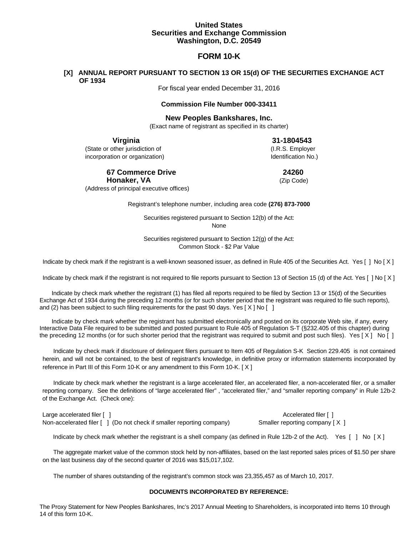#### **United States Securities and Exchange Commission Washington, D.C. 20549**

# **FORM 10-K**

#### **[X] ANNUAL REPORT PURSUANT TO SECTION 13 OR 15(d) OF THE SECURITIES EXCHANGE ACT OF 1934**

For fiscal year ended December 31, 2016

#### **Commission File Number 000-33411**

#### **New Peoples Bankshares, Inc.**

(Exact name of registrant as specified in its charter)

#### **Virginia 31-1804543**

(State or other jurisdiction of (I.R.S. Employer incorporation or organization) and incorporation No.)

# **67 Commerce Drive 24260**

(Address of principal executive offices)

**Honaker, VA** (Zip Code)

Registrant's telephone number, including area code **(276) 873-7000** 

Securities registered pursuant to Section 12(b) of the Act:

None

Securities registered pursuant to Section 12(g) of the Act: Common Stock - \$2 Par Value

Indicate by check mark if the registrant is a well-known seasoned issuer, as defined in Rule 405 of the Securities Act. Yes [ ] No [X]

Indicate by check mark if the registrant is not required to file reports pursuant to Section 13 of Section 15 (d) of the Act. Yes [ ] No [X]

Indicate by check mark whether the registrant (1) has filed all reports required to be filed by Section 13 or 15(d) of the Securities Exchange Act of 1934 during the preceding 12 months (or for such shorter period that the registrant was required to file such reports), and (2) has been subject to such filing requirements for the past 90 days. Yes  $[X]$  No  $[ ]$ 

Indicate by check mark whether the registrant has submitted electronically and posted on its corporate Web site, if any, every Interactive Data File required to be submitted and posted pursuant to Rule 405 of Regulation S-T (§232.405 of this chapter) during the preceding 12 months (or for such shorter period that the registrant was required to submit and post such files). Yes [ X ] No [ ]

 Indicate by check mark if disclosure of delinquent filers pursuant to Item 405 of Regulation S-K Section 229.405 is not contained herein, and will not be contained, to the best of registrant's knowledge, in definitive proxy or information statements incorporated by reference in Part III of this Form 10-K or any amendment to this Form 10-K. [ X ]

 Indicate by check mark whether the registrant is a large accelerated filer, an accelerated filer, a non-accelerated filer, or a smaller reporting company. See the definitions of "large accelerated filer" , "accelerated filer," and "smaller reporting company" in Rule 12b-2 of the Exchange Act. (Check one):

Large accelerated filer [ ] Case and the context of the context of the context of the context of the context of the context of the context of the context of the context of the context of the context of the context of the c Non-accelerated filer [ ] (Do not check if smaller reporting company) Smaller reporting company [X ]

Indicate by check mark whether the registrant is a shell company (as defined in Rule 12b-2 of the Act). Yes  $\begin{bmatrix} 1 & No & N \end{bmatrix}$ 

 The aggregate market value of the common stock held by non-affiliates, based on the last reported sales prices of \$1.50 per share on the last business day of the second quarter of 2016 was \$15,017,102.

The number of shares outstanding of the registrant's common stock was 23,355,457 as of March 10, 2017.

#### **DOCUMENTS INCORPORATED BY REFERENCE:**

The Proxy Statement for New Peoples Bankshares, Inc's 2017 Annual Meeting to Shareholders, is incorporated into Items 10 through 14 of this form 10-K.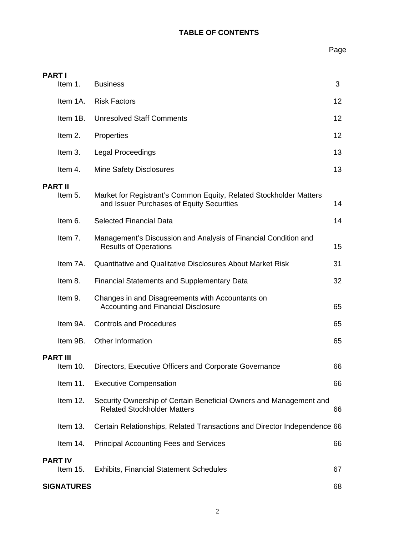# **TABLE OF CONTENTS**

# Page

| <b>PART I</b>     |          |                                                                                                                 |    |
|-------------------|----------|-----------------------------------------------------------------------------------------------------------------|----|
|                   | Item 1.  | <b>Business</b>                                                                                                 | 3  |
|                   | Item 1A. | <b>Risk Factors</b>                                                                                             | 12 |
|                   | Item 1B. | <b>Unresolved Staff Comments</b>                                                                                | 12 |
|                   | Item 2.  | Properties                                                                                                      | 12 |
|                   | Item 3.  | <b>Legal Proceedings</b>                                                                                        | 13 |
|                   | Item 4.  | <b>Mine Safety Disclosures</b>                                                                                  | 13 |
| <b>PART II</b>    | Item 5.  | Market for Registrant's Common Equity, Related Stockholder Matters<br>and Issuer Purchases of Equity Securities | 14 |
|                   | Item 6.  | <b>Selected Financial Data</b>                                                                                  | 14 |
|                   | Item 7.  | Management's Discussion and Analysis of Financial Condition and<br><b>Results of Operations</b>                 | 15 |
|                   | Item 7A. | <b>Quantitative and Qualitative Disclosures About Market Risk</b>                                               | 31 |
|                   | Item 8.  | <b>Financial Statements and Supplementary Data</b>                                                              | 32 |
|                   | Item 9.  | Changes in and Disagreements with Accountants on<br><b>Accounting and Financial Disclosure</b>                  | 65 |
|                   | Item 9A. | <b>Controls and Procedures</b>                                                                                  | 65 |
|                   | Item 9B. | Other Information                                                                                               | 65 |
| <b>PART III</b>   | Item 10. | Directors, Executive Officers and Corporate Governance                                                          | 66 |
|                   | Item 11. | <b>Executive Compensation</b>                                                                                   | 66 |
|                   | Item 12. | Security Ownership of Certain Beneficial Owners and Management and<br><b>Related Stockholder Matters</b>        | 66 |
|                   | Item 13. | Certain Relationships, Related Transactions and Director Independence 66                                        |    |
|                   | Item 14. | <b>Principal Accounting Fees and Services</b>                                                                   | 66 |
| <b>PART IV</b>    | Item 15. | <b>Exhibits, Financial Statement Schedules</b>                                                                  | 67 |
| <b>SIGNATURES</b> |          |                                                                                                                 | 68 |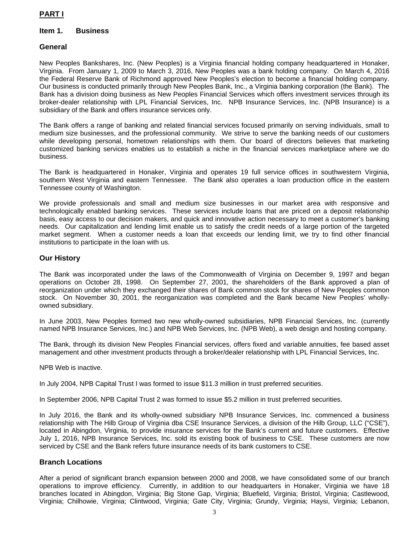# **PART I**

# **Item 1. Business**

# **General**

New Peoples Bankshares, Inc. (New Peoples) is a Virginia financial holding company headquartered in Honaker, Virginia. From January 1, 2009 to March 3, 2016, New Peoples was a bank holding company. On March 4, 2016 the Federal Reserve Bank of Richmond approved New Peoples's election to become a financial holding company. Our business is conducted primarily through New Peoples Bank, Inc., a Virginia banking corporation (the Bank). The Bank has a division doing business as New Peoples Financial Services which offers investment services through its broker-dealer relationship with LPL Financial Services, Inc. NPB Insurance Services, Inc. (NPB Insurance) is a subsidiary of the Bank and offers insurance services only.

The Bank offers a range of banking and related financial services focused primarily on serving individuals, small to medium size businesses, and the professional community. We strive to serve the banking needs of our customers while developing personal, hometown relationships with them. Our board of directors believes that marketing customized banking services enables us to establish a niche in the financial services marketplace where we do business.

The Bank is headquartered in Honaker, Virginia and operates 19 full service offices in southwestern Virginia, southern West Virginia and eastern Tennessee. The Bank also operates a loan production office in the eastern Tennessee county of Washington.

We provide professionals and small and medium size businesses in our market area with responsive and technologically enabled banking services. These services include loans that are priced on a deposit relationship basis, easy access to our decision makers, and quick and innovative action necessary to meet a customer's banking needs. Our capitalization and lending limit enable us to satisfy the credit needs of a large portion of the targeted market segment. When a customer needs a loan that exceeds our lending limit, we try to find other financial institutions to participate in the loan with us.

# **Our History**

The Bank was incorporated under the laws of the Commonwealth of Virginia on December 9, 1997 and began operations on October 28, 1998. On September 27, 2001, the shareholders of the Bank approved a plan of reorganization under which they exchanged their shares of Bank common stock for shares of New Peoples common stock. On November 30, 2001, the reorganization was completed and the Bank became New Peoples' whollyowned subsidiary.

In June 2003, New Peoples formed two new wholly-owned subsidiaries, NPB Financial Services, Inc. (currently named NPB Insurance Services, Inc.) and NPB Web Services, Inc. (NPB Web), a web design and hosting company.

The Bank, through its division New Peoples Financial services, offers fixed and variable annuities, fee based asset management and other investment products through a broker/dealer relationship with LPL Financial Services, Inc.

NPB Web is inactive.

In July 2004, NPB Capital Trust I was formed to issue \$11.3 million in trust preferred securities.

In September 2006, NPB Capital Trust 2 was formed to issue \$5.2 million in trust preferred securities.

In July 2016, the Bank and its wholly-owned subsidiary NPB Insurance Services, Inc. commenced a business relationship with The Hilb Group of Virginia dba CSE Insurance Services, a division of the Hilb Group, LLC ("CSE"), located in Abingdon, Virginia, to provide insurance services for the Bank's current and future customers. Effective July 1, 2016, NPB Insurance Services, Inc. sold its existing book of business to CSE. These customers are now serviced by CSE and the Bank refers future insurance needs of its bank customers to CSE.

#### **Branch Locations**

After a period of significant branch expansion between 2000 and 2008, we have consolidated some of our branch operations to improve efficiency. Currently, in addition to our headquarters in Honaker, Virginia we have 18 branches located in Abingdon, Virginia; Big Stone Gap, Virginia; Bluefield, Virginia; Bristol, Virginia; Castlewood, Virginia; Chilhowie, Virginia; Clintwood, Virginia; Gate City, Virginia; Grundy, Virginia; Haysi, Virginia; Lebanon,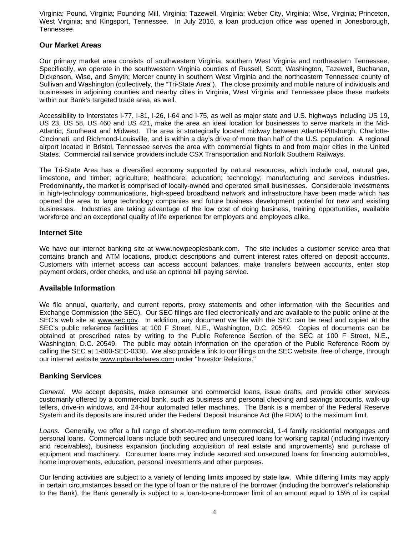Virginia; Pound, Virginia; Pounding Mill, Virginia; Tazewell, Virginia; Weber City, Virginia; Wise, Virginia; Princeton, West Virginia; and Kingsport, Tennessee. In July 2016, a loan production office was opened in Jonesborough, Tennessee.

# **Our Market Areas**

Our primary market area consists of southwestern Virginia, southern West Virginia and northeastern Tennessee. Specifically, we operate in the southwestern Virginia counties of Russell, Scott, Washington, Tazewell, Buchanan, Dickenson, Wise, and Smyth; Mercer county in southern West Virginia and the northeastern Tennessee county of Sullivan and Washington (collectively, the "Tri-State Area"). The close proximity and mobile nature of individuals and businesses in adjoining counties and nearby cities in Virginia, West Virginia and Tennessee place these markets within our Bank's targeted trade area, as well.

Accessibility to Interstates I-77, I-81, I-26, I-64 and I-75, as well as major state and U.S. highways including US 19, US 23, US 58, US 460 and US 421, make the area an ideal location for businesses to serve markets in the Mid-Atlantic, Southeast and Midwest. The area is strategically located midway between Atlanta-Pittsburgh, Charlotte-Cincinnati, and Richmond-Louisville, and is within a day's drive of more than half of the U.S. population. A regional airport located in Bristol, Tennessee serves the area with commercial flights to and from major cities in the United States. Commercial rail service providers include CSX Transportation and Norfolk Southern Railways.

The Tri-State Area has a diversified economy supported by natural resources, which include coal, natural gas, limestone, and timber; agriculture; healthcare; education; technology; manufacturing and services industries. Predominantly, the market is comprised of locally-owned and operated small businesses. Considerable investments in high-technology communications, high-speed broadband network and infrastructure have been made which has opened the area to large technology companies and future business development potential for new and existing businesses. Industries are taking advantage of the low cost of doing business, training opportunities, available workforce and an exceptional quality of life experience for employers and employees alike.

#### **Internet Site**

We have our internet banking site at www.newpeoplesbank.com. The site includes a customer service area that contains branch and ATM locations, product descriptions and current interest rates offered on deposit accounts. Customers with internet access can access account balances, make transfers between accounts, enter stop payment orders, order checks, and use an optional bill paying service.

#### **Available Information**

We file annual, quarterly, and current reports, proxy statements and other information with the Securities and Exchange Commission (the SEC). Our SEC filings are filed electronically and are available to the public online at the SEC's web site at www.sec.gov. In addition, any document we file with the SEC can be read and copied at the SEC's public reference facilities at 100 F Street, N.E., Washington, D.C. 20549. Copies of documents can be obtained at prescribed rates by writing to the Public Reference Section of the SEC at 100 F Street, N.E., Washington, D.C. 20549. The public may obtain information on the operation of the Public Reference Room by calling the SEC at 1-800-SEC-0330. We also provide a link to our filings on the SEC website, free of charge, through our internet website www.npbankshares.com under "Investor Relations."

# **Banking Services**

*General*. We accept deposits, make consumer and commercial loans, issue drafts, and provide other services customarily offered by a commercial bank, such as business and personal checking and savings accounts, walk-up tellers, drive-in windows, and 24-hour automated teller machines. The Bank is a member of the Federal Reserve System and its deposits are insured under the Federal Deposit Insurance Act (the FDIA) to the maximum limit.

*Loans.* Generally, we offer a full range of short-to-medium term commercial, 1-4 family residential mortgages and personal loans. Commercial loans include both secured and unsecured loans for working capital (including inventory and receivables), business expansion (including acquisition of real estate and improvements) and purchase of equipment and machinery. Consumer loans may include secured and unsecured loans for financing automobiles, home improvements, education, personal investments and other purposes.

Our lending activities are subject to a variety of lending limits imposed by state law. While differing limits may apply in certain circumstances based on the type of loan or the nature of the borrower (including the borrower's relationship to the Bank), the Bank generally is subject to a loan-to-one-borrower limit of an amount equal to 15% of its capital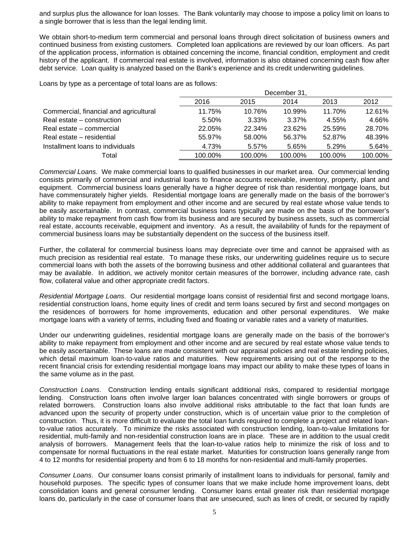and surplus plus the allowance for loan losses. The Bank voluntarily may choose to impose a policy limit on loans to a single borrower that is less than the legal lending limit.

We obtain short-to-medium term commercial and personal loans through direct solicitation of business owners and continued business from existing customers. Completed loan applications are reviewed by our loan officers. As part of the application process, information is obtained concerning the income, financial condition, employment and credit history of the applicant. If commercial real estate is involved, information is also obtained concerning cash flow after debt service. Loan quality is analyzed based on the Bank's experience and its credit underwriting guidelines.

Loans by type as a percentage of total loans are as follows:

|                                        | December 31, |         |         |         |         |  |  |  |  |  |  |
|----------------------------------------|--------------|---------|---------|---------|---------|--|--|--|--|--|--|
|                                        | 2016         | 2015    | 2014    | 2013    | 2012    |  |  |  |  |  |  |
| Commercial, financial and agricultural | 11.75%       | 10.76%  | 10.99%  | 11.70%  | 12.61%  |  |  |  |  |  |  |
| Real estate – construction             | 5.50%        | 3.33%   | 3.37%   | 4.55%   | 4.66%   |  |  |  |  |  |  |
| Real estate – commercial               | 22.05%       | 22.34%  | 23.62%  | 25.59%  | 28.70%  |  |  |  |  |  |  |
| Real estate – residential              | 55.97%       | 58.00%  | 56.37%  | 52.87%  | 48.39%  |  |  |  |  |  |  |
| Installment loans to individuals       | 4.73%        | 5.57%   | 5.65%   | 5.29%   | 5.64%   |  |  |  |  |  |  |
| Total                                  | 100.00%      | 100.00% | 100.00% | 100.00% | 100.00% |  |  |  |  |  |  |

*Commercial Loans*. We make commercial loans to qualified businesses in our market area. Our commercial lending consists primarily of commercial and industrial loans to finance accounts receivable, inventory, property, plant and equipment. Commercial business loans generally have a higher degree of risk than residential mortgage loans, but have commensurately higher yields. Residential mortgage loans are generally made on the basis of the borrower's ability to make repayment from employment and other income and are secured by real estate whose value tends to be easily ascertainable. In contrast, commercial business loans typically are made on the basis of the borrower's ability to make repayment from cash flow from its business and are secured by business assets, such as commercial real estate, accounts receivable, equipment and inventory. As a result, the availability of funds for the repayment of commercial business loans may be substantially dependent on the success of the business itself.

Further, the collateral for commercial business loans may depreciate over time and cannot be appraised with as much precision as residential real estate. To manage these risks, our underwriting guidelines require us to secure commercial loans with both the assets of the borrowing business and other additional collateral and guarantees that may be available. In addition, we actively monitor certain measures of the borrower, including advance rate, cash flow, collateral value and other appropriate credit factors.

*Residential Mortgage Loans*. Our residential mortgage loans consist of residential first and second mortgage loans, residential construction loans, home equity lines of credit and term loans secured by first and second mortgages on the residences of borrowers for home improvements, education and other personal expenditures. We make mortgage loans with a variety of terms, including fixed and floating or variable rates and a variety of maturities.

Under our underwriting guidelines, residential mortgage loans are generally made on the basis of the borrower's ability to make repayment from employment and other income and are secured by real estate whose value tends to be easily ascertainable. These loans are made consistent with our appraisal policies and real estate lending policies, which detail maximum loan-to-value ratios and maturities. New requirements arising out of the response to the recent financial crisis for extending residential mortgage loans may impact our ability to make these types of loans in the same volume as in the past.

*Construction Loans*. Construction lending entails significant additional risks, compared to residential mortgage lending. Construction loans often involve larger loan balances concentrated with single borrowers or groups of related borrowers. Construction loans also involve additional risks attributable to the fact that loan funds are advanced upon the security of property under construction, which is of uncertain value prior to the completion of construction. Thus, it is more difficult to evaluate the total loan funds required to complete a project and related loanto-value ratios accurately. To minimize the risks associated with construction lending, loan-to-value limitations for residential, multi-family and non-residential construction loans are in place. These are in addition to the usual credit analysis of borrowers. Management feels that the loan-to-value ratios help to minimize the risk of loss and to compensate for normal fluctuations in the real estate market. Maturities for construction loans generally range from 4 to 12 months for residential property and from 6 to 18 months for non-residential and multi-family properties.

*Consumer Loans*. Our consumer loans consist primarily of installment loans to individuals for personal, family and household purposes. The specific types of consumer loans that we make include home improvement loans, debt consolidation loans and general consumer lending. Consumer loans entail greater risk than residential mortgage loans do, particularly in the case of consumer loans that are unsecured, such as lines of credit, or secured by rapidly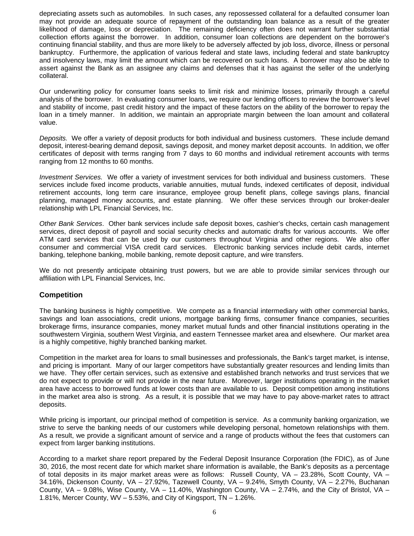depreciating assets such as automobiles. In such cases, any repossessed collateral for a defaulted consumer loan may not provide an adequate source of repayment of the outstanding loan balance as a result of the greater likelihood of damage, loss or depreciation. The remaining deficiency often does not warrant further substantial collection efforts against the borrower. In addition, consumer loan collections are dependent on the borrower's continuing financial stability, and thus are more likely to be adversely affected by job loss, divorce, illness or personal bankruptcy. Furthermore, the application of various federal and state laws, including federal and state bankruptcy and insolvency laws, may limit the amount which can be recovered on such loans. A borrower may also be able to assert against the Bank as an assignee any claims and defenses that it has against the seller of the underlying collateral.

Our underwriting policy for consumer loans seeks to limit risk and minimize losses, primarily through a careful analysis of the borrower. In evaluating consumer loans, we require our lending officers to review the borrower's level and stability of income, past credit history and the impact of these factors on the ability of the borrower to repay the loan in a timely manner. In addition, we maintain an appropriate margin between the loan amount and collateral value.

*Deposits.* We offer a variety of deposit products for both individual and business customers. These include demand deposit, interest-bearing demand deposit, savings deposit, and money market deposit accounts. In addition, we offer certificates of deposit with terms ranging from 7 days to 60 months and individual retirement accounts with terms ranging from 12 months to 60 months.

*Investment Services.* We offer a variety of investment services for both individual and business customers. These services include fixed income products, variable annuities, mutual funds, indexed certificates of deposit, individual retirement accounts, long term care insurance, employee group benefit plans, college savings plans, financial planning, managed money accounts, and estate planning. We offer these services through our broker-dealer relationship with LPL Financial Services, Inc.

*Other Bank Services*. Other bank services include safe deposit boxes, cashier's checks, certain cash management services, direct deposit of payroll and social security checks and automatic drafts for various accounts. We offer ATM card services that can be used by our customers throughout Virginia and other regions. We also offer consumer and commercial VISA credit card services. Electronic banking services include debit cards, internet banking, telephone banking, mobile banking, remote deposit capture, and wire transfers.

We do not presently anticipate obtaining trust powers, but we are able to provide similar services through our affiliation with LPL Financial Services, Inc.

# **Competition**

The banking business is highly competitive. We compete as a financial intermediary with other commercial banks, savings and loan associations, credit unions, mortgage banking firms, consumer finance companies, securities brokerage firms, insurance companies, money market mutual funds and other financial institutions operating in the southwestern Virginia, southern West Virginia, and eastern Tennessee market area and elsewhere. Our market area is a highly competitive, highly branched banking market.

Competition in the market area for loans to small businesses and professionals, the Bank's target market, is intense, and pricing is important. Many of our larger competitors have substantially greater resources and lending limits than we have. They offer certain services, such as extensive and established branch networks and trust services that we do not expect to provide or will not provide in the near future. Moreover, larger institutions operating in the market area have access to borrowed funds at lower costs than are available to us. Deposit competition among institutions in the market area also is strong. As a result, it is possible that we may have to pay above-market rates to attract deposits.

While pricing is important, our principal method of competition is service. As a community banking organization, we strive to serve the banking needs of our customers while developing personal, hometown relationships with them. As a result, we provide a significant amount of service and a range of products without the fees that customers can expect from larger banking institutions.

According to a market share report prepared by the Federal Deposit Insurance Corporation (the FDIC), as of June 30, 2016, the most recent date for which market share information is available, the Bank's deposits as a percentage of total deposits in its major market areas were as follows: Russell County, VA – 23.28%, Scott County, VA – 34.16%, Dickenson County, VA – 27.92%, Tazewell County, VA – 9.24%, Smyth County, VA – 2.27%, Buchanan County, VA – 9.08%, Wise County, VA – 11.40%, Washington County, VA – 2.74%, and the City of Bristol, VA – 1.81%, Mercer County, WV – 5.53%, and City of Kingsport, TN – 1.26%.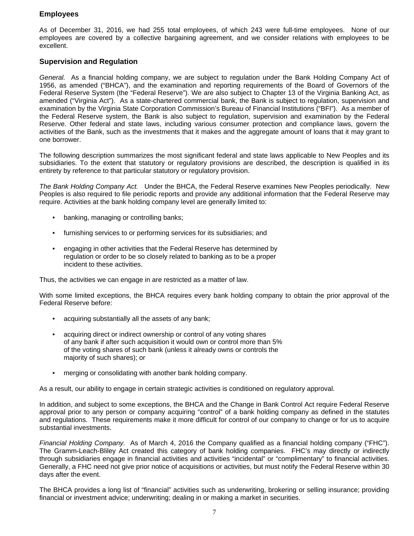# **Employees**

As of December 31, 2016, we had 255 total employees, of which 243 were full-time employees. None of our employees are covered by a collective bargaining agreement, and we consider relations with employees to be excellent.

# **Supervision and Regulation**

*General.* As a financial holding company, we are subject to regulation under the Bank Holding Company Act of 1956, as amended ("BHCA"), and the examination and reporting requirements of the Board of Governors of the Federal Reserve System (the "Federal Reserve"). We are also subject to Chapter 13 of the Virginia Banking Act, as amended ("Virginia Act"). As a state-chartered commercial bank, the Bank is subject to regulation, supervision and examination by the Virginia State Corporation Commission's Bureau of Financial Institutions ("BFI"). As a member of the Federal Reserve system, the Bank is also subject to regulation, supervision and examination by the Federal Reserve. Other federal and state laws, including various consumer protection and compliance laws, govern the activities of the Bank, such as the investments that it makes and the aggregate amount of loans that it may grant to one borrower.

The following description summarizes the most significant federal and state laws applicable to New Peoples and its subsidiaries. To the extent that statutory or regulatory provisions are described, the description is qualified in its entirety by reference to that particular statutory or regulatory provision.

*The Bank Holding Company Act.* Under the BHCA, the Federal Reserve examines New Peoples periodically. New Peoples is also required to file periodic reports and provide any additional information that the Federal Reserve may require. Activities at the bank holding company level are generally limited to:

- banking, managing or controlling banks;
- furnishing services to or performing services for its subsidiaries; and
- engaging in other activities that the Federal Reserve has determined by regulation or order to be so closely related to banking as to be a proper incident to these activities.

Thus, the activities we can engage in are restricted as a matter of law.

With some limited exceptions, the BHCA requires every bank holding company to obtain the prior approval of the Federal Reserve before:

- acquiring substantially all the assets of any bank;
- acquiring direct or indirect ownership or control of any voting shares of any bank if after such acquisition it would own or control more than 5% of the voting shares of such bank (unless it already owns or controls the majority of such shares); or
- merging or consolidating with another bank holding company.

As a result, our ability to engage in certain strategic activities is conditioned on regulatory approval.

In addition, and subject to some exceptions, the BHCA and the Change in Bank Control Act require Federal Reserve approval prior to any person or company acquiring "control" of a bank holding company as defined in the statutes and regulations. These requirements make it more difficult for control of our company to change or for us to acquire substantial investments.

*Financial Holding Company.* As of March 4, 2016 the Company qualified as a financial holding company ("FHC"). The Gramm-Leach-Bliley Act created this category of bank holding companies. FHC's may directly or indirectly through subsidiaries engage in financial activities and activities "incidental" or "complimentary" to financial activities. Generally, a FHC need not give prior notice of acquisitions or activities, but must notify the Federal Reserve within 30 days after the event.

The BHCA provides a long list of "financial" activities such as underwriting, brokering or selling insurance; providing financial or investment advice; underwriting; dealing in or making a market in securities.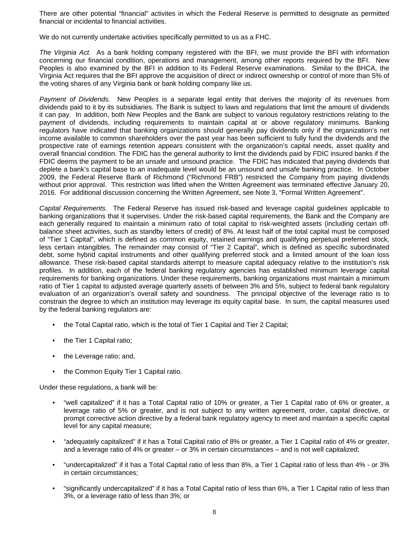There are other potential "financial" activites in which the Federal Reserve is permitted to designate as permitted financial or incidental to financial activities.

We do not currently undertake activities specifically permitted to us as a FHC.

*The Virginia Act.* As a bank holding company registered with the BFI, we must provide the BFI with information concerning our financial condition, operations and management, among other reports required by the BFI. New Peoples is also examined by the BFI in addition to its Federal Reserve examinations. Similar to the BHCA, the Virginia Act requires that the BFI approve the acquisition of direct or indirect ownership or control of more than 5% of the voting shares of any Virginia bank or bank holding company like us.

*Payment of Dividends.* New Peoples is a separate legal entity that derives the majority of its revenues from dividends paid to it by its subsidiaries. The Bank is subject to laws and regulations that limit the amount of dividends it can pay. In addition, both New Peoples and the Bank are subject to various regulatory restrictions relating to the payment of dividends, including requirements to maintain capital at or above regulatory minimums. Banking regulators have indicated that banking organizations should generally pay dividends only if the organization's net income available to common shareholders over the past year has been sufficient to fully fund the dividends and the prospective rate of earnings retention appears consistent with the organization's capital needs, asset quality and overall financial condition. The FDIC has the general authority to limit the dividends paid by FDIC insured banks if the FDIC deems the payment to be an unsafe and unsound practice. The FDIC has indicated that paying dividends that deplete a bank's capital base to an inadequate level would be an unsound and unsafe banking practice. In October 2009, the Federal Reserve Bank of Richmond ("Richmond FRB") restricted the Company from paying dividends without prior approval. This restriction was lifted when the Written Agreement was terminated effective January 20, 2016. For additional discussion concerning the Written Agreement, see Note 3, "Formal Written Agreement".

*Capital Requirements.* The Federal Reserve has issued risk-based and leverage capital guidelines applicable to banking organizations that it supervises. Under the risk-based capital requirements, the Bank and the Company are each generally required to maintain a minimum ratio of total capital to risk-weighted assets (including certain offbalance sheet activities, such as standby letters of credit) of 8%. At least half of the total capital must be composed of "Tier 1 Capital", which is defined as common equity, retained earnings and qualifying perpetual preferred stock, less certain intangibles. The remainder may consist of "Tier 2 Capital", which is defined as specific subordinated debt, some hybrid capital instruments and other qualifying preferred stock and a limited amount of the loan loss allowance. These risk-based capital standards attempt to measure capital adequacy relative to the institution's risk profiles. In addition, each of the federal banking regulatory agencies has established minimum leverage capital requirements for banking organizations. Under these requirements, banking organizations must maintain a minimum ratio of Tier 1 capital to adjusted average quarterly assets of between 3% and 5%, subject to federal bank regulatory evaluation of an organization's overall safety and soundness. The principal objective of the leverage ratio is to constrain the degree to which an institution may leverage its equity capital base. In sum, the capital measures used by the federal banking regulators are:

- the Total Capital ratio, which is the total of Tier 1 Capital and Tier 2 Capital;
- the Tier 1 Capital ratio;
- the Leverage ratio; and,
- the Common Equity Tier 1 Capital ratio.

Under these regulations, a bank will be:

- "well capitalized" if it has a Total Capital ratio of 10% or greater, a Tier 1 Capital ratio of 6% or greater, a leverage ratio of 5% or greater, and is not subject to any written agreement, order, capital directive, or prompt corrective action directive by a federal bank regulatory agency to meet and maintain a specific capital level for any capital measure;
- "adequately capitalized" if it has a Total Capital ratio of 8% or greater, a Tier 1 Capital ratio of 4% or greater, and a leverage ratio of 4% or greater – or 3% in certain circumstances – and is not well capitalized;
- "undercapitalized" if it has a Total Capital ratio of less than 8%, a Tier 1 Capital ratio of less than 4% or 3% in certain circumstances;
- "significantly undercapitalized" if it has a Total Capital ratio of less than 6%, a Tier 1 Capital ratio of less than 3%, or a leverage ratio of less than 3%; or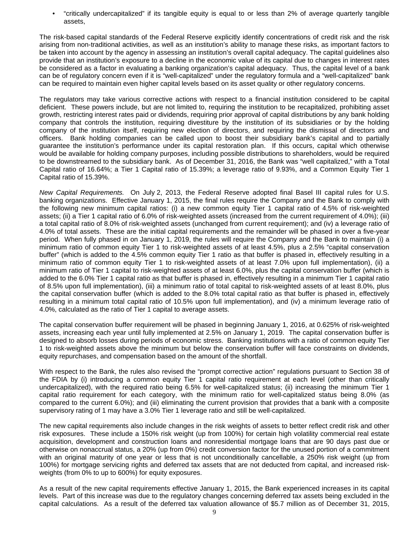• "critically undercapitalized" if its tangible equity is equal to or less than 2% of average quarterly tangible assets,

The risk-based capital standards of the Federal Reserve explicitly identify concentrations of credit risk and the risk arising from non-traditional activities, as well as an institution's ability to manage these risks, as important factors to be taken into account by the agency in assessing an institution's overall capital adequacy. The capital guidelines also provide that an institution's exposure to a decline in the economic value of its capital due to changes in interest rates be considered as a factor in evaluating a banking organization's capital adequacy. Thus, the capital level of a bank can be of regulatory concern even if it is "well-capitalized" under the regulatory formula and a "well-capitalized" bank can be required to maintain even higher capital levels based on its asset quality or other regulatory concerns.

The regulators may take various corrective actions with respect to a financial institution considered to be capital deficient. These powers include, but are not limited to, requiring the institution to be recapitalized, prohibiting asset growth, restricting interest rates paid or dividends, requiring prior approval of capital distributions by any bank holding company that controls the institution, requiring divestiture by the institution of its subsidiaries or by the holding company of the institution itself, requiring new election of directors, and requiring the dismissal of directors and officers. Bank holding companies can be called upon to boost their subsidiary bank's capital and to partially guarantee the institution's performance under its capital restoration plan. If this occurs, capital which otherwise would be available for holding company purposes, including possible distributions to shareholders, would be required to be downstreamed to the subsidiary bank. As of December 31, 2016, the Bank was "well capitalized," with a Total Capital ratio of 16.64%; a Tier 1 Capital ratio of 15.39%; a leverage ratio of 9.93%, and a Common Equity Tier 1 Capital ratio of 15.39%.

*New Capital Requirements.* On July 2, 2013, the Federal Reserve adopted final Basel III capital rules for U.S. banking organizations. Effective January 1, 2015, the final rules require the Company and the Bank to comply with the following new minimum capital ratios: (i) a new common equity Tier 1 capital ratio of 4.5% of risk-weighted assets; (ii) a Tier 1 capital ratio of 6.0% of risk-weighted assets (increased from the current requirement of 4.0%); (iii) a total capital ratio of 8.0% of risk-weighted assets (unchanged from current requirement); and (iv) a leverage ratio of 4.0% of total assets. These are the initial capital requirements and the remainder will be phased in over a five-year period. When fully phased in on January 1, 2019, the rules will require the Company and the Bank to maintain (i) a minimum ratio of common equity Tier 1 to risk-weighted assets of at least 4.5%, plus a 2.5% "capital conservation buffer" (which is added to the 4.5% common equity Tier 1 ratio as that buffer is phased in, effectively resulting in a minimum ratio of common equity Tier 1 to risk-weighted assets of at least 7.0% upon full implementation), (ii) a minimum ratio of Tier 1 capital to risk-weighted assets of at least 6.0%, plus the capital conservation buffer (which is added to the 6.0% Tier 1 capital ratio as that buffer is phased in, effectively resulting in a minimum Tier 1 capital ratio of 8.5% upon full implementation), (iii) a minimum ratio of total capital to risk-weighted assets of at least 8.0%, plus the capital conservation buffer (which is added to the 8.0% total capital ratio as that buffer is phased in, effectively resulting in a minimum total capital ratio of 10.5% upon full implementation), and (iv) a minimum leverage ratio of 4.0%, calculated as the ratio of Tier 1 capital to average assets.

The capital conservation buffer requirement will be phased in beginning January 1, 2016, at 0.625% of risk-weighted assets, increasing each year until fully implemented at 2.5% on January 1, 2019. The capital conservation buffer is designed to absorb losses during periods of economic stress. Banking institutions with a ratio of common equity Tier 1 to risk-weighted assets above the minimum but below the conservation buffer will face constraints on dividends, equity repurchases, and compensation based on the amount of the shortfall.

With respect to the Bank, the rules also revised the "prompt corrective action" regulations pursuant to Section 38 of the FDIA by (i) introducing a common equity Tier 1 capital ratio requirement at each level (other than critically undercapitalized), with the required ratio being 6.5% for well-capitalized status; (ii) increasing the minimum Tier 1 capital ratio requirement for each category, with the minimum ratio for well-capitalized status being 8.0% (as compared to the current 6.0%); and (iii) eliminating the current provision that provides that a bank with a composite supervisory rating of 1 may have a 3.0% Tier 1 leverage ratio and still be well-capitalized.

The new capital requirements also include changes in the risk weights of assets to better reflect credit risk and other risk exposures. These include a 150% risk weight (up from 100%) for certain high volatility commercial real estate acquisition, development and construction loans and nonresidential mortgage loans that are 90 days past due or otherwise on nonaccrual status, a 20% (up from 0%) credit conversion factor for the unused portion of a commitment with an original maturity of one year or less that is not unconditionally cancellable, a 250% risk weight (up from 100%) for mortgage servicing rights and deferred tax assets that are not deducted from capital, and increased riskweights (from 0% to up to 600%) for equity exposures.

As a result of the new capital requirements effective January 1, 2015, the Bank experienced increases in its capital levels. Part of this increase was due to the regulatory changes concerning deferred tax assets being excluded in the capital calculations. As a result of the deferred tax valuation allowance of \$5.7 million as of December 31, 2015,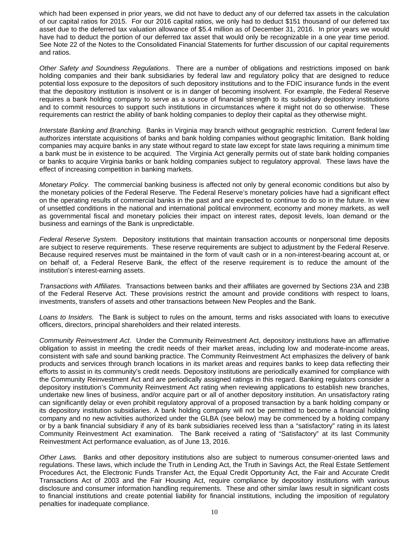which had been expensed in prior years, we did not have to deduct any of our deferred tax assets in the calculation of our capital ratios for 2015. For our 2016 capital ratios, we only had to deduct \$151 thousand of our deferred tax asset due to the deferred tax valuation allowance of \$5.4 million as of December 31, 2016. In prior years we would have had to deduct the portion of our deferred tax asset that would only be recognizable in a one year time period. See Note 22 of the Notes to the Consolidated Financial Statements for further discussion of our capital requirements and ratios.

*Other Safety and Soundness Regulations*. There are a number of obligations and restrictions imposed on bank holding companies and their bank subsidiaries by federal law and regulatory policy that are designed to reduce potential loss exposure to the depositors of such depository institutions and to the FDIC insurance funds in the event that the depository institution is insolvent or is in danger of becoming insolvent. For example, the Federal Reserve requires a bank holding company to serve as a source of financial strength to its subsidiary depository institutions and to commit resources to support such institutions in circumstances where it might not do so otherwise. These requirements can restrict the ability of bank holding companies to deploy their capital as they otherwise might.

*Interstate Banking and Branching.* Banks in Virginia may branch without geographic restriction. Current federal law authorizes interstate acquisitions of banks and bank holding companies without geographic limitation. Bank holding companies may acquire banks in any state without regard to state law except for state laws requiring a minimum time a bank must be in existence to be acquired. The Virginia Act generally permits out of state bank holding companies or banks to acquire Virginia banks or bank holding companies subject to regulatory approval. These laws have the effect of increasing competition in banking markets.

*Monetary Policy.* The commercial banking business is affected not only by general economic conditions but also by the monetary policies of the Federal Reserve. The Federal Reserve's monetary policies have had a significant effect on the operating results of commercial banks in the past and are expected to continue to do so in the future. In view of unsettled conditions in the national and international political environment, economy and money markets, as well as governmental fiscal and monetary policies their impact on interest rates, deposit levels, loan demand or the business and earnings of the Bank is unpredictable.

*Federal Reserve System.* Depository institutions that maintain transaction accounts or nonpersonal time deposits are subject to reserve requirements. These reserve requirements are subject to adjustment by the Federal Reserve. Because required reserves must be maintained in the form of vault cash or in a non-interest-bearing account at, or on behalf of, a Federal Reserve Bank, the effect of the reserve requirement is to reduce the amount of the institution's interest-earning assets.

*Transactions with Affiliates.* Transactions between banks and their affiliates are governed by Sections 23A and 23B of the Federal Reserve Act. These provisions restrict the amount and provide conditions with respect to loans, investments, transfers of assets and other transactions between New Peoples and the Bank.

*Loans to Insiders.* The Bank is subject to rules on the amount, terms and risks associated with loans to executive officers, directors, principal shareholders and their related interests.

*Community Reinvestment Act.* Under the Community Reinvestment Act, depository institutions have an affirmative obligation to assist in meeting the credit needs of their market areas, including low and moderate-income areas, consistent with safe and sound banking practice. The Community Reinvestment Act emphasizes the delivery of bank products and services through branch locations in its market areas and requires banks to keep data reflecting their efforts to assist in its community's credit needs. Depository institutions are periodically examined for compliance with the Community Reinvestment Act and are periodically assigned ratings in this regard. Banking regulators consider a depository institution's Community Reinvestment Act rating when reviewing applications to establish new branches, undertake new lines of business, and/or acquire part or all of another depository institution. An unsatisfactory rating can significantly delay or even prohibit regulatory approval of a proposed transaction by a bank holding company or its depository institution subsidiaries. A bank holding company will not be permitted to become a financial holding company and no new activities authorized under the GLBA (see below) may be commenced by a holding company or by a bank financial subsidiary if any of its bank subsidiaries received less than a "satisfactory" rating in its latest Community Reinvestment Act examination. The Bank received a rating of "Satisfactory" at its last Community Reinvestment Act performance evaluation, as of June 13, 2016.

*Other Laws.* Banks and other depository institutions also are subject to numerous consumer-oriented laws and regulations. These laws, which include the Truth in Lending Act, the Truth in Savings Act, the Real Estate Settlement Procedures Act, the Electronic Funds Transfer Act, the Equal Credit Opportunity Act, the Fair and Accurate Credit Transactions Act of 2003 and the Fair Housing Act, require compliance by depository institutions with various disclosure and consumer information handling requirements. These and other similar laws result in significant costs to financial institutions and create potential liability for financial institutions, including the imposition of regulatory penalties for inadequate compliance.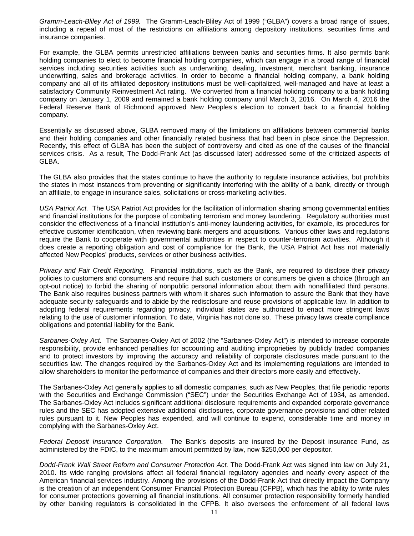*Gramm-Leach-Bliley Act of 1999.* The Gramm-Leach-Bliley Act of 1999 ("GLBA") covers a broad range of issues, including a repeal of most of the restrictions on affiliations among depository institutions, securities firms and insurance companies.

For example, the GLBA permits unrestricted affiliations between banks and securities firms. It also permits bank holding companies to elect to become financial holding companies, which can engage in a broad range of financial services including securities activities such as underwriting, dealing, investment, merchant banking, insurance underwriting, sales and brokerage activities. In order to become a financial holding company, a bank holding company and all of its affiliated depository institutions must be well-capitalized, well-managed and have at least a satisfactory Community Reinvestment Act rating. We converted from a financial holidng company to a bank holding company on January 1, 2009 and remained a bank holding company until March 3, 2016. On March 4, 2016 the Federal Reserve Bank of Richmond approved New Peoples's election to convert back to a financial holding company.

Essentially as discussed above, GLBA removed many of the limitations on affiliations between commercial banks and their holding companies and other financially related business that had been in place since the Depression. Recently, this effect of GLBA has been the subject of controversy and cited as one of the causes of the financial services crisis. As a result, The Dodd-Frank Act (as discussed later) addressed some of the criticized aspects of GLBA.

The GLBA also provides that the states continue to have the authority to regulate insurance activities, but prohibits the states in most instances from preventing or significantly interfering with the ability of a bank, directly or through an affiliate, to engage in insurance sales, solicitations or cross-marketing activities.

*USA Patriot Act.* The USA Patriot Act provides for the facilitation of information sharing among governmental entities and financial institutions for the purpose of combating terrorism and money laundering. Regulatory authorities must consider the effectiveness of a financial institution's anti-money laundering activities, for example, its procedures for effective customer identification, when reviewing bank mergers and acquisitions. Various other laws and regulations require the Bank to cooperate with governmental authorities in respect to counter-terrorism activities. Although it does create a reporting obligation and cost of compliance for the Bank, the USA Patriot Act has not materially affected New Peoples' products, services or other business activities.

*Privacy and Fair Credit Reporting.* Financial institutions, such as the Bank, are required to disclose their privacy policies to customers and consumers and require that such customers or consumers be given a choice (through an opt-out notice) to forbid the sharing of nonpublic personal information about them with nonaffiliated third persons. The Bank also requires business partners with whom it shares such information to assure the Bank that they have adequate security safeguards and to abide by the redisclosure and reuse provisions of applicable law. In addition to adopting federal requirements regarding privacy, individual states are authorized to enact more stringent laws relating to the use of customer information. To date, Virginia has not done so. These privacy laws create compliance obligations and potential liability for the Bank.

*Sarbanes-Oxley Act.* The Sarbanes-Oxley Act of 2002 (the "Sarbanes-Oxley Act") is intended to increase corporate responsibility, provide enhanced penalties for accounting and auditing improprieties by publicly traded companies and to protect investors by improving the accuracy and reliability of corporate disclosures made pursuant to the securities law. The changes required by the Sarbanes-Oxley Act and its implementing regulations are intended to allow shareholders to monitor the performance of companies and their directors more easily and effectively.

The Sarbanes-Oxley Act generally applies to all domestic companies, such as New Peoples, that file periodic reports with the Securities and Exchange Commission ("SEC") under the Securities Exchange Act of 1934, as amended. The Sarbanes-Oxley Act includes significant additional disclosure requirements and expanded corporate governance rules and the SEC has adopted extensive additional disclosures, corporate governance provisions and other related rules pursuant to it. New Peoples has expended, and will continue to expend, considerable time and money in complying with the Sarbanes-Oxley Act.

*Federal Deposit Insurance Corporation.* The Bank's deposits are insured by the Deposit insurance Fund, as administered by the FDIC, to the maximum amount permitted by law, now \$250,000 per depositor.

*Dodd-Frank Wall Street Reform and Consumer Protection Act.* The Dodd-Frank Act was signed into law on July 21, 2010. Its wide ranging provisions affect all federal financial regulatory agencies and nearly every aspect of the American financial services industry. Among the provisions of the Dodd-Frank Act that directly impact the Company is the creation of an independent Consumer Financial Protection Bureau (CFPB), which has the ability to write rules for consumer protections governing all financial institutions. All consumer protection responsibility formerly handled by other banking regulators is consolidated in the CFPB. It also oversees the enforcement of all federal laws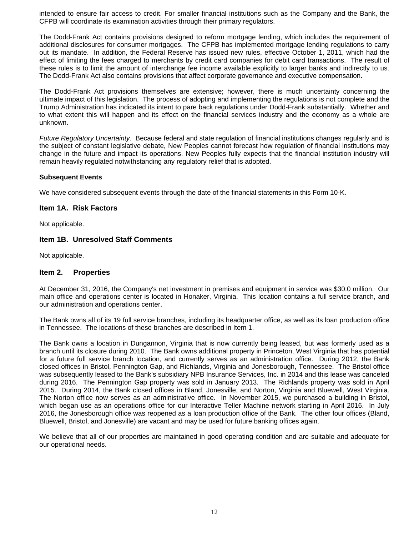intended to ensure fair access to credit. For smaller financial institutions such as the Company and the Bank, the CFPB will coordinate its examination activities through their primary regulators.

The Dodd-Frank Act contains provisions designed to reform mortgage lending, which includes the requirement of additional disclosures for consumer mortgages. The CFPB has implemented mortgage lending regulations to carry out its mandate. In addition, the Federal Reserve has issued new rules, effective October 1, 2011, which had the effect of limiting the fees charged to merchants by credit card companies for debit card transactions. The result of these rules is to limit the amount of interchange fee income available explicitly to larger banks and indirectly to us. The Dodd-Frank Act also contains provisions that affect corporate governance and executive compensation.

The Dodd-Frank Act provisions themselves are extensive; however, there is much uncertainty concerning the ultimate impact of this legislation. The process of adopting and implementing the regulations is not complete and the Trump Administration has indicated its intent to pare back regulations under Dodd-Frank substantially. Whether and to what extent this will happen and its effect on the financial services industry and the economy as a whole are unknown.

*Future Regulatory Uncertainty.* Because federal and state regulation of financial institutions changes regularly and is the subject of constant legislative debate, New Peoples cannot forecast how regulation of financial institutions may change in the future and impact its operations. New Peoples fully expects that the financial institution industry will remain heavily regulated notwithstanding any regulatory relief that is adopted.

#### **Subsequent Events**

We have considered subsequent events through the date of the financial statements in this Form 10-K.

#### **Item 1A. Risk Factors**

Not applicable.

#### **Item 1B. Unresolved Staff Comments**

Not applicable.

#### **Item 2. Properties**

At December 31, 2016, the Company's net investment in premises and equipment in service was \$30.0 million. Our main office and operations center is located in Honaker, Virginia. This location contains a full service branch, and our administration and operations center.

The Bank owns all of its 19 full service branches, including its headquarter office, as well as its loan production office in Tennessee. The locations of these branches are described in Item 1.

The Bank owns a location in Dungannon, Virginia that is now currently being leased, but was formerly used as a branch until its closure during 2010. The Bank owns additional property in Princeton, West Virginia that has potential for a future full service branch location, and currently serves as an administration office. During 2012, the Bank closed offices in Bristol, Pennington Gap, and Richlands, Virginia and Jonesborough, Tennessee. The Bristol office was subsequently leased to the Bank's subsidiary NPB Insurance Services, Inc. in 2014 and this lease was canceled during 2016. The Pennington Gap property was sold in January 2013. The Richlands property was sold in April 2015. During 2014, the Bank closed offices in Bland, Jonesville, and Norton, Virginia and Bluewell, West Virginia. The Norton office now serves as an administrative office. In November 2015, we purchased a building in Bristol, which began use as an operations office for our Interactive Teller Machine network starting in April 2016. In July 2016, the Jonesborough office was reopened as a loan production office of the Bank. The other four offices (Bland, Bluewell, Bristol, and Jonesville) are vacant and may be used for future banking offices again.

We believe that all of our properties are maintained in good operating condition and are suitable and adequate for our operational needs.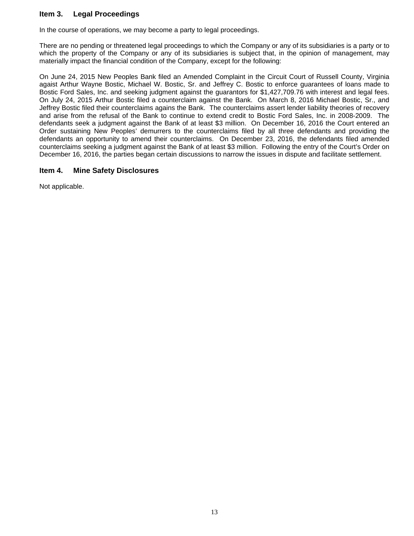# **Item 3. Legal Proceedings**

In the course of operations, we may become a party to legal proceedings.

There are no pending or threatened legal proceedings to which the Company or any of its subsidiaries is a party or to which the property of the Company or any of its subsidiaries is subject that, in the opinion of management, may materially impact the financial condition of the Company, except for the following:

On June 24, 2015 New Peoples Bank filed an Amended Complaint in the Circuit Court of Russell County, Virginia agaist Arthur Wayne Bostic, Michael W. Bostic, Sr. and Jeffrey C. Bostic to enforce guarantees of loans made to Bostic Ford Sales, Inc. and seeking judgment against the guarantors for \$1,427,709.76 with interest and legal fees. On July 24, 2015 Arthur Bostic filed a counterclaim against the Bank. On March 8, 2016 Michael Bostic, Sr., and Jeffrey Bostic filed their counterclaims agains the Bank. The counterclaims assert lender liability theories of recovery and arise from the refusal of the Bank to continue to extend credit to Bostic Ford Sales, Inc. in 2008-2009. The defendants seek a judgment against the Bank of at least \$3 million. On December 16, 2016 the Court entered an Order sustaining New Peoples' demurrers to the counterclaims filed by all three defendants and providing the defendants an opportunity to amend their counterclaims. On December 23, 2016, the defendants filed amended counterclaims seeking a judgment against the Bank of at least \$3 million. Following the entry of the Court's Order on December 16, 2016, the parties began certain discussions to narrow the issues in dispute and facilitate settlement.

# **Item 4. Mine Safety Disclosures**

Not applicable.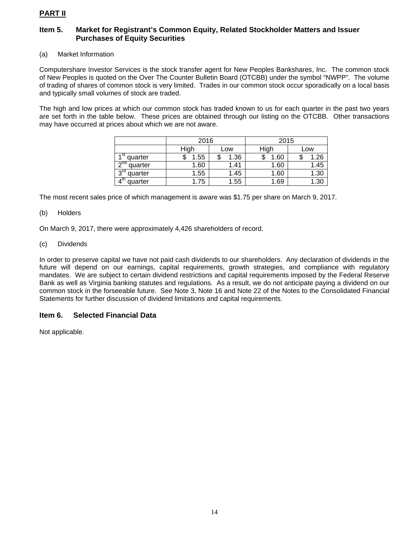# **PART II**

# **Item 5. Market for Registrant's Common Equity, Related Stockholder Matters and Issuer Purchases of Equity Securities**

#### (a) Market Information

Computershare Investor Services is the stock transfer agent for New Peoples Bankshares, Inc. The common stock of New Peoples is quoted on the Over The Counter Bulletin Board (OTCBB) under the symbol "NWPP". The volume of trading of shares of common stock is very limited. Trades in our common stock occur sporadically on a local basis and typically small volumes of stock are traded.

The high and low prices at which our common stock has traded known to us for each quarter in the past two years are set forth in the table below. These prices are obtained through our listing on the OTCBB. Other transactions may have occurred at prices about which we are not aware.

|                            | 2016      |           | 2015     |       |  |  |  |  |
|----------------------------|-----------|-----------|----------|-------|--|--|--|--|
|                            | High      | Low       | High     | ∟ow   |  |  |  |  |
| ⊿ st<br>quarter            | 1.55<br>J | 1.36<br>Φ | .60<br>Φ | 1.26  |  |  |  |  |
| $\lambda$ nd<br>quarter    | 1.60      | 1.41      | 1.60     | 1.45  |  |  |  |  |
| 3 <sup>rd</sup><br>quarter | 1.55      | 1.45      | 1.60     | 1.30  |  |  |  |  |
| 4 <sup>tn</sup><br>auarter | 1.75      | 1.55      | .69      | 30. ا |  |  |  |  |

The most recent sales price of which management is aware was \$1.75 per share on March 9, 2017.

#### (b) Holders

On March 9, 2017, there were approximately 4,426 shareholders of record.

(c) Dividends

In order to preserve capital we have not paid cash dividends to our shareholders. Any declaration of dividends in the future will depend on our earnings, capital requirements, growth strategies, and compliance with regulatory mandates. We are subject to certain dividend restrictions and capital requirements imposed by the Federal Reserve Bank as well as Virginia banking statutes and regulations. As a result, we do not anticipate paying a dividend on our common stock in the forseeable future. See Note 3, Note 16 and Note 22 of the Notes to the Consolidated Financial Statements for further discussion of dividend limitations and capital requirements.

# **Item 6. Selected Financial Data**

Not applicable.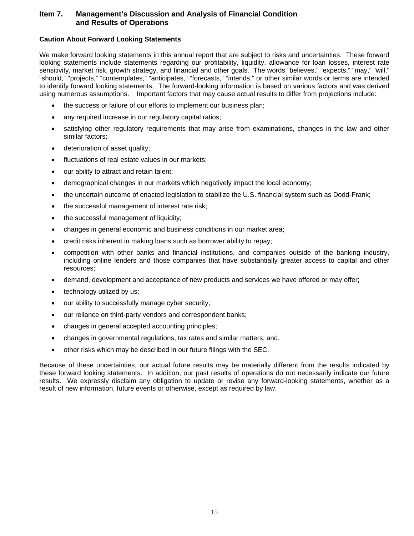# **Item 7. Management's Discussion and Analysis of Financial Condition and Results of Operations**

#### **Caution About Forward Looking Statements**

We make forward looking statements in this annual report that are subject to risks and uncertainties. These forward looking statements include statements regarding our profitability, liquidity, allowance for loan losses, interest rate sensitivity, market risk, growth strategy, and financial and other goals. The words "believes," "expects," "may," "will," "should," "projects," "contemplates," "anticipates," "forecasts," "intends," or other similar words or terms are intended to identify forward looking statements. The forward-looking information is based on various factors and was derived using numerous assumptions. Important factors that may cause actual results to differ from projections include:

- the success or failure of our efforts to implement our business plan;
- any required increase in our regulatory capital ratios;
- satisfying other regulatory reguirements that may arise from examinations, changes in the law and other similar factors;
- deterioration of asset quality;
- fluctuations of real estate values in our markets;
- our ability to attract and retain talent;
- demographical changes in our markets which negatively impact the local economy;
- the uncertain outcome of enacted legislation to stabilize the U.S. financial system such as Dodd-Frank;
- the successful management of interest rate risk;
- the successful management of liquidity;
- changes in general economic and business conditions in our market area;
- credit risks inherent in making loans such as borrower ability to repay;
- competition with other banks and financial institutions, and companies outside of the banking industry, including online lenders and those companies that have substantially greater access to capital and other resources;
- demand, development and acceptance of new products and services we have offered or may offer;
- technology utilized by us:
- our ability to successfully manage cyber security;
- our reliance on third-party vendors and correspondent banks;
- changes in general accepted accounting principles;
- changes in governmental regulations, tax rates and similar matters; and,
- other risks which may be described in our future filings with the SEC.

Because of these uncertainties, our actual future results may be materially different from the results indicated by these forward looking statements. In addition, our past results of operations do not necessarily indicate our future results. We expressly disclaim any obligation to update or revise any forward-looking statements, whether as a result of new information, future events or otherwise, except as required by law.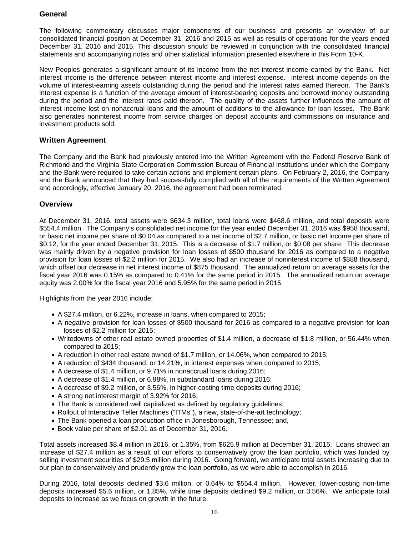# **General**

The following commentary discusses major components of our business and presents an overview of our consolidated financial position at December 31, 2016 and 2015 as well as results of operations for the years ended December 31, 2016 and 2015. This discussion should be reviewed in conjunction with the consolidated financial statements and accompanying notes and other statistical information presented elsewhere in this Form 10-K.

New Peoples generates a significant amount of its income from the net interest income earned by the Bank. Net interest income is the difference between interest income and interest expense. Interest income depends on the volume of interest-earning assets outstanding during the period and the interest rates earned thereon. The Bank's interest expense is a function of the average amount of interest-bearing deposits and borrowed money outstanding during the period and the interest rates paid thereon. The quality of the assets further influences the amount of interest income lost on nonaccrual loans and the amount of additions to the allowance for loan losses. The Bank also generates noninterest income from service charges on deposit accounts and commissions on insurance and investment products sold.

# **Written Agreement**

The Company and the Bank had previously entered into the Written Agreement with the Federal Reserve Bank of Richmond and the Virginia State Corporation Commission Bureau of Financial Institutions under which the Company and the Bank were required to take certain actions and implement certain plans. On February 2, 2016, the Company and the Bank announced that they had successfully complied with all of the requirements of the Written Agreement and accordingly, effective January 20, 2016, the agreement had been terminated.

# **Overview**

At December 31, 2016, total assets were \$634.3 million, total loans were \$468.6 million, and total deposits were \$554.4 million. The Company's consolidated net income for the year ended December 31, 2016 was \$958 thousand, or basic net income per share of \$0.04 as compared to a net income of \$2.7 million, or basic net income per share of \$0.12, for the year ended December 31, 2015. This is a decrease of \$1.7 million, or \$0.08 per share. This decrease was mainly driven by a negative provision for loan losses of \$500 thousand for 2016 as compared to a negative provision for loan losses of \$2.2 million for 2015. We also had an increase of noninterest income of \$888 thousand, which offset our decrease in net interest income of \$875 thousand. The annualized return on average assets for the fiscal year 2016 was 0.15% as compared to 0.41% for the same period in 2015. The annualized return on average equity was 2.00% for the fiscal year 2016 and 5.95% for the same period in 2015.

Highlights from the year 2016 include:

- A \$27.4 million, or 6.22%, increase in loans, when compared to 2015;
- A negative provision for loan losses of \$500 thousand for 2016 as compared to a negative provision for loan losses of \$2.2 million for 2015;
- Writedowns of other real estate owned properties of \$1.4 million, a decrease of \$1.8 million, or 56.44% when compared to 2015;
- A reduction in other real estate owned of \$1.7 million, or 14.06%, when compared to 2015;
- A reduction of \$434 thousand, or 14.21%, in interest expenses when compared to 2015;
- A decrease of \$1.4 million, or 9.71% in nonaccrual loans during 2016;
- A decrease of \$1.4 million, or 6.98%, in substandard loans during 2016;
- A decrease of \$9.2 million, or 3.56%, in higher-costing time deposits during 2016;
- A strong net interest margin of 3.92% for 2016;
- The Bank is considered well capitalized as defined by regulatory guidelines;
- Rollout of Interactive Teller Machines ("ITMs"), a new, state-of-the-art technology;
- The Bank opened a loan production office in Jonesborough, Tennessee; and,
- Book value per share of \$2.01 as of December 31, 2016.

Total assets increased \$8.4 million in 2016, or 1.35%, from \$625.9 million at December 31, 2015. Loans showed an increase of \$27.4 million as a result of our efforts to conservatively grow the loan portfolio, which was funded by selling investment securities of \$29.5 million during 2016. Going forward, we anticipate total assets increasing due to our plan to conservatively and prudently grow the loan portfolio, as we were able to accomplish in 2016.

During 2016, total deposits declined \$3.6 million, or 0.64% to \$554.4 million. However, lower-costing non-time deposits increased \$5.6 million, or 1.85%, while time deposits declined \$9.2 million, or 3.56%. We anticipate total deposits to increase as we focus on growth in the future.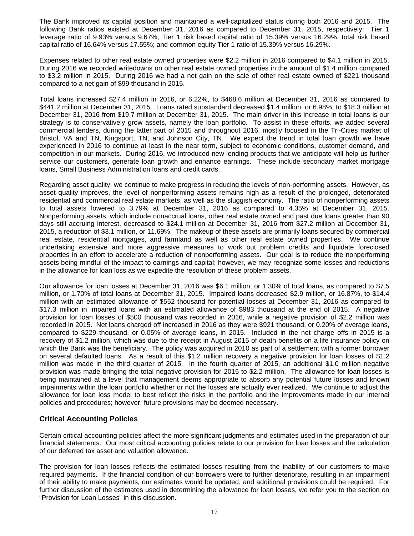The Bank improved its capital position and maintained a well-capitalized status during both 2016 and 2015. The following Bank ratios existed at December 31, 2016 as compared to December 31, 2015, respectively: Tier 1 leverage ratio of 9.93% versus 9.67%; Tier 1 risk based capital ratio of 15.39% versus 16.29%; total risk based capital ratio of 16.64% versus 17.55%; and common equity Tier 1 ratio of 15.39% versus 16.29%.

Expenses related to other real estate owned properties were \$2.2 million in 2016 compared to \$4.1 million in 2015. During 2016 we recorded writedowns on other real estate owned properties in the amount of \$1.4 million compared to \$3.2 million in 2015. During 2016 we had a net gain on the sale of other real estate owned of \$221 thousand compared to a net gain of \$99 thousand in 2015.

Total loans increased \$27.4 million in 2016, or 6.22%, to \$468.6 million at December 31, 2016 as compared to \$441.2 million at December 31, 2015. Loans rated substandard decreased \$1.4 million, or 6.98%, to \$18.3 million at December 31, 2016 from \$19.7 million at December 31, 2015. The main driver in this increase in total loans is our strategy is to conservatively grow assets, namely the loan portfolio. To assist in these efforts, we added several commercial lenders, during the latter part of 2015 and throughout 2016, mostly focused in the Tri-Cities market of Bristol, VA and TN, Kingsport, TN, and Johnson City, TN. We expect the trend in total loan growth we have experienced in 2016 to continue at least in the near term, subject to economic conditions, customer demand, and competition in our markets. During 2016, we introduced new lending products that we anticipate will help us further service our customers, generate loan growth and enhance earnings. These include secondary market mortgage loans, Small Business Administration loans and credit cards.

Regarding asset quality, we continue to make progress in reducing the levels of non-performing assets. However, as asset quality improves, the level of nonperforming assets remains high as a result of the prolonged, deteriorated residential and commercial real estate markets, as well as the sluggish economy. The ratio of nonperforming assets to total assets lowered to 3.79% at December 31, 2016 as compared to 4.35% at December 31, 2015. Nonperforming assets, which include nonaccrual loans, other real estate owned and past due loans greater than 90 days still accruing interest, decreased to \$24.1 million at December 31, 2016 from \$27.2 million at December 31, 2015, a reduction of \$3.1 million, or 11.69%. The makeup of these assets are primarily loans secured by commercial real estate, residential mortgages, and farmland as well as other real estate owned properties. We continue undertaking extensive and more aggressive measures to work out problem credits and liquidate foreclosed properties in an effort to accelerate a reduction of nonperforming assets. Our goal is to reduce the nonperforming assets being mindful of the impact to earnings and capital; however, we may recognize some losses and reductions in the allowance for loan loss as we expedite the resolution of these problem assets.

Our allowance for loan losses at December 31, 2016 was \$6.1 million, or 1.30% of total loans, as compared to \$7.5 million, or 1.70% of total loans at December 31, 2015. Impaired loans decreased \$2.9 million, or 16.87%, to \$14.4 million with an estimated allowance of \$552 thousand for potential losses at December 31, 2016 as compared to \$17.3 million in impaired loans with an estimated allowance of \$983 thousand at the end of 2015. A negative provision for loan losses of \$500 thousand was recorded in 2016, while a negative provision of \$2.2 million was recorded in 2015. Net loans charged off increased in 2016 as they were \$921 thousand, or 0.20% of average loans, compared to \$229 thousand, or 0.05% of average loans, in 2015. Included in the net charge offs in 2015 is a recovery of \$1.2 million, which was due to the receipt in August 2015 of death benefits on a life insurance policy on which the Bank was the beneficiary. The policy was acquired in 2010 as part of a settlement with a former borrower on several defaulted loans. As a result of this \$1.2 million recovery a negative provision for loan losses of \$1.2 million was made in the third quarter of 2015. In the fourth quarter of 2015, an additional \$1.0 million negative provision was made bringing the total negative provision for 2015 to \$2.2 million. The allowance for loan losses is being maintained at a level that management deems appropriate to absorb any potential future losses and known impairments within the loan portfolio whether or not the losses are actually ever realized. We continue to adjust the allowance for loan loss model to best reflect the risks in the portfolio and the improvements made in our internal policies and procedures; however, future provisions may be deemed necessary.

# **Critical Accounting Policies**

Certain critical accounting policies affect the more significant judgments and estimates used in the preparation of our financial statements. Our most critical accounting policies relate to our provision for loan losses and the calculation of our deferred tax asset and valuation allowance.

The provision for loan losses reflects the estimated losses resulting from the inability of our customers to make required payments. If the financial condition of our borrowers were to further deteriorate, resulting in an impairment of their ability to make payments, our estimates would be updated, and additional provisions could be required. For further discussion of the estimates used in determining the allowance for loan losses, we refer you to the section on "Provision for Loan Losses" in this discussion.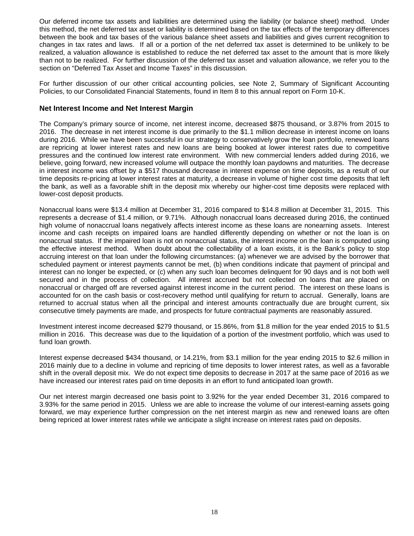Our deferred income tax assets and liabilities are determined using the liability (or balance sheet) method. Under this method, the net deferred tax asset or liability is determined based on the tax effects of the temporary differences between the book and tax bases of the various balance sheet assets and liabilities and gives current recognition to changes in tax rates and laws. If all or a portion of the net deferred tax asset is determined to be unlikely to be realized, a valuation allowance is established to reduce the net deferred tax asset to the amount that is more likely than not to be realized. For further discussion of the deferred tax asset and valuation allowance, we refer you to the section on "Deferred Tax Asset and Income Taxes" in this discussion.

For further discussion of our other critical accounting policies, see Note 2, Summary of Significant Accounting Policies, to our Consolidated Financial Statements, found in Item 8 to this annual report on Form 10-K.

# **Net Interest Income and Net Interest Margin**

The Company's primary source of income, net interest income, decreased \$875 thousand, or 3.87% from 2015 to 2016. The decrease in net interest income is due primarily to the \$1.1 million decrease in interest income on loans during 2016. While we have been successful in our strategy to conservatively grow the loan portfolio, renewed loans are repricing at lower interest rates and new loans are being booked at lower interest rates due to competitive pressures and the continued low interest rate environment. With new commercial lenders added during 2016, we believe, going forward, new increased volume will outpace the monthly loan paydowns and maturities. The decrease in interest income was offset by a \$517 thousand decrease in interest expense on time deposits, as a result of our time deposits re-pricing at lower interest rates at maturity, a decrease in volume of higher cost time deposits that left the bank, as well as a favorable shift in the deposit mix whereby our higher-cost time deposits were replaced with lower-cost deposit products.

Nonaccrual loans were \$13.4 million at December 31, 2016 compared to \$14.8 million at December 31, 2015. This represents a decrease of \$1.4 million, or 9.71%. Although nonaccrual loans decreased during 2016, the continued high volume of nonaccrual loans negatively affects interest income as these loans are nonearning assets. Interest income and cash receipts on impaired loans are handled differently depending on whether or not the loan is on nonaccrual status. If the impaired loan is not on nonaccrual status, the interest income on the loan is computed using the effective interest method. When doubt about the collectability of a loan exists, it is the Bank's policy to stop accruing interest on that loan under the following circumstances: (a) whenever we are advised by the borrower that scheduled payment or interest payments cannot be met, (b) when conditions indicate that payment of principal and interest can no longer be expected, or (c) when any such loan becomes delinquent for 90 days and is not both well secured and in the process of collection. All interest accrued but not collected on loans that are placed on nonaccrual or charged off are reversed against interest income in the current period. The interest on these loans is accounted for on the cash basis or cost-recovery method until qualifying for return to accrual. Generally, loans are returned to accrual status when all the principal and interest amounts contractually due are brought current, six consecutive timely payments are made, and prospects for future contractual payments are reasonably assured.

Investment interest income decreased \$279 thousand, or 15.86%, from \$1.8 million for the year ended 2015 to \$1.5 million in 2016. This decrease was due to the liquidation of a portion of the investment portfolio, which was used to fund loan growth.

Interest expense decreased \$434 thousand, or 14.21%, from \$3.1 million for the year ending 2015 to \$2.6 million in 2016 mainly due to a decline in volume and repricing of time deposits to lower interest rates, as well as a favorable shift in the overall deposit mix. We do not expect time deposits to decrease in 2017 at the same pace of 2016 as we have increased our interest rates paid on time deposits in an effort to fund anticipated loan growth.

Our net interest margin decreased one basis point to 3.92% for the year ended December 31, 2016 compared to 3.93% for the same period in 2015. Unless we are able to increase the volume of our interest-earning assets going forward, we may experience further compression on the net interest margin as new and renewed loans are often being repriced at lower interest rates while we anticipate a slight increase on interest rates paid on deposits.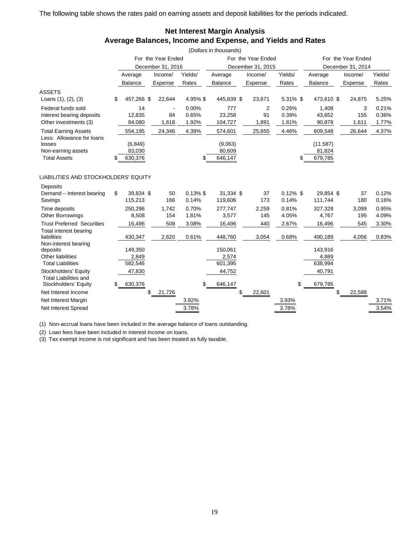The following table shows the rates paid on earning assets and deposit liabilities for the periods indicated.

# **Net Interest Margin Analysis Average Balances, Income and Expense, and Yields and Rates**

|                                                          |                  |                    |             | (Dollars in thousands) |                    |             |                    |         |         |  |  |  |  |
|----------------------------------------------------------|------------------|--------------------|-------------|------------------------|--------------------|-------------|--------------------|---------|---------|--|--|--|--|
|                                                          |                  | For the Year Ended |             |                        | For the Year Ended |             | For the Year Ended |         |         |  |  |  |  |
|                                                          |                  | December 31, 2016  |             |                        | December 31, 2015  |             | December 31, 2014  |         |         |  |  |  |  |
|                                                          | Average          | Income/            | Yields/     | Average                | Income/            | Yields/     | Average            | Income/ | Yields/ |  |  |  |  |
|                                                          | <b>Balance</b>   | Expense            | Rates       | <b>Balance</b>         | Expense            | Rates       | <b>Balance</b>     | Expense | Rates   |  |  |  |  |
| <b>ASSETS</b>                                            |                  |                    |             |                        |                    |             |                    |         |         |  |  |  |  |
| Loans $(1)$ , $(2)$ , $(3)$                              | \$<br>457,266 \$ | 22,644             | 4.95% \$    | 445,839 \$             | 23,671             | 5.31% \$    | 473,610 \$         | 24,875  | 5.25%   |  |  |  |  |
| Federal funds sold                                       | 14               |                    | 0.00%       | 777                    | 2                  | 0.26%       | 1,408              | 3       | 0.21%   |  |  |  |  |
| Interest bearing deposits                                | 12,835           | 84                 | 0.65%       | 23,258                 | 91                 | 0.39%       | 43,652             | 155     | 0.36%   |  |  |  |  |
| Other investments (3)                                    | 84,080           | 1,618              | 1.92%       | 104,727                | 1,891              | 1.81%       | 90,878             | 1,611   | 1.77%   |  |  |  |  |
| <b>Total Earning Assets</b><br>Less: Allowance for loans | 554,195          | 24,346             | 4.39%       | 574,601                | 25,655             | 4.46%       | 609,548            | 26,644  | 4.37%   |  |  |  |  |
| losses                                                   | (6, 849)         |                    |             | (9,063)                |                    |             | (11.587)           |         |         |  |  |  |  |
| Non-earning assets                                       | 83,030           |                    |             | 80,609                 |                    |             | 81,824             |         |         |  |  |  |  |
| <b>Total Assets</b>                                      | \$<br>630,376    |                    | \$          | 646,147                |                    |             | 679,785            |         |         |  |  |  |  |
| LIABILITIES AND STOCKHOLDERS' EQUITY                     |                  |                    |             |                        |                    |             |                    |         |         |  |  |  |  |
| Deposits<br>Demand - Interest bearing                    | \$<br>39,834 \$  | 50                 | $0.13\%$ \$ | 31,334 \$              | 37                 | $0.12\%$ \$ | 29,854 \$          | 37      | 0.12%   |  |  |  |  |
| Savings                                                  | 115,213          | 166                | 0.14%       | 119,606                | 173                | 0.14%       | 111,744            | 180     | 0.16%   |  |  |  |  |
| Time deposits                                            | 250,296          | 1,742              | 0.70%       | 277,747                | 2,259              | 0.81%       | 327,328            | 3,099   | 0.95%   |  |  |  |  |
| <b>Other Borrowings</b>                                  | 8,508            | 154                | 1.81%       | 3,577                  | 145                | 4.05%       | 4,767              | 195     | 4.09%   |  |  |  |  |
| <b>Trust Preferred Securities</b>                        | 16,496           | 508                | 3.08%       | 16,496                 | 440                | 2.67%       | 16,496             | 545     | 3.30%   |  |  |  |  |
| Total interest bearing<br>liabilities                    | 430,347          | 2,620              | 0.61%       | 448,760                | 3,054              | 0.68%       | 490,189            | 4,056   | 0.83%   |  |  |  |  |
| Non-interest bearing<br>deposits                         | 149,350          |                    |             | 150,061                |                    |             | 143,916            |         |         |  |  |  |  |
| Other liabilities                                        | 2,849            |                    |             | 2,574                  |                    |             | 4,889              |         |         |  |  |  |  |
| <b>Total Liabilities</b>                                 | 582,546          |                    |             | 601,395                |                    |             | 638,994            |         |         |  |  |  |  |
| Stockholders' Equity<br><b>Total Liabilities and</b>     | 47,830           |                    |             | 44,752                 |                    |             | 40,791             |         |         |  |  |  |  |

| Folar Liabilities and<br>Stockholders' Equity | 630.376 |                                            | 646.147 |        |       | 679.785 |        |       |
|-----------------------------------------------|---------|--------------------------------------------|---------|--------|-------|---------|--------|-------|
| Net Interest Income                           | 21.726  |                                            |         | 22,601 |       |         | 22.588 |       |
| Net Interest Margin                           |         | 3.92%<br>and the control of the control of |         |        | 3.93% |         |        | 3.71% |
| Net Interest Spread                           |         | 3.78%                                      |         |        | 3.78% |         |        | 3.54% |
|                                               |         |                                            |         |        |       |         |        |       |

(1) Non-accrual loans have been included in the average balance of loans outstanding.

(2) Loan fees have been included in interest income on loans.

(3) Tax exempt income is not significant and has been treated as fully taxable.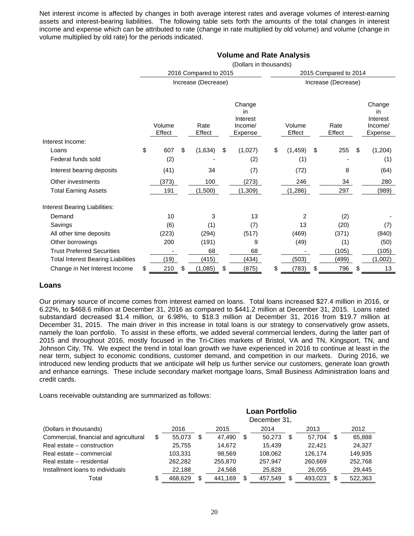Net interest income is affected by changes in both average interest rates and average volumes of interest-earning assets and interest-bearing liabilities. The following table sets forth the amounts of the total changes in interest income and expense which can be attributed to rate (change in rate multiplied by old volume) and volume (change in volume multiplied by old rate) for the periods indicated.

#### **Volume and Rate Analysis**

|                                           | (Dollars in thousands) |                  |    |                       |    |                                                |                       |                  |    |                     |    |                                                |  |
|-------------------------------------------|------------------------|------------------|----|-----------------------|----|------------------------------------------------|-----------------------|------------------|----|---------------------|----|------------------------------------------------|--|
|                                           |                        |                  |    | 2016 Compared to 2015 |    |                                                | 2015 Compared to 2014 |                  |    |                     |    |                                                |  |
|                                           |                        |                  |    | Increase (Decrease)   |    |                                                |                       |                  |    | Increase (Decrease) |    |                                                |  |
|                                           |                        | Volume<br>Effect |    | Rate<br>Effect        |    | Change<br>in<br>Interest<br>Income/<br>Expense |                       | Volume<br>Effect |    | Rate<br>Effect      |    | Change<br>in<br>Interest<br>Income/<br>Expense |  |
| Interest Income:                          |                        |                  |    |                       |    |                                                |                       |                  |    |                     |    |                                                |  |
| Loans                                     | \$                     | 607              | \$ | (1,634)               | \$ | (1,027)                                        | \$                    | (1, 459)         | \$ | 255                 | \$ | (1,204)                                        |  |
| Federal funds sold                        |                        | (2)              |    |                       |    | (2)                                            |                       | (1)              |    |                     |    | (1)                                            |  |
| Interest bearing deposits                 |                        | (41)             |    | 34                    |    | (7)                                            |                       | (72)             |    | 8                   |    | (64)                                           |  |
| Other investments                         |                        | (373)            |    | 100                   |    | (273)                                          |                       | 246              |    | 34                  |    | 280                                            |  |
| <b>Total Earning Assets</b>               |                        | 191              |    | (1,500)               |    | (1, 309)                                       |                       | (1,286)          |    | 297                 |    | (989)                                          |  |
| Interest Bearing Liabilities:             |                        |                  |    |                       |    |                                                |                       |                  |    |                     |    |                                                |  |
| Demand                                    |                        | 10               |    | 3                     |    | 13                                             |                       | $\overline{2}$   |    | (2)                 |    |                                                |  |
| Savings                                   |                        | (6)              |    | (1)                   |    | (7)                                            |                       | 13               |    | (20)                |    | (7)                                            |  |
| All other time deposits                   |                        | (223)            |    | (294)                 |    | (517)                                          |                       | (469)            |    | (371)               |    | (840)                                          |  |
| Other borrowings                          |                        | 200              |    | (191)                 |    | 9                                              |                       | (49)             |    | (1)                 |    | (50)                                           |  |
| <b>Trust Preferred Securities</b>         |                        |                  |    | 68                    |    | 68                                             |                       |                  |    | (105)               |    | (105)                                          |  |
| <b>Total Interest Bearing Liabilities</b> |                        | (19)             |    | (415)                 |    | (434)                                          |                       | (503)            |    | (499)               |    | (1,002)                                        |  |
| Change in Net Interest Income             | \$                     | 210              | \$ | (1,085)               | \$ | (875)                                          | \$                    | (783)            | \$ | 796                 | \$ | 13                                             |  |

# **Loans**

Our primary source of income comes from interest earned on loans. Total loans increased \$27.4 million in 2016, or 6.22%, to \$468.6 million at December 31, 2016 as compared to \$441.2 million at December 31, 2015. Loans rated substandard decreased \$1.4 million, or 6.98%, to \$18.3 million at December 31, 2016 from \$19.7 million at December 31, 2015. The main driver in this increase in total loans is our strategy to conservatively grow assets, namely the loan portfolio. To assist in these efforts, we added several commercial lenders, during the latter part of 2015 and throughout 2016, mostly focused in the Tri-Cities markets of Bristol, VA and TN, Kingsport, TN, and Johnson City, TN. We expect the trend in total loan growth we have experienced in 2016 to continue at least in the near term, subject to economic conditions, customer demand, and competition in our markets. During 2016, we introduced new lending products that we anticipate will help us further service our customers, generate loan growth and enhance earnings. These include secondary market mortgage loans, Small Business Administration loans and credit cards.

Loans receivable outstanding are summarized as follows:

|                                        | <b>Loan Portfolio</b><br>December 31, |    |         |   |         |   |         |    |         |  |  |
|----------------------------------------|---------------------------------------|----|---------|---|---------|---|---------|----|---------|--|--|
| (Dollars in thousands)                 | 2016                                  |    | 2015    |   | 2014    |   | 2013    |    | 2012    |  |  |
| Commercial, financial and agricultural | \$<br>55,073                          | \$ | 47.490  | S | 50.273  | S | 57.704  | S  | 65,888  |  |  |
| Real estate – construction             | 25.755                                |    | 14.672  |   | 15.439  |   | 22.421  |    | 24,327  |  |  |
| Real estate – commercial               | 103,331                               |    | 98,569  |   | 108,062 |   | 126.174 |    | 149,935 |  |  |
| Real estate – residential              | 262.282                               |    | 255,870 |   | 257.947 |   | 260.669 |    | 252,768 |  |  |
| Installment loans to individuals       | 22,188                                |    | 24,568  |   | 25,828  |   | 26,055  |    | 29,445  |  |  |
| Total                                  | 468,629                               |    | 441,169 |   | 457,549 | ፍ | 493,023 | S. | 522,363 |  |  |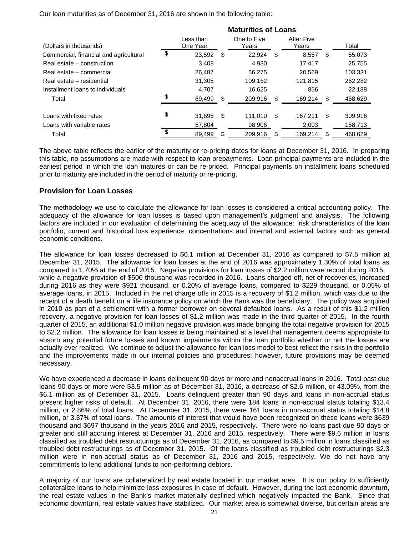Our loan maturities as of December 31, 2016 are shown in the following table:

|                                        | <b>Maturities of Loans</b> |                       |    |                      |     |                     |     |         |  |  |
|----------------------------------------|----------------------------|-----------------------|----|----------------------|-----|---------------------|-----|---------|--|--|
| (Dollars in thousands)                 |                            | Less than<br>One Year |    | One to Five<br>Years |     | After Five<br>Years |     | Total   |  |  |
| Commercial, financial and agricultural | \$                         | 23.592                | \$ | 22.924               | S   | 8,557               | S   | 55,073  |  |  |
| Real estate – construction             |                            | 3.408                 |    | 4.930                |     | 17.417              |     | 25,755  |  |  |
| Real estate - commercial               |                            | 26.487                |    | 56,275               |     | 20.569              |     | 103,331 |  |  |
| Real estate - residential              |                            | 31.305                |    | 109,162              |     | 121,815             |     | 262,282 |  |  |
| Installment loans to individuals       |                            | 4,707                 |    | 16,625               |     | 856                 |     | 22,188  |  |  |
| Total                                  | \$                         | 89,499                | S  | 209,916              | -SS | 169,214             | \$. | 468,629 |  |  |
| Loans with fixed rates                 | \$                         | 31,695                | \$ | 111.010              | \$  | 167.211             | \$  | 309,916 |  |  |
| Loans with variable rates              |                            | 57,804                |    | 98,906               |     | 2,003               |     | 158,713 |  |  |
| Total                                  | \$                         | 89,499                | S  | 209.916              | S   | 169.214             |     | 468.629 |  |  |

The above table reflects the earlier of the maturity or re-pricing dates for loans at December 31, 2016. In preparing this table, no assumptions are made with respect to loan prepayments. Loan principal payments are included in the earliest period in which the loan matures or can be re-priced. Principal payments on installment loans scheduled prior to maturity are included in the period of maturity or re-pricing.

# **Provision for Loan Losses**

The methodology we use to calculate the allowance for loan losses is considered a critical accounting policy. The adequacy of the allowance for loan losses is based upon management's judgment and analysis. The following factors are included in our evaluation of determining the adequacy of the allowance: risk characteristics of the loan portfolio, current and historical loss experience, concentrations and internal and external factors such as general economic conditions.

The allowance for loan losses decreased to \$6.1 million at December 31, 2016 as compared to \$7.5 million at December 31, 2015. The allowance for loan losses at the end of 2016 was approximately 1.30% of total loans as compared to 1.70% at the end of 2015. Negative provisions for loan losses of \$2.2 million were record during 2015, while a negative provision of \$500 thousand was recorded in 2016. Loans charged off, net of recoveries, increased during 2016 as they were \$921 thousand, or 0.20% of average loans, compared to \$229 thousand, or 0.05% of average loans, in 2015. Included in the net charge offs in 2015 is a recovery of \$1.2 million, which was due to the receipt of a death benefit on a life insurance policy on which the Bank was the beneficiary. The policy was acquired in 2010 as part of a settlement with a former borrower on several defaulted loans. As a result of this \$1.2 million recovery, a negative provision for loan losses of \$1.2 million was made in the third quarter of 2015. In the fourth quarter of 2015, an additional \$1.0 million negative provision was made bringing the total negative provision for 2015 to \$2.2 million. The allowance for loan losses is being maintained at a level that management deems appropriate to absorb any potential future losses and known impairments within the loan portfolio whether or not the losses are actually ever realized. We continue to adjust the allowance for loan loss model to best reflect the risks in the portfolio and the improvements made in our internal policies and procedures; however, future provisions may be deemed necessary.

We have experienced a decrease in loans delinquent 90 days or more and nonaccrual loans in 2016. Total past due loans 90 days or more were \$3.5 million as of December 31, 2016, a decrease of \$2.6 million, or 43.09%, from the \$6.1 million as of December 31, 2015. Loans delinquent greater than 90 days and loans in non-accrual status present higher risks of default. At December 31, 2016, there were 184 loans in non-accrual status totaling \$13.4 million, or 2.86% of total loans. At December 31, 2015, there were 161 loans in non-accrual status totaling \$14.8 million, or 3.37% of total loans. The amounts of interest that would have been recognized on these loans were \$639 thousand and \$697 thousand in the years 2016 and 2015, respectively. There were no loans past due 90 days or greater and still accruing interest at December 31, 2016 and 2015, respectively. There were \$9.6 million in loans classified as troubled debt restructurings as of December 31, 2016, as compared to \$9.5 million in loans classified as troubled debt restructurings as of December 31, 2015. Of the loans classified as troubled debt restructurings \$2.3 million were in non-accrual status as of December 31, 2016 and 2015, respectively. We do not have any commitments to lend additional funds to non-performing debtors.

A majority of our loans are collateralized by real estate located in our market area. It is our policy to sufficiently collateralize loans to help minimize loss exposures in case of default. However, during the last economic downturn, the real estate values in the Bank's market materially declined which negatively impacted the Bank. Since that economic downturn, real estate values have stabilized. Our market area is somewhat diverse, but certain areas are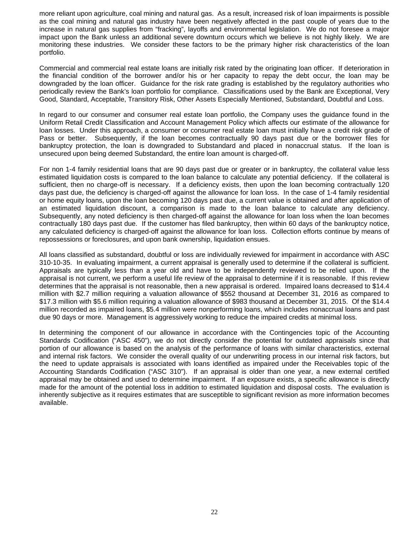more reliant upon agriculture, coal mining and natural gas. As a result, increased risk of loan impairments is possible as the coal mining and natural gas industry have been negatively affected in the past couple of years due to the increase in natural gas supplies from "fracking", layoffs and environmental legislation. We do not foresee a major impact upon the Bank unless an additional severe downturn occurs which we believe is not highly likely. We are monitoring these industries. We consider these factors to be the primary higher risk characteristics of the loan portfolio.

Commercial and commercial real estate loans are initially risk rated by the originating loan officer. If deterioration in the financial condition of the borrower and/or his or her capacity to repay the debt occur, the loan may be downgraded by the loan officer. Guidance for the risk rate grading is established by the regulatory authorities who periodically review the Bank's loan portfolio for compliance. Classifications used by the Bank are Exceptional, Very Good, Standard, Acceptable, Transitory Risk, Other Assets Especially Mentioned, Substandard, Doubtful and Loss.

In regard to our consumer and consumer real estate loan portfolio, the Company uses the guidance found in the Uniform Retail Credit Classification and Account Management Policy which affects our estimate of the allowance for loan losses. Under this approach, a consumer or consumer real estate loan must initially have a credit risk grade of Pass or better. Subsequently, if the loan becomes contractually 90 days past due or the borrower files for bankruptcy protection, the loan is downgraded to Substandard and placed in nonaccrual status. If the loan is unsecured upon being deemed Substandard, the entire loan amount is charged-off.

For non 1-4 family residential loans that are 90 days past due or greater or in bankruptcy, the collateral value less estimated liquidation costs is compared to the loan balance to calculate any potential deficiency. If the collateral is sufficient, then no charge-off is necessary. If a deficiency exists, then upon the loan becoming contractually 120 days past due, the deficiency is charged-off against the allowance for loan loss. In the case of 1-4 family residential or home equity loans, upon the loan becoming 120 days past due, a current value is obtained and after application of an estimated liquidation discount, a comparison is made to the loan balance to calculate any deficiency. Subsequently, any noted deficiency is then charged-off against the allowance for loan loss when the loan becomes contractually 180 days past due. If the customer has filed bankruptcy, then within 60 days of the bankruptcy notice, any calculated deficiency is charged-off against the allowance for loan loss. Collection efforts continue by means of repossessions or foreclosures, and upon bank ownership, liquidation ensues.

All loans classified as substandard, doubtful or loss are individually reviewed for impairment in accordance with ASC 310-10-35. In evaluating impairment, a current appraisal is generally used to determine if the collateral is sufficient. Appraisals are typically less than a year old and have to be independently reviewed to be relied upon. If the appraisal is not current, we perform a useful life review of the appraisal to determine if it is reasonable. If this review determines that the appraisal is not reasonable, then a new appraisal is ordered. Impaired loans decreased to \$14.4 million with \$2.7 million requiring a valuation allowance of \$552 thousand at December 31, 2016 as compared to \$17.3 million with \$5.6 million requiring a valuation allowance of \$983 thousand at December 31, 2015. Of the \$14.4 million recorded as impaired loans, \$5.4 million were nonperforming loans, which includes nonaccrual loans and past due 90 days or more. Management is aggressively working to reduce the impaired credits at minimal loss.

In determining the component of our allowance in accordance with the Contingencies topic of the Accounting Standards Codification ("ASC 450"), we do not directly consider the potential for outdated appraisals since that portion of our allowance is based on the analysis of the performance of loans with similar characteristics, external and internal risk factors. We consider the overall quality of our underwriting process in our internal risk factors, but the need to update appraisals is associated with loans identified as impaired under the Receivables topic of the Accounting Standards Codification ("ASC 310"). If an appraisal is older than one year, a new external certified appraisal may be obtained and used to determine impairment. If an exposure exists, a specific allowance is directly made for the amount of the potential loss in addition to estimated liquidation and disposal costs. The evaluation is inherently subjective as it requires estimates that are susceptible to significant revision as more information becomes available.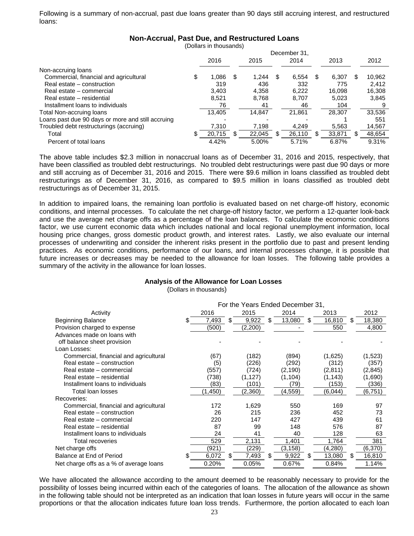Following is a summary of non-accrual, past due loans greater than 90 days still accruing interest, and restructured loans:

#### **Non-Accrual, Past Due, and Restructured Loans**

(Dollars in thousands)

|                                                   | December 31, |        |    |        |     |        |   |        |   |        |
|---------------------------------------------------|--------------|--------|----|--------|-----|--------|---|--------|---|--------|
|                                                   |              | 2016   |    | 2015   |     | 2014   |   | 2013   |   | 2012   |
| Non-accruing loans                                |              |        |    |        |     |        |   |        |   |        |
| Commercial, financial and agricultural            |              | 1.086  | S  | 1.244  | \$. | 6,554  | S | 6,307  | S | 10,962 |
| Real estate – construction                        |              | 319    |    | 436    |     | 332    |   | 775    |   | 2,412  |
| Real estate – commercial                          |              | 3.403  |    | 4,358  |     | 6,222  |   | 16.098 |   | 16,308 |
| Real estate – residential                         |              | 8.521  |    | 8,768  |     | 8,707  |   | 5,023  |   | 3,845  |
| Installment loans to individuals                  |              | 76     |    | 41     |     | 46     |   | 104    |   |        |
| Total Non-accruing loans                          |              | 13.405 |    | 14.847 |     | 21,861 |   | 28.307 |   | 33,536 |
| Loans past due 90 days or more and still accruing |              |        |    |        |     |        |   |        |   | 551    |
| Troubled debt restructurings (accruing)           |              | 7,310  |    | 7,198  |     | 4,249  |   | 5,563  |   | 14,567 |
| Total                                             |              | 20,715 | \$ | 22,045 | SS. | 26,110 |   | 33,871 |   | 48,654 |
| Percent of total loans                            |              | 4.42%  |    | 5.00%  |     | 5.71%  |   | 6.87%  |   | 9.31%  |

The above table includes \$2.3 million in nonaccrual loans as of December 31, 2016 and 2015, respectively, that have been classified as troubled debt restructurings. No troubled debt restructurings were past due 90 days or more and still accruing as of December 31, 2016 and 2015. There were \$9.6 million in loans classified as troubled debt restructurings as of December 31, 2016, as compared to \$9.5 million in loans classified as troubled debt restructurings as of December 31, 2015.

In addition to impaired loans, the remaining loan portfolio is evaluated based on net charge-off history, economic conditions, and internal processes. To calculate the net charge-off history factor, we perform a 12-quarter look-back and use the average net charge offs as a percentage of the loan balances. To calculate the ecomomic conditions factor, we use current economic data which includes national and local regional unemployment information, local housing price changes, gross domestic product growth, and interest rates. Lastly, we also evaluate our internal processes of underwriting and consider the inherent risks present in the portfolio due to past and present lending practices. As economic conditions, performance of our loans, and internal processes change, it is possible that future increases or decreases may be needed to the allowance for loan losses. The following table provides a summary of the activity in the allowance for loan losses.

#### **Analysis of the Allowance for Loan Losses**

(Dollars in thousands)

|                                         | For the Years Ended December 31. |          |     |          |    |          |    |          |   |         |  |
|-----------------------------------------|----------------------------------|----------|-----|----------|----|----------|----|----------|---|---------|--|
| Activity                                |                                  | 2016     |     | 2015     |    | 2014     |    | 2013     |   | 2012    |  |
| <b>Beginning Balance</b>                |                                  | 7,493    | \$. | 9,922    | \$ | 13,080   | \$ | 16,810   | S | 18,380  |  |
| Provision charged to expense            |                                  | (500)    |     | (2,200)  |    |          |    | 550      |   | 4,800   |  |
| Advances made on loans with             |                                  |          |     |          |    |          |    |          |   |         |  |
| off balance sheet provision             |                                  |          |     |          |    |          |    |          |   |         |  |
| Loan Losses:                            |                                  |          |     |          |    |          |    |          |   |         |  |
| Commercial, financial and agricultural  |                                  | (67)     |     | (182)    |    | (894)    |    | (1,625)  |   | (1,523) |  |
| Real estate – construction              |                                  | (5)      |     | (226)    |    | (292)    |    | (312)    |   | (357)   |  |
| Real estate – commercial                |                                  | (557)    |     | (724)    |    | (2, 190) |    | (2,811)  |   | (2,845) |  |
| Real estate - residential               |                                  | (738)    |     | (1, 127) |    | (1, 104) |    | (1, 143) |   | (1,690) |  |
| Installment loans to individuals        |                                  | (83)     |     | (101)    |    | (79)     |    | (153)    |   | (336)   |  |
| Total loan losses                       |                                  | (1, 450) |     | (2,360)  |    | (4, 559) |    | (6,044)  |   | (6,751) |  |
| Recoveries:                             |                                  |          |     |          |    |          |    |          |   |         |  |
| Commercial, financial and agricultural  |                                  | 172      |     | 1,629    |    | 550      |    | 169      |   | 97      |  |
| Real estate – construction              |                                  | 26       |     | 215      |    | 236      |    | 452      |   | 73      |  |
| Real estate – commercial                |                                  | 220      |     | 147      |    | 427      |    | 439      |   | 61      |  |
| Real estate - residential               |                                  | 87       |     | 99       |    | 148      |    | 576      |   | 87      |  |
| Installment loans to individuals        |                                  | 24       |     | 41       |    | 40       |    | 128      |   | 63      |  |
| Total recoveries                        |                                  | 529      |     | 2,131    |    | 1,401    |    | 1,764    |   | 381     |  |
| Net charge offs                         |                                  | (921)    |     | (229)    |    | (3, 158) |    | (4,280)  |   | (6,370) |  |
| Balance at End of Period                |                                  | 6,072    |     | 7,493    | S  | 9,922    | \$ | 13,080   |   | 16,810  |  |
| Net charge offs as a % of average loans |                                  | 0.20%    |     | 0.05%    |    | 0.67%    |    | 0.84%    |   | 1.14%   |  |

We have allocated the allowance according to the amount deemed to be reasonably necessary to provide for the possibility of losses being incurred within each of the categories of loans. The allocation of the allowance as shown in the following table should not be interpreted as an indication that loan losses in future years will occur in the same proportions or that the allocation indicates future loan loss trends. Furthermore, the portion allocated to each loan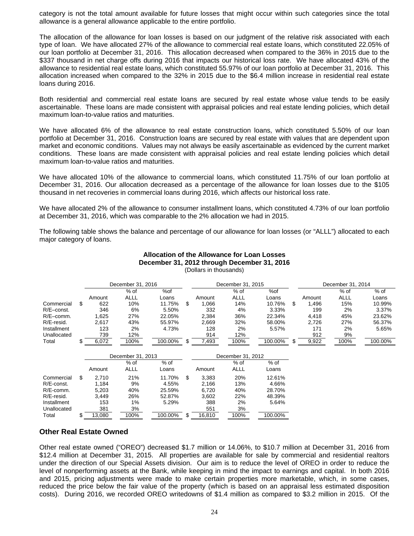category is not the total amount available for future losses that might occur within such categories since the total allowance is a general allowance applicable to the entire portfolio.

The allocation of the allowance for loan losses is based on our judgment of the relative risk associated with each type of loan. We have allocated 27% of the allowance to commercial real estate loans, which constituted 22.05% of our loan portfolio at December 31, 2016. This allocation decreased when compared to the 36% in 2015 due to the \$337 thousand in net charge offs during 2016 that impacts our historical loss rate. We have allocated 43% of the allowance to residential real estate loans, which constituted 55.97% of our loan portfolio at December 31, 2016. This allocation increased when compared to the 32% in 2015 due to the \$6.4 million increase in residential real estate loans during 2016.

Both residential and commercial real estate loans are secured by real estate whose value tends to be easily ascertainable. These loans are made consistent with appraisal policies and real estate lending policies, which detail maximum loan-to-value ratios and maturities.

We have allocated 6% of the allowance to real estate construction loans, which constituted 5.50% of our loan portfolio at December 31, 2016. Construction loans are secured by real estate with values that are dependent upon market and economic conditions. Values may not always be easily ascertainable as evidenced by the current market conditions. These loans are made consistent with appraisal policies and real estate lending policies which detail maximum loan-to-value ratios and maturities.

We have allocated 10% of the allowance to commercial loans, which constituted 11.75% of our loan portfolio at December 31, 2016. Our allocation decreased as a percentage of the allowance for loan losses due to the \$105 thousand in net recoveries in commercial loans during 2016, which affects our historical loss rate.

We have allocated 2% of the allowance to consumer installment loans, which constituted 4.73% of our loan portfolio at December 31, 2016, which was comparable to the 2% allocation we had in 2015.

The following table shows the balance and percentage of our allowance for loan losses (or "ALLL") allocated to each major category of loans.

|               | December 31, 2016 |        |                   |         |    |        | December 31, 2015 |         | December 31, 2014 |        |        |         |
|---------------|-------------------|--------|-------------------|---------|----|--------|-------------------|---------|-------------------|--------|--------|---------|
|               |                   |        | $%$ of            | %of     |    |        | $%$ of            | %of     |                   |        | $%$ of | % of    |
|               |                   | Amount | ALLL              | Loans   |    | Amount | ALLL              | Loans   |                   | Amount | ALLL   | Loans   |
| Commercial    | \$                | 622    | 10%               | 11.75%  | \$ | 1,066  | 14%               | 10.76%  | \$                | 1.496  | 15%    | 10.99%  |
| $R/E$ -const. |                   | 346    | 6%                | 5.50%   |    | 332    | 4%                | 3.33%   |                   | 199    | 2%     | 3.37%   |
| $R/E$ -comm.  |                   | 1,625  | 27%               | 22.05%  |    | 2,384  | 36%               | 22.34%  |                   | 4,418  | 45%    | 23.62%  |
| R/E-resid.    |                   | 2,617  | 43%               | 55.97%  |    | 2,669  | 32%               | 58.00%  |                   | 2,726  | 27%    | 56.37%  |
| Installment   |                   | 123    | 2%                | 4.73%   |    | 128    | 2%                | 5.57%   |                   | 171    | 2%     | 5.65%   |
| Unallocated   |                   | 739    | 12%               |         |    | 914    | 12%               |         |                   | 912    | 9%     |         |
| Total         | \$                | 6,072  | 100%              | 100.00% | S  | 7,493  | 100%              | 100.00% |                   | 9,922  | 100%   | 100.00% |
|               |                   |        |                   |         |    |        |                   |         |                   |        |        |         |
|               |                   |        | December 31, 2013 |         |    |        | December 31, 2012 |         |                   |        |        |         |
|               |                   |        | $%$ of            | % of    |    |        | $%$ of            | % of    |                   |        |        |         |
|               |                   | Amount | ALLL              | Loans   |    | Amount | ALLL              | Loans   |                   |        |        |         |
| Commercial    | \$                | 2,710  | 21%               | 11.70%  | \$ | 3,383  | 20%               | 12.61%  |                   |        |        |         |
| R/E-const.    |                   | 1,184  | 9%                | 4.55%   |    | 2,166  | 13%               | 4.66%   |                   |        |        |         |
| R/E-comm.     |                   | 5.203  | 40%               | 25.59%  |    | 6,720  | 40%               | 28.70%  |                   |        |        |         |
| R/E-resid.    |                   | 3.449  | 26%               | 52.87%  |    | 3,602  | 22%               | 48.39%  |                   |        |        |         |
| Installment   |                   | 153    | 1%                | 5.29%   |    | 388    | 2%                | 5.64%   |                   |        |        |         |
| Unallocated   |                   | 381    | 3%                |         |    | 551    | 3%                |         |                   |        |        |         |

#### **Allocation of the Allowance for Loan Losses December 31, 2012 through December 31, 2016**  (Dollars in thousands)

# **Other Real Estate Owned**

Other real estate owned ("OREO") decreased \$1.7 million or 14.06%, to \$10.7 million at December 31, 2016 from \$12.4 million at December 31, 2015. All properties are available for sale by commercial and residential realtors under the direction of our Special Assets division. Our aim is to reduce the level of OREO in order to reduce the level of nonperforming assets at the Bank, while keeping in mind the impact to earnings and capital. In both 2016 and 2015, pricing adjustments were made to make certain properties more marketable, which, in some cases, reduced the price below the fair value of the property (which is based on an appraisal less estimated disposition costs). During 2016, we recorded OREO writedowns of \$1.4 million as compared to \$3.2 million in 2015. Of the

Total \$ 13,080 100% 100.00% \$ 16,810 100% 100.00%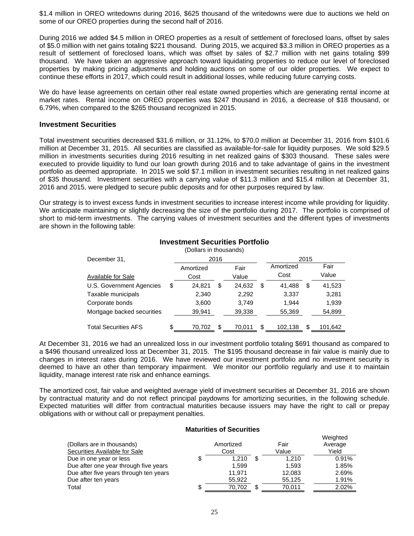\$1.4 million in OREO writedowns during 2016, \$625 thousand of the writedowns were due to auctions we held on some of our OREO properties during the second half of 2016.

During 2016 we added \$4.5 million in OREO properties as a result of settlement of foreclosed loans, offset by sales of \$5.0 million with net gains totaling \$221 thousand. During 2015, we acquired \$3.3 million in OREO properties as a result of settlement of foreclosed loans, which was offset by sales of \$2.7 million with net gains totaling \$99 thousand. We have taken an aggressive approach toward liquidating properties to reduce our level of foreclosed properties by making pricing adjustments and holding auctions on some of our older properties. We expect to continue these efforts in 2017, which could result in additional losses, while reducing future carrying costs.

We do have lease agreements on certain other real estate owned properties which are generating rental income at market rates. Rental income on OREO properties was \$247 thousand in 2016, a decrease of \$18 thousand, or 6.79%, when compared to the \$265 thousand recognized in 2015.

#### **Investment Securities**

Total investment securities decreased \$31.6 million, or 31.12%, to \$70.0 million at December 31, 2016 from \$101.6 million at December 31, 2015. All securities are classified as available-for-sale for liquidity purposes. We sold \$29.5 million in investments securities during 2016 resulting in net realized gains of \$303 thousand. These sales were executed to provide liquidity to fund our loan growth during 2016 and to take advantage of gains in the investment portfolio as deemed appropriate. In 2015 we sold \$7.1 million in investment securities resulting in net realized gains of \$35 thousand. Investment securities with a carrying value of \$11.3 million and \$15.4 million at December 31, 2016 and 2015, were pledged to secure public deposits and for other purposes required by law.

Our strategy is to invest excess funds in investment securities to increase interest income while providing for liquidity. We anticipate maintaining or slightly decreasing the size of the portfolio during 2017. The portfolio is comprised of short to mid-term investments. The carrying values of investment securities and the different types of investments are shown in the following table:

| (Dollars in thousands)      |    |           |      |        |    |           |    |         |  |  |  |  |
|-----------------------------|----|-----------|------|--------|----|-----------|----|---------|--|--|--|--|
| December 31,                |    |           | 2016 |        |    | 2015      |    |         |  |  |  |  |
|                             |    | Amortized |      | Fair   |    | Amortized |    | Fair    |  |  |  |  |
| Available for Sale          |    | Cost      |      | Value  |    | Cost      |    | Value   |  |  |  |  |
| U.S. Government Agencies    | \$ | 24.821    | \$   | 24.632 | S  | 41.488    | \$ | 41,523  |  |  |  |  |
| Taxable municipals          |    | 2,340     |      | 2,292  |    | 3,337     |    | 3,281   |  |  |  |  |
| Corporate bonds             |    | 3,600     |      | 3,749  |    | 1.944     |    | 1,939   |  |  |  |  |
| Mortgage backed securities  |    | 39,941    |      | 39,338 |    | 55,369    |    | 54,899  |  |  |  |  |
| <b>Total Securities AFS</b> | \$ | 70.702    | \$   | 70.011 | \$ | 102.138   | \$ | 101,642 |  |  |  |  |

# **Investment Securities Portfolio**

At December 31, 2016 we had an unrealized loss in our investment portfolio totaling \$691 thousand as compared to a \$496 thousand unrealized loss at December 31, 2015. The \$195 thousand decrease in fair value is mainly due to changes in interest rates during 2016. We have reviewed our investment portfolio and no investment security is deemed to have an other than temporary impairment. We monitor our portfolio regularly and use it to maintain liquidity, manage interest rate risk and enhance earnings.

The amortized cost, fair value and weighted average yield of investment securities at December 31, 2016 are shown by contractual maturity and do not reflect principal paydowns for amortizing securities, in the following schedule. Expected maturities will differ from contractual maturities because issuers may have the right to call or prepay obligations with or without call or prepayment penalties.

#### **Maturities of Securities**

| (Dollars are in thousands)<br>Securities Available for Sale | Amortized<br>Cost | Fair<br>Value | Weighted<br>Average<br>Yield |
|-------------------------------------------------------------|-------------------|---------------|------------------------------|
| Due in one year or less                                     | \$<br>1.210       | 1.210         | 0.91%                        |
| Due after one year through five years                       | 1.599             | 1.593         | 1.85%                        |
| Due after five years through ten years                      | 11.971            | 12,083        | 2.69%                        |
| Due after ten years                                         | 55.922            | 55,125        | 1.91%                        |
| Total                                                       | \$<br>70.702      | 70,011        | 2.02%                        |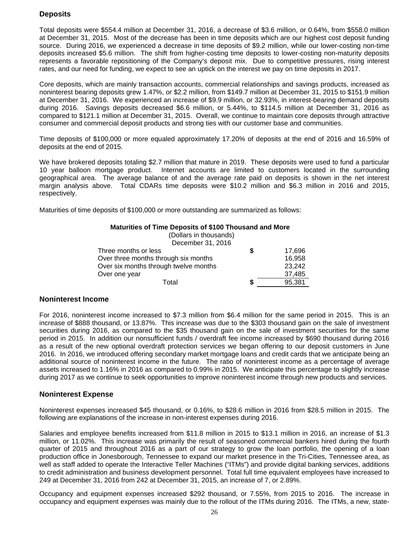# **Deposits**

Total deposits were \$554.4 million at December 31, 2016, a decrease of \$3.6 million, or 0.64%, from \$558.0 million at December 31, 2015. Most of the decrease has been in time deposits which are our highest cost deposit funding source. During 2016, we experienced a decrease in time deposits of \$9.2 million, while our lower-costing non-time deposits increased \$5.6 million. The shift from higher-costing time deposits to lower-costing non-maturity deposits represents a favorable repositioning of the Company's deposit mix. Due to competitive pressures, rising interest rates, and our need for funding, we expect to see an uptick on the interest we pay on time deposits in 2017.

Core deposits, which are mainly transaction accounts, commercial relationships and savings products, increased as noninterest bearing deposits grew 1.47%, or \$2.2 million, from \$149.7 million at December 31, 2015 to \$151.9 million at December 31, 2016. We experienced an increase of \$9.9 million, or 32.93%, in interest-bearing demand deposits during 2016. Savings deposits decreased \$6.6 million, or 5.44%, to \$114.5 million at December 31, 2016 as compared to \$121.1 million at December 31, 2015. Overall, we continue to maintain core deposits through attractive consumer and commercial deposit products and strong ties with our customer base and communities.

Time deposits of \$100,000 or more equaled approximately 17.20% of deposits at the end of 2016 and 16.59% of deposits at the end of 2015.

We have brokered deposits totaling \$2.7 million that mature in 2019. These deposits were used to fund a particular 10 year balloon mortgage product. Internet accounts are limited to customers located in the surrounding geographical area. The average balance of and the average rate paid on deposits is shown in the net interest margin analysis above. Total CDARs time deposits were \$10.2 million and \$6.3 million in 2016 and 2015, respectively.

Maturities of time deposits of \$100,000 or more outstanding are summarized as follows:

#### **Maturities of Time Deposits of \$100 Thousand and More**

| (Dollars in thousands)                |   |        |
|---------------------------------------|---|--------|
| December 31, 2016                     |   |        |
| Three months or less                  | S | 17,696 |
| Over three months through six months  |   | 16,958 |
| Over six months through twelve months |   | 23,242 |
| Over one year                         |   | 37,485 |
| Total                                 | S | 95,381 |

#### **Noninterest Income**

For 2016, noninterest income increased to \$7.3 million from \$6.4 million for the same period in 2015. This is an increase of \$888 thousand, or 13.87%. This increase was due to the \$303 thousand gain on the sale of investment securities during 2016, as compared to the \$35 thousand gain on the sale of investment securities for the same period in 2015. In addition our nonsufficient funds / overdraft fee income increased by \$690 thousand during 2016 as a result of the new optional overdraft protection services we began offering to our deposit customers in June 2016. In 2016, we introduced offering secondary market mortgage loans and credit cards that we anticipate being an additional source of noninterest income in the future. The ratio of noninterest income as a percentage of average assets increased to 1.16% in 2016 as compared to 0.99% in 2015. We anticipate this percentage to slightly increase during 2017 as we continue to seek opportunities to improve noninterest income through new products and services.

#### **Noninterest Expense**

Noninterest expenses increased \$45 thousand, or 0.16%, to \$28.6 million in 2016 from \$28.5 million in 2015. The following are explanations of the increase in non-interest expenses during 2016.

Salaries and employee benefits increased from \$11.8 million in 2015 to \$13.1 million in 2016, an increase of \$1.3 million, or 11.02%. This increase was primarily the result of seasoned commercial bankers hired during the fourth quarter of 2015 and throughout 2016 as a part of our strategy to grow the loan portfolio, the opening of a loan production office in Jonesborough, Tennessee to expand our market presence in the Tri-Cities, Tennessee area, as well as staff added to operate the Interactive Teller Machines ("ITMs") and provide digital banking services, additions to credit administration and business development personnel. Total full time equivalent employees have increased to 249 at December 31, 2016 from 242 at December 31, 2015, an increase of 7, or 2.89%.

Occupancy and equipment expenses increased \$292 thousand, or 7.55%, from 2015 to 2016. The increase in occupancy and equipment expenses was mainly due to the rollout of the ITMs during 2016. The ITMs, a new, state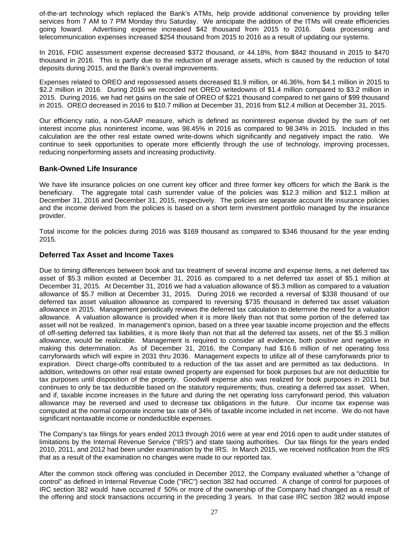of-the-art technology which replaced the Bank's ATMs, help provide additional convenience by providing teller services from 7 AM to 7 PM Monday thru Saturday. We anticipate the addition of the ITMs will create efficiencies going foward. Advertising expense increased \$42 thousand from 2015 to 2016. Data processing and telecommunication expenses increased \$254 thousand from 2015 to 2016 as a result of updating our systems.

In 2016, FDIC assessment expense decreased \$372 thousand, or 44.18%, from \$842 thousand in 2015 to \$470 thousand in 2016. This is partly due to the reduction of average assets, which is caused by the reduction of total deposits during 2015, and the Bank's overall improvements.

Expenses related to OREO and repossessed assets decreased \$1.9 million, or 46.36%, from \$4.1 million in 2015 to \$2.2 million in 2016. During 2016 we recorded net OREO writedowns of \$1.4 million compared to \$3.2 million in 2015. During 2016, we had net gains on the sale of OREO of \$221 thousand compared to net gains of \$99 thousand in 2015. OREO decreased in 2016 to \$10.7 million at December 31, 2016 from \$12.4 million at December 31, 2015.

Our efficiency ratio, a non-GAAP measure, which is defined as noninterest expense divided by the sum of net interest income plus noninterest income, was 98.45% in 2016 as compared to 98.34% in 2015. Included in this calculation are the other real estate owned write-downs which significantly and negatively impact the ratio. We continue to seek opportunities to operate more efficiently through the use of technology, improving processes, reducing nonperforming assets and increasing productivity.

# **Bank-Owned Life Insurance**

We have life insurance policies on one current key officer and three former key officers for which the Bank is the beneficiary. The aggregate total cash surrender value of the policies was \$12.3 million and \$12.1 million at December 31, 2016 and December 31, 2015, respectively. The policies are separate account life insurance policies and the income derived from the policies is based on a short term investment portfolio managed by the insurance provider.

Total income for the policies during 2016 was \$169 thousand as compared to \$346 thousand for the year ending 2015.

# **Deferred Tax Asset and Income Taxes**

Due to timing differences between book and tax treatment of several income and expense items, a net deferred tax asset of \$5.3 million existed at December 31, 2016 as compared to a net deferred tax asset of \$5.1 million at December 31, 2015. At December 31, 2016 we had a valuation allowance of \$5.3 million as compared to a valuation allowance of \$5.7 million at December 31, 2015. During 2016 we recorded a reversal of \$338 thousand of our deferred tax asset valuation allowance as compared to reversing \$735 thousand in deferred tax asset valuation allowance in 2015. Management periodically reviews the deferred tax calculation to determine the need for a valuation allowance. A valuation allowance is provided when it is more likely than not that some portion of the deferred tax asset will not be realized. In management's opinion, based on a three year taxable income projection and the effects of off-setting deferred tax liabilities, it is more likely than not that all the deferred tax assets, net of the \$5.3 million allowance, would be realizable. Management is required to consider all evidence, both positive and negative in making this determination. As of December 31, 2016, the Company had \$16.6 million of net operating loss carryforwards which will expire in 2031 thru 2036. Management expects to utilize all of these carryforwards prior to expiration. Direct charge-offs contributed to a reduction of the tax asset and are permitted as tax deductions. In addition, writedowns on other real estate owned property are expensed for book purposes but are not deductible for tax purposes until disposition of the property. Goodwill expense also was realized for book purposes in 2011 but continues to only be tax deductible based on the statutory requirements; thus, creating a deferred tax asset. When, and if, taxable income increases in the future and during the net operating loss carryforward period, this valuation allowance may be reversed and used to decrease tax obligations in the future. Our income tax expense was computed at the normal corporate income tax rate of 34% of taxable income included in net income. We do not have significant nontaxable income or nondeductible expenses.

The Company's tax filings for years ended 2013 through 2016 were at year end 2016 open to audit under statutes of limitations by the Internal Revenue Service ("IRS") and state taxing authorities. Our tax filings for the years ended 2010, 2011, and 2012 had been under examination by the IRS. In March 2015, we received notification from the IRS that as a result of the examination no changes were made to our reported tax.

After the common stock offering was concluded in December 2012, the Company evaluated whether a "change of control" as defined in Internal Revenue Code ("IRC") section 382 had occurred. A change of control for purposes of IRC section 382 would have occurred if 50% or more of the ownership of the Company had changed as a result of the offering and stock transactions occurring in the preceding 3 years. In that case IRC section 382 would impose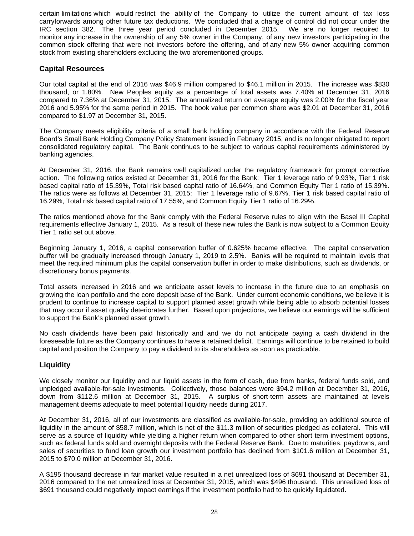certain limitations which would restrict the ability of the Company to utilize the current amount of tax loss carryforwards among other future tax deductions. We concluded that a change of control did not occur under the IRC section 382. The three year period concluded in December 2015. We are no longer required to monitor any increase in the ownership of any 5% owner in the Company, of any new investors participating in the common stock offering that were not investors before the offering, and of any new 5% owner acquiring common stock from existing shareholders excluding the two aforementioned groups.

# **Capital Resources**

Our total capital at the end of 2016 was \$46.9 million compared to \$46.1 million in 2015. The increase was \$830 thousand, or 1.80%. New Peoples equity as a percentage of total assets was 7.40% at December 31, 2016 compared to 7.36% at December 31, 2015. The annualized return on average equity was 2.00% for the fiscal year 2016 and 5.95% for the same period in 2015. The book value per common share was \$2.01 at December 31, 2016 compared to \$1.97 at December 31, 2015.

The Company meets eligibility criteria of a small bank holding company in accordance with the Federal Reserve Board's Small Bank Holding Company Policy Statement issued in February 2015, and is no longer obligated to report consolidated regulatory capital. The Bank continues to be subject to various capital requirements administered by banking agencies.

At December 31, 2016, the Bank remains well capitalized under the regulatory framework for prompt corrective action. The following ratios existed at December 31, 2016 for the Bank: Tier 1 leverage ratio of 9.93%, Tier 1 risk based capital ratio of 15.39%, Total risk based capital ratio of 16.64%, and Common Equity Tier 1 ratio of 15.39%. The ratios were as follows at December 31, 2015: Tier 1 leverage ratio of 9.67%, Tier 1 risk based capital ratio of 16.29%, Total risk based capital ratio of 17.55%, and Common Equity Tier 1 ratio of 16.29%.

The ratios mentioned above for the Bank comply with the Federal Reserve rules to align with the Basel III Capital requirements effective January 1, 2015. As a result of these new rules the Bank is now subject to a Common Equity Tier 1 ratio set out above.

Beginning January 1, 2016, a capital conservation buffer of 0.625% became effective. The capital conservation buffer will be gradually increased through January 1, 2019 to 2.5%. Banks will be required to maintain levels that meet the required minimum plus the capital conservation buffer in order to make distributions, such as dividends, or discretionary bonus payments.

Total assets increased in 2016 and we anticipate asset levels to increase in the future due to an emphasis on growing the loan portfolio and the core deposit base of the Bank. Under current economic conditions, we believe it is prudent to continue to increase capital to support planned asset growth while being able to absorb potential losses that may occur if asset quality deteriorates further. Based upon projections, we believe our earnings will be sufficient to support the Bank's planned asset growth.

No cash dividends have been paid historically and and we do not anticipate paying a cash dividend in the foreseeable future as the Company continues to have a retained deficit. Earnings will continue to be retained to build capital and position the Company to pay a dividend to its shareholders as soon as practicable.

# **Liquidity**

We closely monitor our liquidity and our liquid assets in the form of cash, due from banks, federal funds sold, and unpledged available-for-sale investments. Collectively, those balances were \$94.2 million at December 31, 2016, down from \$112.6 million at December 31, 2015. A surplus of short-term assets are maintained at levels management deems adequate to meet potential liquidity needs during 2017.

At December 31, 2016, all of our investments are classified as available-for-sale, providing an additional source of liquidity in the amount of \$58.7 million, which is net of the \$11.3 million of securities pledged as collateral. This will serve as a source of liquidity while yielding a higher return when compared to other short term investment options, such as federal funds sold and overnight deposits with the Federal Reserve Bank. Due to maturities, paydowns, and sales of securities to fund loan growth our investment portfolio has declined from \$101.6 million at December 31, 2015 to \$70.0 million at December 31, 2016.

A \$195 thousand decrease in fair market value resulted in a net unrealized loss of \$691 thousand at December 31, 2016 compared to the net unrealized loss at December 31, 2015, which was \$496 thousand. This unrealized loss of \$691 thousand could negatively impact earnings if the investment portfolio had to be quickly liquidated.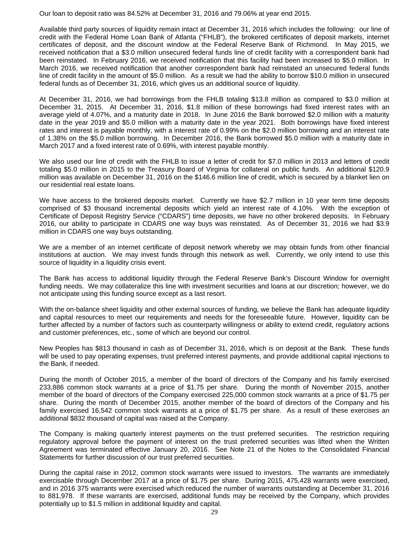Our loan to deposit ratio was 84.52% at December 31, 2016 and 79.06% at year end 2015.

Available third party sources of liquidity remain intact at December 31, 2016 which includes the following: our line of credit with the Federal Home Loan Bank of Atlanta ("FHLB"), the brokered certificates of deposit markets, internet certificates of deposit, and the discount window at the Federal Reserve Bank of Richmond. In May 2015, we received notification that a \$3.0 million unsecured federal funds line of credit facility with a correspondent bank had been reinstated. In February 2016, we received notification that this facility had been increased to \$5.0 million. In March 2016, we received notification that another correspondent bank had reinstated an unsecured federal funds line of credit facility in the amount of \$5.0 million. As a result we had the ability to borrow \$10.0 million in unsecured federal funds as of December 31, 2016, which gives us an additional source of liquidity.

At December 31, 2016, we had borrowings from the FHLB totaling \$13.8 million as compared to \$3.0 million at December 31, 2015. At December 31, 2016, \$1.8 million of these borrowings had fixed interest rates with an average yield of 4.07%, and a maturity date in 2018. In June 2016 the Bank borrowed \$2.0 million with a maturity date in the year 2019 and \$5.0 million with a maturity date in the year 2021. Both borrowings have fixed interest rates and interest is payable monthly, with a interest rate of 0.99% on the \$2.0 million borrowing and an interest rate of 1.38% on the \$5.0 million borrowing. In December 2016, the Bank borrowed \$5.0 million with a maturity date in March 2017 and a fixed interest rate of 0.69%, with interest payable monthly.

We also used our line of credit with the FHLB to issue a letter of credit for \$7.0 million in 2013 and letters of credit totaling \$5.0 million in 2015 to the Treasury Board of Virginia for collateral on public funds. An additional \$120.9 million was available on December 31, 2016 on the \$146.6 million line of credit, which is secured by a blanket lien on our residential real estate loans.

We have access to the brokered deposits market. Currently we have \$2.7 million in 10 year term time deposits comprised of \$3 thousand incremental deposits which yield an interest rate of 4.10%. With the exception of Certificate of Deposit Registry Service ("CDARS") time deposits, we have no other brokered deposits. In February 2016, our ability to participate in CDARS one way buys was reinstated. As of December 31, 2016 we had \$3.9 million in CDARS one way buys outstanding.

We are a member of an internet certificate of deposit network whereby we may obtain funds from other financial institutions at auction. We may invest funds through this network as well. Currently, we only intend to use this source of liquidity in a liquidity crisis event.

The Bank has access to additional liquidity through the Federal Reserve Bank's Discount Window for overnight funding needs. We may collateralize this line with investment securities and loans at our discretion; however, we do not anticipate using this funding source except as a last resort.

With the on-balance sheet liquidity and other external sources of funding, we believe the Bank has adequate liquidity and capital resources to meet our requirements and needs for the foreseeable future. However, liquidity can be further affected by a number of factors such as counterparty willingness or ability to extend credit, regulatory actions and customer preferences, etc., some of which are beyond our control.

New Peoples has \$813 thousand in cash as of December 31, 2016, which is on deposit at the Bank. These funds will be used to pay operating expenses, trust preferred interest payments, and provide additional capital injections to the Bank, if needed.

During the month of October 2015, a member of the board of directors of the Company and his family exercised 233,886 common stock warrants at a price of \$1.75 per share. During the month of November 2015, another member of the board of directors of the Company exercised 225,000 common stock warrants at a price of \$1.75 per share. During the month of December 2015, another member of the board of directors of the Company and his family exercised 16,542 common stock warrants at a price of \$1.75 per share. As a result of these exercises an additional \$832 thousand of capital was raised at the Company.

The Company is making quarterly interest payments on the trust preferred securities. The restriction requiring regulatory approval before the payment of interest on the trust preferred securities was lifted when the Written Agreement was terminated effective January 20, 2016. See Note 21 of the Notes to the Consolidated Financial Statements for further discussion of our trust preferred securities.

During the capital raise in 2012, common stock warrants were issued to investors. The warrants are immediately exercisable through December 2017 at a price of \$1.75 per share. During 2015, 475,428 warrants were exercised, and in 2016 375 warrants were exercised which reduced the number of warrants outstanding at December 31, 2016 to 881,978. If these warrants are exercised, additional funds may be received by the Company, which provides potentially up to \$1.5 million in additional liquidity and capital.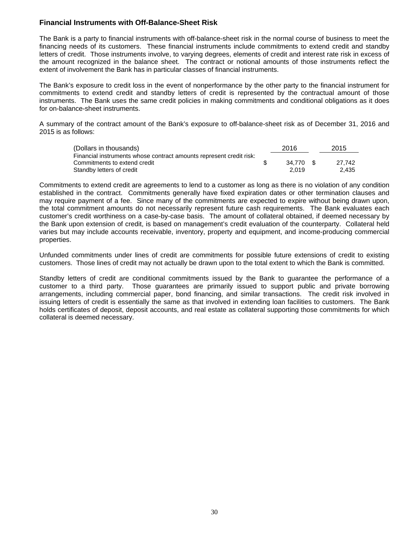# **Financial Instruments with Off-Balance-Sheet Risk**

The Bank is a party to financial instruments with off-balance-sheet risk in the normal course of business to meet the financing needs of its customers. These financial instruments include commitments to extend credit and standby letters of credit. Those instruments involve, to varying degrees, elements of credit and interest rate risk in excess of the amount recognized in the balance sheet. The contract or notional amounts of those instruments reflect the extent of involvement the Bank has in particular classes of financial instruments.

The Bank's exposure to credit loss in the event of nonperformance by the other party to the financial instrument for commitments to extend credit and standby letters of credit is represented by the contractual amount of those instruments. The Bank uses the same credit policies in making commitments and conditional obligations as it does for on-balance-sheet instruments.

A summary of the contract amount of the Bank's exposure to off-balance-sheet risk as of December 31, 2016 and 2015 is as follows:

| (Dollars in thousands)                                              | 2016      | 2015   |
|---------------------------------------------------------------------|-----------|--------|
| Financial instruments whose contract amounts represent credit risk: |           |        |
| Commitments to extend credit                                        | 34.770 \$ | 27.742 |
| Standby letters of credit                                           | 2.019     | 2.435  |

Commitments to extend credit are agreements to lend to a customer as long as there is no violation of any condition established in the contract. Commitments generally have fixed expiration dates or other termination clauses and may require payment of a fee. Since many of the commitments are expected to expire without being drawn upon, the total commitment amounts do not necessarily represent future cash requirements. The Bank evaluates each customer's credit worthiness on a case-by-case basis. The amount of collateral obtained, if deemed necessary by the Bank upon extension of credit, is based on management's credit evaluation of the counterparty. Collateral held varies but may include accounts receivable, inventory, property and equipment, and income-producing commercial properties.

Unfunded commitments under lines of credit are commitments for possible future extensions of credit to existing customers. Those lines of credit may not actually be drawn upon to the total extent to which the Bank is committed.

Standby letters of credit are conditional commitments issued by the Bank to guarantee the performance of a customer to a third party. Those guarantees are primarily issued to support public and private borrowing arrangements, including commercial paper, bond financing, and similar transactions. The credit risk involved in issuing letters of credit is essentially the same as that involved in extending loan facilities to customers. The Bank holds certificates of deposit, deposit accounts, and real estate as collateral supporting those commitments for which collateral is deemed necessary.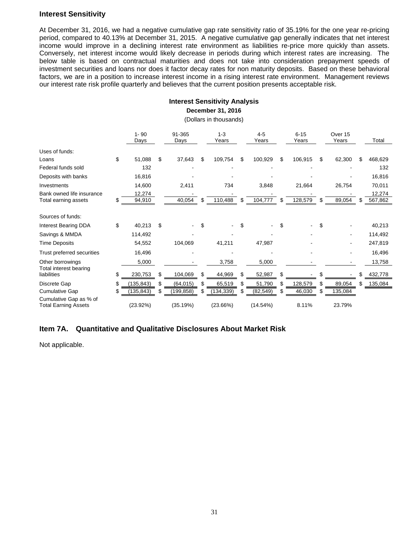#### **Interest Sensitivity**

At December 31, 2016, we had a negative cumulative gap rate sensitivity ratio of 35.19% for the one year re-pricing period, compared to 40.13% at December 31, 2015. A negative cumulative gap generally indicates that net interest income would improve in a declining interest rate environment as liabilities re-price more quickly than assets. Conversely, net interest income would likely decrease in periods during which interest rates are increasing. The below table is based on contractual maturities and does not take into consideration prepayment speeds of investment securities and loans nor does it factor decay rates for non maturity deposits. Based on these behavioral factors, we are in a position to increase interest income in a rising interest rate environment. Management reviews our interest rate risk profile quarterly and believes that the current position presents acceptable risk.

#### **Interest Sensitivity Analysis**

**December 31, 2016** 

(Dollars in thousands)

|                                                       | $1 - 90$<br>Days | 91-365<br>Days |     | $1 - 3$<br>Years |    | $4 - 5$<br>Years | $6 - 15$<br>Years |     | Over 15<br>Years |    | Total   |
|-------------------------------------------------------|------------------|----------------|-----|------------------|----|------------------|-------------------|-----|------------------|----|---------|
| Uses of funds:                                        |                  |                |     |                  |    |                  |                   |     |                  |    |         |
| Loans                                                 | \$<br>51,088     | \$<br>37,643   | \$  | 109,754          | \$ | 100,929          | \$<br>106,915     | \$. | 62,300           | \$ | 468,629 |
| Federal funds sold                                    | 132              |                |     |                  |    |                  |                   |     |                  |    | 132     |
| Deposits with banks                                   | 16,816           |                |     |                  |    |                  |                   |     |                  |    | 16,816  |
| Investments                                           | 14,600           | 2,411          |     | 734              |    | 3,848            | 21,664            |     | 26,754           |    | 70,011  |
| Bank owned life insurance                             | 12,274           |                |     |                  |    |                  |                   |     |                  |    | 12,274  |
| Total earning assets                                  | \$<br>94,910     | 40,054         | \$  | 110,488          | S  | 104,777          | 128,579           | S   | 89,054           | S. | 567,862 |
| Sources of funds:                                     |                  |                |     |                  |    |                  |                   |     |                  |    |         |
| Interest Bearing DDA                                  | \$<br>40,213     | \$             | \$  |                  | \$ |                  | \$                | \$  |                  |    | 40,213  |
| Savings & MMDA                                        | 114,492          |                |     |                  |    |                  |                   |     |                  |    | 114,492 |
| <b>Time Deposits</b>                                  | 54,552           | 104,069        |     | 41,211           |    | 47,987           |                   |     |                  |    | 247,819 |
| Trust preferred securities                            | 16,496           |                |     |                  |    |                  |                   |     |                  |    | 16,496  |
| Other borrowings                                      | 5,000            |                |     | 3,758            |    | 5,000            |                   |     |                  |    | 13,758  |
| Total interest bearing<br>liabilities                 | \$<br>230,753    | 104,069        | \$  | 44,969           |    | 52,987           |                   |     |                  |    | 432,778 |
| Discrete Gap                                          | \$<br>(135, 843) | (64, 015)      |     | 65,519           |    | 51,790           | 128,579           |     | 89,054           | \$ | 135,084 |
| <b>Cumulative Gap</b>                                 | \$<br>(135,843)  | (199, 858)     | \$. | (134, 339)       |    | (82, 549)        | 46,030            |     | 135,084          |    |         |
| Cumulative Gap as % of<br><b>Total Earning Assets</b> | (23.92%)         | (35.19%)       |     | (23.66%)         |    | (14.54%)         | 8.11%             |     | 23.79%           |    |         |

# **Item 7A. Quantitative and Qualitative Disclosures About Market Risk**

Not applicable.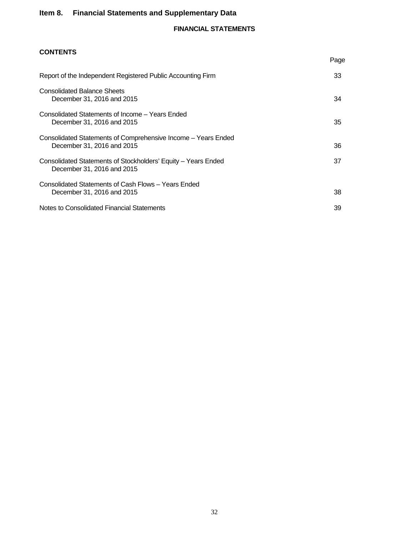# **Item 8. Financial Statements and Supplementary Data**

# **FINANCIAL STATEMENTS**

# **CONTENTS**

|                                                                                             | Page |
|---------------------------------------------------------------------------------------------|------|
| Report of the Independent Registered Public Accounting Firm                                 | 33   |
| <b>Consolidated Balance Sheets</b><br>December 31, 2016 and 2015                            | 34   |
| Consolidated Statements of Income - Years Ended<br>December 31, 2016 and 2015               | 35   |
| Consolidated Statements of Comprehensive Income – Years Ended<br>December 31, 2016 and 2015 | 36   |
| Consolidated Statements of Stockholders' Equity - Years Ended<br>December 31, 2016 and 2015 | 37   |
| Consolidated Statements of Cash Flows - Years Ended<br>December 31, 2016 and 2015           | 38   |
| Notes to Consolidated Financial Statements                                                  | 39   |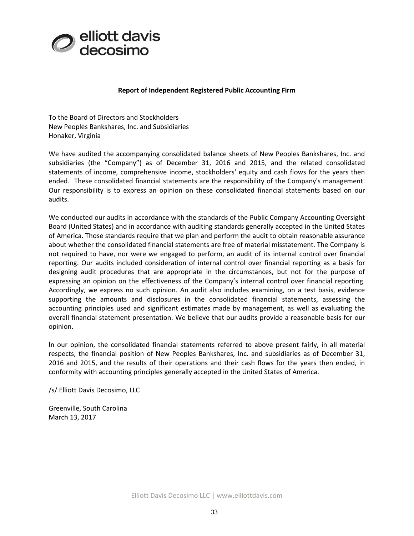

#### **Report of Independent Registered Public Accounting Firm**

To the Board of Directors and Stockholders New Peoples Bankshares, Inc. and Subsidiaries Honaker, Virginia

We have audited the accompanying consolidated balance sheets of New Peoples Bankshares, Inc. and subsidiaries (the "Company") as of December 31, 2016 and 2015, and the related consolidated statements of income, comprehensive income, stockholders' equity and cash flows for the years then ended. These consolidated financial statements are the responsibility of the Company's management. Our responsibility is to express an opinion on these consolidated financial statements based on our audits.

We conducted our audits in accordance with the standards of the Public Company Accounting Oversight Board (United States) and in accordance with auditing standards generally accepted in the United States of America. Those standards require that we plan and perform the audit to obtain reasonable assurance about whether the consolidated financial statements are free of material misstatement. The Company is not required to have, nor were we engaged to perform, an audit of its internal control over financial reporting. Our audits included consideration of internal control over financial reporting as a basis for designing audit procedures that are appropriate in the circumstances, but not for the purpose of expressing an opinion on the effectiveness of the Company's internal control over financial reporting. Accordingly, we express no such opinion. An audit also includes examining, on a test basis, evidence supporting the amounts and disclosures in the consolidated financial statements, assessing the accounting principles used and significant estimates made by management, as well as evaluating the overall financial statement presentation. We believe that our audits provide a reasonable basis for our opinion.

In our opinion, the consolidated financial statements referred to above present fairly, in all material respects, the financial position of New Peoples Bankshares, Inc. and subsidiaries as of December 31, 2016 and 2015, and the results of their operations and their cash flows for the years then ended, in conformity with accounting principles generally accepted in the United States of America.

/s/ Elliott Davis Decosimo, LLC

Greenville, South Carolina March 13, 2017

Elliott Davis Decosimo LLC | www.elliottdavis.com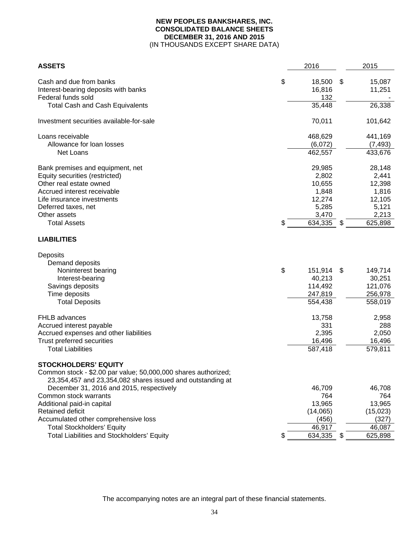#### **NEW PEOPLES BANKSHARES, INC. CONSOLIDATED BALANCE SHEETS DECEMBER 31, 2016 AND 2015**  (IN THOUSANDS EXCEPT SHARE DATA)

| <b>ASSETS</b>                                                  | 2016          |      | 2015     |
|----------------------------------------------------------------|---------------|------|----------|
| Cash and due from banks                                        | \$<br>18,500  | \$   | 15,087   |
| Interest-bearing deposits with banks                           | 16,816        |      | 11,251   |
| Federal funds sold                                             | 132           |      |          |
| <b>Total Cash and Cash Equivalents</b>                         | 35,448        |      | 26,338   |
| Investment securities available-for-sale                       | 70,011        |      | 101,642  |
| Loans receivable                                               | 468,629       |      | 441,169  |
| Allowance for loan losses                                      | (6,072)       |      | (7, 493) |
| Net Loans                                                      | 462,557       |      | 433,676  |
| Bank premises and equipment, net                               | 29,985        |      | 28,148   |
| Equity securities (restricted)                                 | 2,802         |      | 2,441    |
| Other real estate owned                                        | 10,655        |      | 12,398   |
| Accrued interest receivable                                    | 1,848         |      | 1,816    |
| Life insurance investments                                     | 12,274        |      | 12,105   |
| Deferred taxes, net                                            | 5,285         |      | 5,121    |
| Other assets                                                   | 3,470         |      | 2,213    |
| <b>Total Assets</b>                                            | \$<br>634,335 | \$   | 625,898  |
| <b>LIABILITIES</b>                                             |               |      |          |
| Deposits                                                       |               |      |          |
| Demand deposits                                                |               |      |          |
| Noninterest bearing                                            | \$<br>151,914 | \$   | 149,714  |
| Interest-bearing                                               | 40,213        |      | 30,251   |
| Savings deposits                                               | 114,492       |      | 121,076  |
| Time deposits                                                  | 247,819       |      | 256,978  |
| <b>Total Deposits</b>                                          | 554,438       |      | 558,019  |
| <b>FHLB</b> advances                                           | 13,758        |      | 2,958    |
| Accrued interest payable                                       | 331           |      | 288      |
| Accrued expenses and other liabilities                         | 2,395         |      | 2,050    |
| Trust preferred securities                                     | 16,496        |      | 16,496   |
| <b>Total Liabilities</b>                                       | 587,418       |      | 579,811  |
| <b>STOCKHOLDERS' EQUITY</b>                                    |               |      |          |
| Common stock - \$2.00 par value; 50,000,000 shares authorized; |               |      |          |
| 23,354,457 and 23,354,082 shares issued and outstanding at     |               |      |          |
| December 31, 2016 and 2015, respectively                       | 46,709        |      | 46,708   |
| Common stock warrants                                          | 764           |      | 764      |
| Additional paid-in capital                                     | 13,965        |      | 13,965   |
| Retained deficit                                               | (14,065)      |      | (15,023) |
| Accumulated other comprehensive loss                           | (456)         |      | (327)    |
| <b>Total Stockholders' Equity</b>                              | 46,917        |      | 46,087   |
| Total Liabilities and Stockholders' Equity                     | \$<br>634,335 | - \$ | 625,898  |

The accompanying notes are an integral part of these financial statements.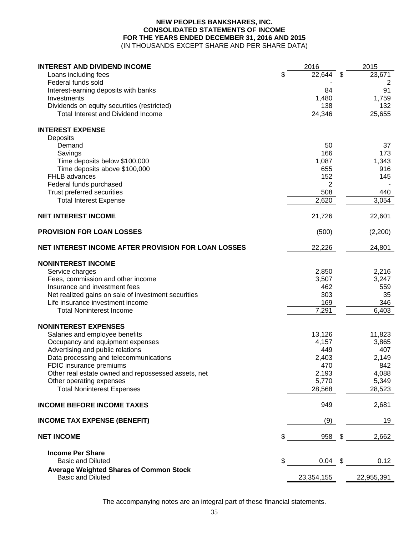#### **NEW PEOPLES BANKSHARES, INC. CONSOLIDATED STATEMENTS OF INCOME FOR THE YEARS ENDED DECEMBER 31, 2016 AND 2015**  (IN THOUSANDS EXCEPT SHARE AND PER SHARE DATA)

| <b>INTEREST AND DIVIDEND INCOME</b>                 | 2016            |   | 2015       |
|-----------------------------------------------------|-----------------|---|------------|
| Loans including fees                                | \$<br>22,644    | S | 23,671     |
| Federal funds sold                                  |                 |   | 2          |
| Interest-earning deposits with banks                | 84              |   | 91         |
| Investments                                         | 1,480           |   | 1,759      |
| Dividends on equity securities (restricted)         | 138             |   | 132        |
| <b>Total Interest and Dividend Income</b>           | 24,346          |   | 25,655     |
| <b>INTEREST EXPENSE</b>                             |                 |   |            |
| Deposits                                            |                 |   |            |
| Demand                                              | 50              |   | 37         |
| Savings                                             | 166             |   | 173        |
| Time deposits below \$100,000                       | 1,087           |   | 1,343      |
| Time deposits above \$100,000                       | 655             |   | 916        |
| FHLB advances                                       | 152             |   | 145        |
| Federal funds purchased                             | 2               |   |            |
| Trust preferred securities                          | 508             |   | 440        |
| <b>Total Interest Expense</b>                       | 2,620           |   | 3,054      |
| <b>NET INTEREST INCOME</b>                          | 21,726          |   | 22,601     |
| <b>PROVISION FOR LOAN LOSSES</b>                    | (500)           |   | (2,200)    |
| NET INTEREST INCOME AFTER PROVISION FOR LOAN LOSSES | 22,226          |   | 24,801     |
| <b>NONINTEREST INCOME</b>                           |                 |   |            |
| Service charges                                     | 2,850           |   | 2,216      |
| Fees, commission and other income                   | 3,507           |   | 3,247      |
| Insurance and investment fees                       | 462             |   | 559        |
| Net realized gains on sale of investment securities | 303             |   | 35         |
| Life insurance investment income                    | 169             |   | 346        |
| <b>Total Noninterest Income</b>                     | 7,291           |   | 6,403      |
| <b>NONINTEREST EXPENSES</b>                         |                 |   |            |
| Salaries and employee benefits                      | 13,126          |   | 11,823     |
| Occupancy and equipment expenses                    | 4,157           |   | 3,865      |
| Advertising and public relations                    | 449             |   | 407        |
| Data processing and telecommunications              | 2,403           |   | 2,149      |
| FDIC insurance premiums                             | 470             |   | 842        |
| Other real estate owned and repossessed assets, net | 2,193           |   | 4,088      |
| Other operating expenses                            | 5,770           |   | 5,349      |
| <b>Total Noninterest Expenses</b>                   | 28,568          |   | 28,523     |
| <b>INCOME BEFORE INCOME TAXES</b>                   | 949             |   | 2,681      |
| <b>INCOME TAX EXPENSE (BENEFIT)</b>                 | (9)             |   | 19         |
| <b>NET INCOME</b>                                   | \$<br>958 \$    |   | 2,662      |
| <b>Income Per Share</b>                             |                 |   |            |
| <b>Basic and Diluted</b>                            | \$<br>$0.04$ \$ |   | 0.12       |
| <b>Average Weighted Shares of Common Stock</b>      |                 |   |            |
| <b>Basic and Diluted</b>                            | 23,354,155      |   | 22,955,391 |

The accompanying notes are an integral part of these financial statements.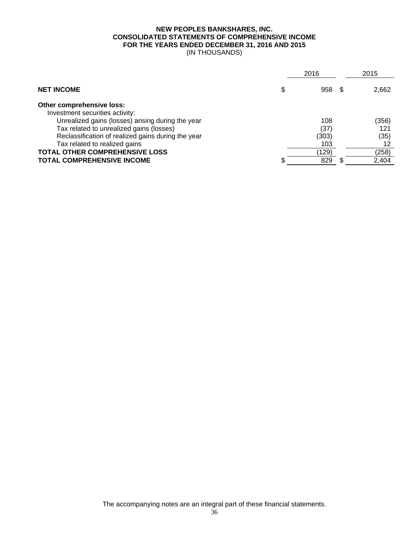#### **NEW PEOPLES BANKSHARES, INC. CONSOLIDATED STATEMENTS OF COMPREHENSIVE INCOME FOR THE YEARS ENDED DECEMBER 31, 2016 AND 2015**  (IN THOUSANDS)

|                                                    |    | 2016  |      | 2015  |
|----------------------------------------------------|----|-------|------|-------|
| <b>NET INCOME</b>                                  |    | 958   | - \$ | 2,662 |
| Other comprehensive loss:                          |    |       |      |       |
| Investment securities activity:                    |    |       |      |       |
| Unrealized gains (losses) arising during the year  |    | 108   |      | (356) |
| Tax related to unrealized gains (losses)           |    | (37)  |      | 121   |
| Reclassification of realized gains during the year |    | (303) |      | (35)  |
| Tax related to realized gains                      |    | 103   |      | 12    |
| <b>TOTAL OTHER COMPREHENSIVE LOSS</b>              |    | (129) |      | (258) |
| <b>TOTAL COMPREHENSIVE INCOME</b>                  | \$ | 829   |      | 2.404 |

The accompanying notes are an integral part of these financial statements.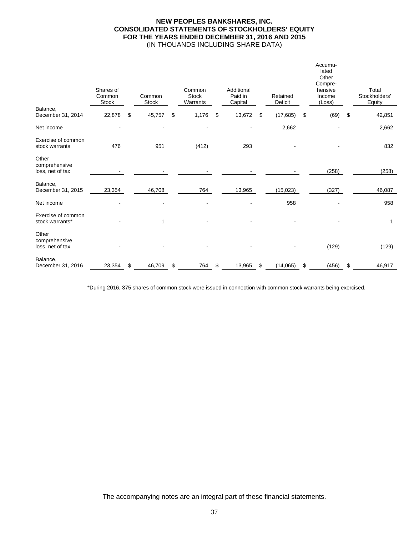#### **NEW PEOPLES BANKSHARES, INC. CONSOLIDATED STATEMENTS OF STOCKHOLDERS' EQUITY FOR THE YEARS ENDED DECEMBER 31, 2016 AND 2015**  (IN THOUANDS INCLUDING SHARE DATA)

|                                            | Shares of<br>Common<br><b>Stock</b> | Common<br><b>Stock</b> | Common<br><b>Stock</b><br>Warrants | Additional<br>Paid in<br>Capital | Retained<br>Deficit | Accumu-<br>lated<br>Other<br>Compre-<br>hensive<br>Income<br>(Loss) | Total<br>Stockholders'<br>Equity |
|--------------------------------------------|-------------------------------------|------------------------|------------------------------------|----------------------------------|---------------------|---------------------------------------------------------------------|----------------------------------|
| Balance,<br>December 31, 2014              | 22,878                              | \$<br>45,757           | \$<br>1,176                        | \$<br>13,672                     | \$<br>(17, 685)     | \$<br>(69)                                                          | \$<br>42,851                     |
| Net income                                 |                                     |                        |                                    |                                  | 2,662               |                                                                     | 2,662                            |
| Exercise of common<br>stock warrants       | 476                                 | 951                    | (412)                              | 293                              |                     |                                                                     | 832                              |
| Other<br>comprehensive<br>loss, net of tax |                                     |                        |                                    |                                  |                     | (258)                                                               | (258)                            |
| Balance,<br>December 31, 2015              | 23,354                              | 46,708                 | 764                                | 13,965                           | (15, 023)           | (327)                                                               | 46,087                           |
| Net income                                 |                                     |                        |                                    |                                  | 958                 |                                                                     | 958                              |
| Exercise of common<br>stock warrants*      |                                     | 1                      |                                    |                                  |                     |                                                                     | 1                                |
| Other<br>comprehensive<br>loss, net of tax |                                     |                        |                                    |                                  |                     | (129)                                                               | (129)                            |
| Balance,<br>December 31, 2016              | 23,354                              | \$<br>46,709           | \$<br>764                          | \$<br>13,965                     | \$<br>(14,065)      | \$<br>(456)                                                         | \$<br>46,917                     |

\*During 2016, 375 shares of common stock were issued in connection with common stock warrants being exercised.

The accompanying notes are an integral part of these financial statements.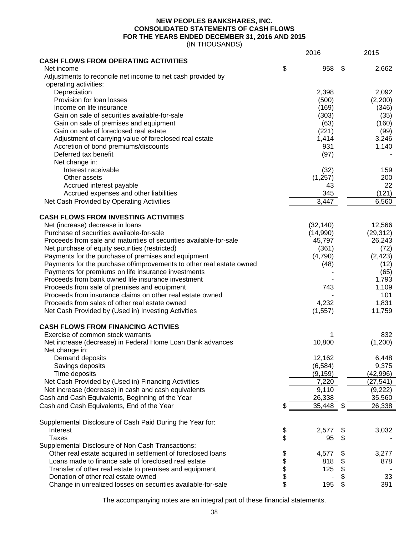# **NEW PEOPLES BANKSHARES, INC. CONSOLIDATED STATEMENTS OF CASH FLOWS FOR THE YEARS ENDED DECEMBER 31, 2016 AND 2015**

(IN THOUSANDS)

|                                                                                                           |        | 2016           |                           | 2015             |
|-----------------------------------------------------------------------------------------------------------|--------|----------------|---------------------------|------------------|
| <b>CASH FLOWS FROM OPERATING ACTIVITIES</b>                                                               |        |                |                           |                  |
| Net income                                                                                                | \$     | 958            | S                         | 2,662            |
| Adjustments to reconcile net income to net cash provided by                                               |        |                |                           |                  |
| operating activities:                                                                                     |        |                |                           |                  |
| Depreciation<br>Provision for loan losses                                                                 |        | 2,398<br>(500) |                           | 2,092<br>(2,200) |
| Income on life insurance                                                                                  |        | (169)          |                           | (346)            |
| Gain on sale of securities available-for-sale                                                             |        | (303)          |                           | (35)             |
| Gain on sale of premises and equipment                                                                    |        | (63)           |                           | (160)            |
| Gain on sale of foreclosed real estate                                                                    |        | (221)          |                           | (99)             |
| Adjustment of carrying value of foreclosed real estate                                                    |        | 1,414          |                           | 3,246            |
| Accretion of bond premiums/discounts                                                                      |        | 931            |                           | 1,140            |
| Deferred tax benefit                                                                                      |        | (97)           |                           |                  |
| Net change in:                                                                                            |        |                |                           |                  |
| Interest receivable                                                                                       |        | (32)           |                           | 159              |
| Other assets                                                                                              |        | (1,257)        |                           | 200              |
| Accrued interest payable                                                                                  |        | 43             |                           | 22               |
| Accrued expenses and other liabilities                                                                    |        | 345            |                           | (121)            |
| Net Cash Provided by Operating Activities                                                                 |        | 3,447          |                           | 6,560            |
| <b>CASH FLOWS FROM INVESTING ACTIVITIES</b>                                                               |        |                |                           |                  |
| Net (increase) decrease in loans                                                                          |        | (32, 140)      |                           | 12,566           |
| Purchase of securities available-for-sale                                                                 |        | (14,990)       |                           | (29, 312)        |
| Proceeds from sale and maturities of securities available-for-sale                                        |        | 45,797         |                           | 26,243           |
| Net purchase of equity securities (restricted)                                                            |        | (361)          |                           | (72)             |
| Payments for the purchase of premises and equipment                                                       |        | (4,790)        |                           | (2, 423)         |
| Payments for the purchase of/improvements to other real estate owned                                      |        | (48)           |                           | (12)             |
| Payments for premiums on life insurance investments<br>Proceeds from bank owned life insurance investment |        |                |                           | (65)             |
| Proceeds from sale of premises and equipment                                                              |        | 743            |                           | 1,793<br>1,109   |
| Proceeds from insurance claims on other real estate owned                                                 |        |                |                           | 101              |
| Proceeds from sales of other real estate owned                                                            |        | 4,232          |                           | 1,831            |
| Net Cash Provided by (Used in) Investing Activities                                                       |        | (1, 557)       |                           | 11,759           |
| <b>CASH FLOWS FROM FINANCING ACTIVIES</b>                                                                 |        |                |                           |                  |
| Exercise of common stock warrants                                                                         |        |                |                           | 832              |
| Net increase (decrease) in Federal Home Loan Bank advances                                                |        | 10,800         |                           | (1,200)          |
| Net change in:                                                                                            |        |                |                           |                  |
| Demand deposits                                                                                           |        | 12,162         |                           | 6,448            |
| Savings deposits                                                                                          |        | (6, 584)       |                           | 9,375            |
| Time deposits                                                                                             |        | (9, 159)       |                           | (42, 996)        |
| Net Cash Provided by (Used in) Financing Activities                                                       |        | 7,220          |                           | (27, 541)        |
| Net increase (decrease) in cash and cash equivalents                                                      |        | 9,110          |                           | (9,222)          |
| Cash and Cash Equivalents, Beginning of the Year                                                          |        | 26,338         |                           | 35,560           |
| Cash and Cash Equivalents, End of the Year                                                                | \$     | 35,448         | \$                        | 26,338           |
| Supplemental Disclosure of Cash Paid During the Year for:                                                 |        |                |                           |                  |
| Interest                                                                                                  | \$     | 2,577          | \$                        | 3,032            |
| <b>Taxes</b>                                                                                              | \$     | 95             | \$                        |                  |
| Supplemental Disclosure of Non Cash Transactions:                                                         |        |                |                           |                  |
| Other real estate acquired in settlement of foreclosed loans                                              |        | 4,577          | \$                        | 3,277            |
| Loans made to finance sale of foreclosed real estate                                                      |        | 818            | \$                        | 878              |
| Transfer of other real estate to premises and equipment<br>Donation of other real estate owned            | \$\$\$ | 125            | \$<br>\$                  | 33               |
| Change in unrealized losses on securities available-for-sale                                              | \$     | 195            | $\boldsymbol{\mathsf{S}}$ | 391              |
|                                                                                                           |        |                |                           |                  |

The accompanying notes are an integral part of these financial statements.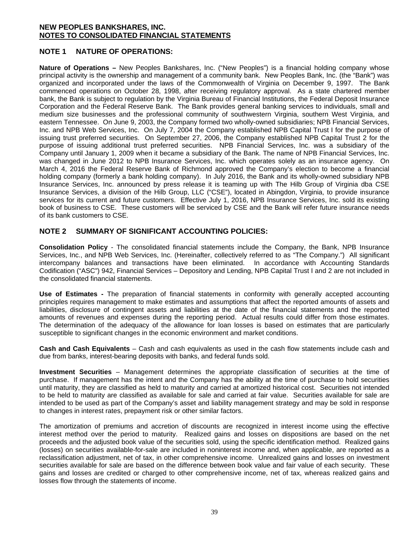#### **NEW PEOPLES BANKSHARES, INC. NOTES TO CONSOLIDATED FINANCIAL STATEMENTS**

# **NOTE 1 NATURE OF OPERATIONS:**

**Nature of Operations –** New Peoples Bankshares, Inc. ("New Peoples") is a financial holding company whose principal activity is the ownership and management of a community bank. New Peoples Bank, Inc. (the "Bank") was organized and incorporated under the laws of the Commonwealth of Virginia on December 9, 1997. The Bank commenced operations on October 28, 1998, after receiving regulatory approval. As a state chartered member bank, the Bank is subject to regulation by the Virginia Bureau of Financial Institutions, the Federal Deposit Insurance Corporation and the Federal Reserve Bank. The Bank provides general banking services to individuals, small and medium size businesses and the professional community of southwestern Virginia, southern West Virginia, and eastern Tennessee. On June 9, 2003, the Company formed two wholly-owned subsidiaries; NPB Financial Services, Inc. and NPB Web Services, Inc. On July 7, 2004 the Company established NPB Capital Trust I for the purpose of issuing trust preferred securities. On September 27, 2006, the Company established NPB Capital Trust 2 for the purpose of issuing additional trust preferred securities. NPB Financial Services, Inc. was a subsidiary of the Company until January 1, 2009 when it became a subsidiary of the Bank. The name of NPB Financial Services, Inc. was changed in June 2012 to NPB Insurance Services, Inc. which operates solely as an insurance agency. On March 4, 2016 the Federal Reserve Bank of Richmond approved the Company's election to become a financial holding company (formerly a bank holding company). In July 2016, the Bank and its wholly-owned subsidiary NPB Insurance Services, Inc. announced by press release it is teaming up with The Hilb Group of Virginia dba CSE Insurance Services, a division of the Hilb Group, LLC ("CSE"), located in Abingdon, Virginia, to provide insurance services for its current and future customers. Effective July 1, 2016, NPB Insurance Services, Inc. sold its existing book of business to CSE. These customers will be serviced by CSE and the Bank will refer future insurance needs of its bank customers to CSE.

# **NOTE 2 SUMMARY OF SIGNIFICANT ACCOUNTING POLICIES:**

**Consolidation Policy** - The consolidated financial statements include the Company, the Bank, NPB Insurance Services, Inc., and NPB Web Services, Inc. (Hereinafter, collectively referred to as "The Company.") All significant intercompany balances and transactions have been eliminated. In accordance with Accounting Standards Codification ("ASC") 942, Financial Services – Depository and Lending, NPB Capital Trust I and 2 are not included in the consolidated financial statements.

**Use of Estimates -** The preparation of financial statements in conformity with generally accepted accounting principles requires management to make estimates and assumptions that affect the reported amounts of assets and liabilities, disclosure of contingent assets and liabilities at the date of the financial statements and the reported amounts of revenues and expenses during the reporting period. Actual results could differ from those estimates. The determination of the adequacy of the allowance for loan losses is based on estimates that are particularly susceptible to significant changes in the economic environment and market conditions.

**Cash and Cash Equivalents** – Cash and cash equivalents as used in the cash flow statements include cash and due from banks, interest-bearing deposits with banks, and federal funds sold.

**Investment Securities** – Management determines the appropriate classification of securities at the time of purchase. If management has the intent and the Company has the ability at the time of purchase to hold securities until maturity, they are classified as held to maturity and carried at amortized historical cost. Securities not intended to be held to maturity are classified as available for sale and carried at fair value. Securities available for sale are intended to be used as part of the Company's asset and liability management strategy and may be sold in response to changes in interest rates, prepayment risk or other similar factors.

The amortization of premiums and accretion of discounts are recognized in interest income using the effective interest method over the period to maturity. Realized gains and losses on dispositions are based on the net proceeds and the adjusted book value of the securities sold, using the specific identification method. Realized gains (losses) on securities available-for-sale are included in noninterest income and, when applicable, are reported as a reclassification adjustment, net of tax, in other comprehensive income. Unrealized gains and losses on investment securities available for sale are based on the difference between book value and fair value of each security. These gains and losses are credited or charged to other comprehensive income, net of tax, whereas realized gains and losses flow through the statements of income.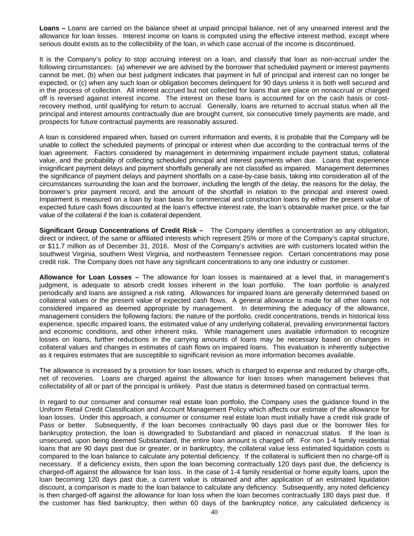**Loans –** Loans are carried on the balance sheet at unpaid principal balance, net of any unearned interest and the allowance for loan losses. Interest income on loans is computed using the effective interest method, except where serious doubt exists as to the collectibility of the loan, in which case accrual of the income is discontinued.

It is the Company's policy to stop accruing interest on a loan, and classify that loan as non-accrual under the following circumstances: (a) whenever we are advised by the borrower that scheduled payment or interest payments cannot be met, (b) when our best judgment indicates that payment in full of principal and interest can no longer be expected, or (c) when any such loan or obligation becomes delinquent for 90 days unless it is both well secured and in the process of collection. All interest accrued but not collected for loans that are place on nonaccrual or charged off is reversed against interest income. The interest on these loans is accounted for on the cash basis or costrecovery method, until qualifying for return to accrual. Generally, loans are returned to accrual status when all the principal and interest amounts contractually due are brought current, six consecutive timely payments are made, and prospects for future contractual payments are reasonably assured.

A loan is considered impaired when, based on current information and events, it is probable that the Company will be unable to collect the scheduled payments of principal or interest when due according to the contractual terms of the loan agreement. Factors considered by management in determining impairment include payment status, collateral value, and the probability of collecting scheduled principal and interest payments when due. Loans that experience insignificant payment delays and payment shortfalls generally are not classified as impaired. Management determines the significance of payment delays and payment shortfalls on a case-by-case basis, taking into consideration all of the circumstances surrounding the loan and the borrower, including the length of the delay, the reasons for the delay, the borrower's prior payment record, and the amount of the shortfall in relation to the principal and interest owed. Impairment is measured on a loan by loan basis for commercial and construction loans by either the present value of expected future cash flows discounted at the loan's effective interest rate, the loan's obtainable market price, or the fair value of the collateral if the loan is collateral dependent.

**Significant Group Concentrations of Credit Risk –** The Company identifies a concentration as any obligation, direct or indirect, of the same or affiliated interests which represent 25% or more of the Company's capital structure, or \$11.7 million as of December 31, 2016. Most of the Company's activities are with customers located within the southwest Virginia, southern West Virginia, and northeastern Tennessee region. Certain concentrations may pose credit risk. The Company does not have any significant concentrations to any one industry or customer.

**Allowance for Loan Losses –** The allowance for loan losses is maintained at a level that, in management's judgment, is adequate to absorb credit losses inherent in the loan portfolio. The loan portfolio is analyzed periodically and loans are assigned a risk rating. Allowances for impaired loans are generally determined based on collateral values or the present value of expected cash flows. A general allowance is made for all other loans not considered impaired as deemed appropriate by management. In determining the adequacy of the allowance, management considers the following factors: the nature of the portfolio, credit concentrations, trends in historical loss experience, specific impaired loans, the estimated value of any underlying collateral, prevailing environmental factors and economic conditions, and other inherent risks. While management uses available information to recognize losses on loans, further reductions in the carrying amounts of loans may be necessary based on changes in collateral values and changes in estimates of cash flows on impaired loans. This evaluation is inherently subjective as it requires estimates that are susceptible to significant revision as more information becomes available.

The allowance is increased by a provision for loan losses, which is charged to expense and reduced by charge-offs, net of recoveries. Loans are charged against the allowance for loan losses when management believes that collectability of all or part of the principal is unlikely. Past due status is determined based on contractual terms.

In regard to our consumer and consumer real estate loan portfolio, the Company uses the guidance found in the Uniform Retail Credit Classification and Account Management Policy which affects our estimate of the allowance for loan losses. Under this approach, a consumer or consumer real estate loan must initially have a credit risk grade of Pass or better. Subsequently, if the loan becomes contractually 90 days past due or the borrower files for bankruptcy protection, the loan is downgraded to Substandard and placed in nonaccrual status. If the loan is unsecured, upon being deemed Substandard, the entire loan amount is charged off. For non 1-4 family residential loans that are 90 days past due or greater, or in bankruptcy, the collateral value less estimated liquidation costs is compared to the loan balance to calculate any potential deficiency. If the collateral is sufficient then no charge-off is necessary. If a deficiency exists, then upon the loan becoming contractually 120 days past due, the deficiency is charged-off against the allowance for loan loss. In the case of 1-4 family residential or home equity loans, upon the loan becoming 120 days past due, a current value is obtained and after application of an estimated liquidation discount, a comparison is made to the loan balance to calculate any deficiency. Subsequently, any noted deficiency is then charged-off against the allowance for loan loss when the loan becomes contractually 180 days past due. If the customer has filed bankruptcy, then within 60 days of the bankruptcy notice, any calculated deficiency is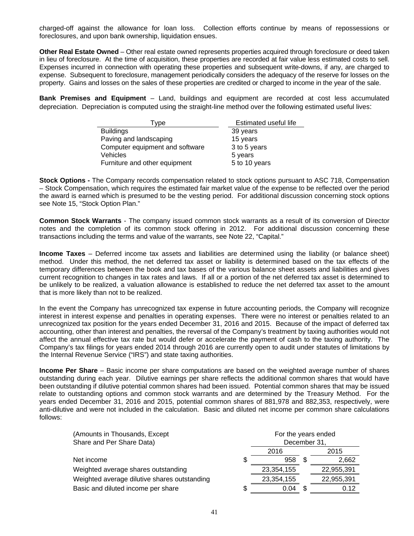charged-off against the allowance for loan loss. Collection efforts continue by means of repossessions or foreclosures, and upon bank ownership, liquidation ensues.

**Other Real Estate Owned** – Other real estate owned represents properties acquired through foreclosure or deed taken in lieu of foreclosure. At the time of acquisition, these properties are recorded at fair value less estimated costs to sell. Expenses incurred in connection with operating these properties and subsequent write-downs, if any, are charged to expense. Subsequent to foreclosure, management periodically considers the adequacy of the reserve for losses on the property. Gains and losses on the sales of these properties are credited or charged to income in the year of the sale.

**Bank Premises and Equipment** – Land, buildings and equipment are recorded at cost less accumulated depreciation. Depreciation is computed using the straight-line method over the following estimated useful lives:

| Type                            | <b>Estimated useful life</b> |  |  |  |  |  |  |
|---------------------------------|------------------------------|--|--|--|--|--|--|
| <b>Buildings</b>                | 39 years                     |  |  |  |  |  |  |
| Paving and landscaping          | 15 years                     |  |  |  |  |  |  |
| Computer equipment and software | 3 to 5 years                 |  |  |  |  |  |  |
| Vehicles                        | 5 years                      |  |  |  |  |  |  |
| Furniture and other equipment   | 5 to 10 years                |  |  |  |  |  |  |

**Stock Options -** The Company records compensation related to stock options pursuant to ASC 718, Compensation – Stock Compensation, which requires the estimated fair market value of the expense to be reflected over the period the award is earned which is presumed to be the vesting period. For additional discussion concerning stock options see Note 15, "Stock Option Plan."

**Common Stock Warrants** - The company issued common stock warrants as a result of its conversion of Director notes and the completion of its common stock offering in 2012. For additional discussion concerning these transactions including the terms and value of the warrants, see Note 22, "Capital."

**Income Taxes** – Deferred income tax assets and liabilities are determined using the liability (or balance sheet) method. Under this method, the net deferred tax asset or liability is determined based on the tax effects of the temporary differences between the book and tax bases of the various balance sheet assets and liabilities and gives current recognition to changes in tax rates and laws. If all or a portion of the net deferred tax asset is determined to be unlikely to be realized, a valuation allowance is established to reduce the net deferred tax asset to the amount that is more likely than not to be realized.

In the event the Company has unrecognized tax expense in future accounting periods, the Company will recognize interest in interest expense and penalties in operating expenses. There were no interest or penalties related to an unrecognized tax position for the years ended December 31, 2016 and 2015. Because of the impact of deferred tax accounting, other than interest and penalties, the reversal of the Company's treatment by taxing authorities would not affect the annual effective tax rate but would defer or accelerate the payment of cash to the taxing authority. The Company's tax filings for years ended 2014 through 2016 are currently open to audit under statutes of limitations by the Internal Revenue Service ("IRS") and state taxing authorities.

**Income Per Share** – Basic income per share computations are based on the weighted average number of shares outstanding during each year. Dilutive earnings per share reflects the additional common shares that would have been outstanding if dilutive potential common shares had been issued. Potential common shares that may be issued relate to outstanding options and common stock warrants and are determined by the Treasury Method. For the years ended December 31, 2016 and 2015, potential common shares of 881,978 and 882,353, respectively, were anti-dilutive and were not included in the calculation. Basic and diluted net income per common share calculations follows:

| (Amounts in Thousands, Except                | For the years ended |              |     |            |  |  |  |  |
|----------------------------------------------|---------------------|--------------|-----|------------|--|--|--|--|
| Share and Per Share Data)                    |                     | December 31, |     |            |  |  |  |  |
|                                              |                     | 2016<br>2015 |     |            |  |  |  |  |
| Net income                                   |                     | 958          | -S  | 2.662      |  |  |  |  |
| Weighted average shares outstanding          |                     | 23,354,155   |     | 22,955,391 |  |  |  |  |
| Weighted average dilutive shares outstanding |                     | 23,354,155   |     | 22,955,391 |  |  |  |  |
| Basic and diluted income per share           |                     | 0.04         | -SS | 0.12       |  |  |  |  |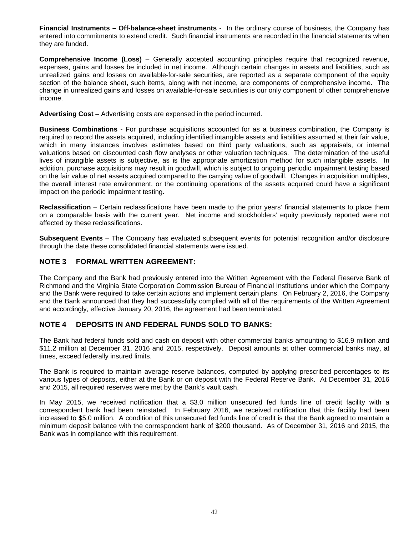**Financial Instruments – Off-balance-sheet instruments** - In the ordinary course of business, the Company has entered into commitments to extend credit. Such financial instruments are recorded in the financial statements when they are funded.

**Comprehensive Income (Loss)** – Generally accepted accounting principles require that recognized revenue, expenses, gains and losses be included in net income. Although certain changes in assets and liabilities, such as unrealized gains and losses on available-for-sale securities, are reported as a separate component of the equity section of the balance sheet, such items, along with net income, are components of comprehensive income. The change in unrealized gains and losses on available-for-sale securities is our only component of other comprehensive income.

**Advertising Cost** – Advertising costs are expensed in the period incurred.

**Business Combinations** - For purchase acquisitions accounted for as a business combination, the Company is required to record the assets acquired, including identified intangible assets and liabilities assumed at their fair value, which in many instances involves estimates based on third party valuations, such as appraisals, or internal valuations based on discounted cash flow analyses or other valuation techniques. The determination of the useful lives of intangible assets is subjective, as is the appropriate amortization method for such intangible assets. In addition, purchase acquisitions may result in goodwill, which is subject to ongoing periodic impairment testing based on the fair value of net assets acquired compared to the carrying value of goodwill. Changes in acquisition multiples, the overall interest rate environment, or the continuing operations of the assets acquired could have a significant impact on the periodic impairment testing.

**Reclassification** – Certain reclassifications have been made to the prior years' financial statements to place them on a comparable basis with the current year. Net income and stockholders' equity previously reported were not affected by these reclassifications.

**Subsequent Events** – The Company has evaluated subsequent events for potential recognition and/or disclosure through the date these consolidated financial statements were issued.

# **NOTE 3 FORMAL WRITTEN AGREEMENT:**

The Company and the Bank had previously entered into the Written Agreement with the Federal Reserve Bank of Richmond and the Virginia State Corporation Commission Bureau of Financial Institutions under which the Company and the Bank were required to take certain actions and implement certain plans. On February 2, 2016, the Company and the Bank announced that they had successfully complied with all of the requirements of the Written Agreement and accordingly, effective January 20, 2016, the agreement had been terminated.

### **NOTE 4 DEPOSITS IN AND FEDERAL FUNDS SOLD TO BANKS:**

The Bank had federal funds sold and cash on deposit with other commercial banks amounting to \$16.9 million and \$11.2 million at December 31, 2016 and 2015, respectively. Deposit amounts at other commercial banks may, at times, exceed federally insured limits.

The Bank is required to maintain average reserve balances, computed by applying prescribed percentages to its various types of deposits, either at the Bank or on deposit with the Federal Reserve Bank. At December 31, 2016 and 2015, all required reserves were met by the Bank's vault cash.

In May 2015, we received notification that a \$3.0 million unsecured fed funds line of credit facility with a correspondent bank had been reinstated. In February 2016, we received notification that this facility had been increased to \$5.0 million. A condition of this unsecured fed funds line of credit is that the Bank agreed to maintain a minimum deposit balance with the correspondent bank of \$200 thousand. As of December 31, 2016 and 2015, the Bank was in compliance with this requirement.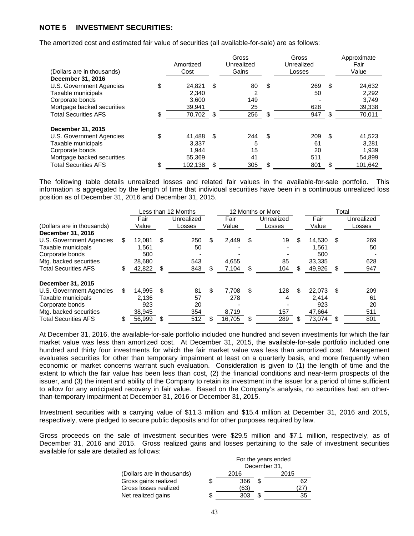### **NOTE 5 INVESTMENT SECURITIES:**

The amortized cost and estimated fair value of securities (all available-for-sale) are as follows:

| (Dollars are in thousands)  | Amortized<br>Cost |     | Gross<br>Unrealized<br>Gains |     | Gross<br>Unrealized<br>Losses |     | Approximate<br>Fair<br>Value |
|-----------------------------|-------------------|-----|------------------------------|-----|-------------------------------|-----|------------------------------|
| December 31, 2016           |                   |     |                              |     |                               |     |                              |
| U.S. Government Agencies    | \$<br>24.821      | \$. | 80                           | \$  | 269                           | \$  | 24,632                       |
| Taxable municipals          | 2.340             |     | $\overline{2}$               |     | 50                            |     | 2,292                        |
| Corporate bonds             | 3.600             |     | 149                          |     |                               |     | 3.749                        |
| Mortgage backed securities  | 39.941            |     | 25                           |     | 628                           |     | 39,338                       |
| <b>Total Securities AFS</b> | \$<br>70,702      | -S  | 256                          | \$. | 947                           | \$. | 70,011                       |
| December 31, 2015           |                   |     |                              |     |                               |     |                              |
| U.S. Government Agencies    | \$<br>41.488      | \$. | 244                          | \$  | 209                           | \$  | 41,523                       |
| Taxable municipals          | 3,337             |     | 5                            |     | 61                            |     | 3,281                        |
| Corporate bonds             | 1.944             |     | 15                           |     | 20                            |     | 1,939                        |
| Mortgage backed securities  | 55,369            |     | 41                           |     | 511                           |     | 54,899                       |
| <b>Total Securities AFS</b> | \$<br>102,138     | \$. | 305                          | \$. | 801                           | \$. | 101,642                      |

The following table details unrealized losses and related fair values in the available-for-sale portfolio. This information is aggregated by the length of time that individual securities have been in a continuous unrealized loss position as of December 31, 2016 and December 31, 2015.

|                             | Less than 12 Months |    |            |    | 12 Months or More |    |                          |    | Total  |    |            |
|-----------------------------|---------------------|----|------------|----|-------------------|----|--------------------------|----|--------|----|------------|
|                             | Fair                |    | Unrealized |    | Fair              |    | Unrealized               |    | Fair   |    | Unrealized |
| (Dollars are in thousands)  | Value               |    | Losses     |    | Value             |    | Losses                   |    | Value  |    | Losses     |
| December 31, 2016           |                     |    |            |    |                   |    |                          |    |        |    |            |
| U.S. Government Agencies    | \$<br>12.081        | \$ | 250        | \$ | 2,449             | \$ | 19                       | \$ | 14.530 | S  | 269        |
| Taxable municipals          | 1,561               |    | 50         |    |                   |    | $\overline{\phantom{0}}$ |    | 1.561  |    | 50         |
| Corporate bonds             | 500                 |    |            |    |                   |    |                          |    | 500    |    |            |
| Mtg. backed securities      | 28,680              |    | 543        |    | 4,655             |    | 85                       |    | 33,335 |    | 628        |
| <b>Total Securities AFS</b> | \$<br>42,822        |    | 843        | \$ | 7,104             | \$ | 104                      | \$ | 49,926 |    | 947        |
| December 31, 2015           |                     |    |            |    |                   |    |                          |    |        |    |            |
| U.S. Government Agencies    | \$<br>14,995        | -S | 81         | \$ | 7.708             | \$ | 128                      | S  | 22.073 | \$ | 209        |
| Taxable municipals          | 2.136               |    | 57         |    | 278               |    | 4                        |    | 2.414  |    | 61         |
| Corporate bonds             | 923                 |    | 20         |    |                   |    |                          |    | 923    |    | 20         |
| Mtg. backed securities      | 38,945              |    | 354        |    | 8,719             |    | 157                      |    | 47,664 |    | 511        |
| <b>Total Securities AFS</b> | \$<br>56,999        | S  | 512        | S  | 16.705            | \$ | 289                      | S  | 73,074 | S  | 801        |

At December 31, 2016, the available-for-sale portfolio included one hundred and seven investments for which the fair market value was less than amortized cost. At December 31, 2015, the available-for-sale portfolio included one hundred and thirty four investments for which the fair market value was less than amortized cost. Management evaluates securities for other than temporary impairment at least on a quarterly basis, and more frequently when economic or market concerns warrant such evaluation. Consideration is given to (1) the length of time and the extent to which the fair value has been less than cost, (2) the financial conditions and near-term prospects of the issuer, and (3) the intent and ability of the Company to retain its investment in the issuer for a period of time sufficient to allow for any anticipated recovery in fair value. Based on the Company's analysis, no securities had an otherthan-temporary impairment at December 31, 2016 or December 31, 2015.

Investment securities with a carrying value of \$11.3 million and \$15.4 million at December 31, 2016 and 2015, respectively, were pledged to secure public deposits and for other purposes required by law.

Gross proceeds on the sale of investment securities were \$29.5 million and \$7.1 million, respectively, as of December 31, 2016 and 2015. Gross realized gains and losses pertaining to the sale of investment securities available for sale are detailed as follows:

|                            | For the years ended |              |      |  |  |  |  |  |  |
|----------------------------|---------------------|--------------|------|--|--|--|--|--|--|
|                            |                     | December 31, |      |  |  |  |  |  |  |
| (Dollars are in thousands) | 2016                |              | 2015 |  |  |  |  |  |  |
| Gross gains realized       | 366                 |              | 62   |  |  |  |  |  |  |
| Gross losses realized      | (63)                |              |      |  |  |  |  |  |  |
| Net realized gains         | 303                 |              | 35   |  |  |  |  |  |  |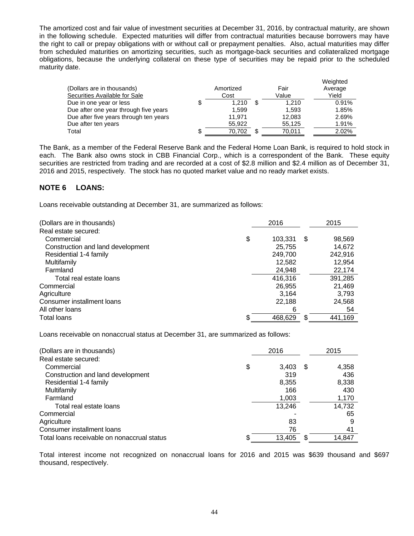The amortized cost and fair value of investment securities at December 31, 2016, by contractual maturity, are shown in the following schedule. Expected maturities will differ from contractual maturities because borrowers may have the right to call or prepay obligations with or without call or prepayment penalties. Also, actual maturities may differ from scheduled maturities on amortizing securities, such as mortgage-back securities and collateralized mortgage obligations, because the underlying collateral on these type of securities may be repaid prior to the scheduled maturity date.

| (Dollars are in thousands)<br>Securities Available for Sale | Amortized<br>Cost | Fair<br>Value | Weighted<br>Average<br>Yield |
|-------------------------------------------------------------|-------------------|---------------|------------------------------|
| Due in one year or less                                     | \$<br>1.210       | \$<br>1.210   | 0.91%                        |
| Due after one year through five years                       | 1.599             | 1.593         | 1.85%                        |
| Due after five years through ten years                      | 11.971            | 12.083        | 2.69%                        |
| Due after ten years                                         | 55,922            | 55,125        | 1.91%                        |
| Total                                                       | \$<br>70.702      | 70.011        | 2.02%                        |

The Bank, as a member of the Federal Reserve Bank and the Federal Home Loan Bank, is required to hold stock in each. The Bank also owns stock in CBB Financial Corp., which is a correspondent of the Bank. These equity securities are restricted from trading and are recorded at a cost of \$2.8 million and \$2.4 million as of December 31, 2016 and 2015, respectively. The stock has no quoted market value and no ready market exists.

# **NOTE 6 LOANS:**

Loans receivable outstanding at December 31, are summarized as follows:

| (Dollars are in thousands)        | 2016          |    | 2015    |
|-----------------------------------|---------------|----|---------|
| Real estate secured:              |               |    |         |
| Commercial                        | \$<br>103,331 | \$ | 98,569  |
| Construction and land development | 25.755        |    | 14.672  |
| Residential 1-4 family            | 249,700       |    | 242,916 |
| Multifamily                       | 12,582        |    | 12,954  |
| Farmland                          | 24,948        |    | 22,174  |
| Total real estate loans           | 416,316       |    | 391,285 |
| Commercial                        | 26,955        |    | 21,469  |
| Agriculture                       | 3.164         |    | 3,793   |
| Consumer installment loans        | 22,188        |    | 24,568  |
| All other loans                   | 6             |    | 54      |
| Total Ioans                       | 468,629       | S  | 441,169 |

Loans receivable on nonaccrual status at December 31, are summarized as follows:

| (Dollars are in thousands)                  | 2016        |      | 2015   |
|---------------------------------------------|-------------|------|--------|
| Real estate secured:                        |             |      |        |
| Commercial                                  | \$<br>3,403 | - \$ | 4,358  |
| Construction and land development           | 319         |      | 436    |
| Residential 1-4 family                      | 8,355       |      | 8,338  |
| Multifamily                                 | 166         |      | 430    |
| Farmland                                    | 1,003       |      | 1,170  |
| Total real estate loans                     | 13,246      |      | 14,732 |
| Commercial                                  |             |      | 65     |
| Agriculture                                 | 83          |      | 9      |
| Consumer installment loans                  | 76          |      | 41     |
| Total loans receivable on nonaccrual status | 13,405      |      | 14.847 |

Total interest income not recognized on nonaccrual loans for 2016 and 2015 was \$639 thousand and \$697 thousand, respectively.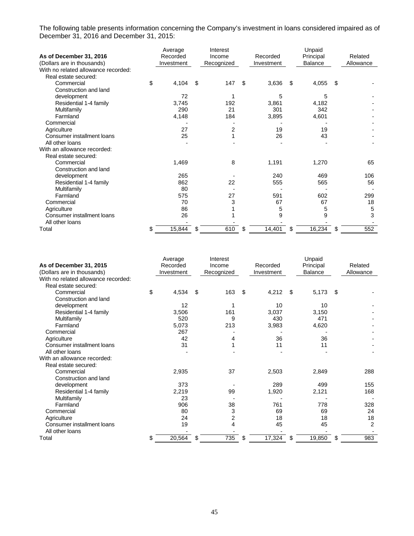The following table presents information concerning the Company's investment in loans considered impaired as of December 31, 2016 and December 31, 2015:

| As of December 31, 2016<br>(Dollars are in thousands)       |    | Average<br>Recorded<br>Investment | Interest<br>Income<br>Recognized |    | Recorded<br>Investment | Unpaid<br>Principal<br><b>Balance</b> |    | Related<br>Allowance |
|-------------------------------------------------------------|----|-----------------------------------|----------------------------------|----|------------------------|---------------------------------------|----|----------------------|
| With no related allowance recorded:<br>Real estate secured: |    |                                   |                                  |    |                        |                                       |    |                      |
| Commercial                                                  | \$ | 4,104                             | \$<br>147                        | \$ | 3,636                  | \$<br>4,055                           | \$ |                      |
| Construction and land                                       |    |                                   |                                  |    |                        |                                       |    |                      |
| development                                                 |    | 72                                |                                  |    | 5                      | 5                                     |    |                      |
| Residential 1-4 family                                      |    | 3,745                             | 192                              |    | 3,861                  | 4,182                                 |    |                      |
| Multifamily                                                 |    | 290                               | 21                               |    | 301                    | 342                                   |    |                      |
| Farmland                                                    |    | 4,148                             | 184                              |    | 3,895                  | 4,601                                 |    |                      |
| Commercial                                                  |    |                                   |                                  |    |                        |                                       |    |                      |
| Agriculture                                                 |    | 27                                | 2                                |    | 19                     | 19                                    |    |                      |
| Consumer installment loans                                  |    | 25                                |                                  |    | 26                     | 43                                    |    |                      |
| All other loans                                             |    |                                   |                                  |    |                        |                                       |    |                      |
| With an allowance recorded:                                 |    |                                   |                                  |    |                        |                                       |    |                      |
| Real estate secured:                                        |    |                                   |                                  |    |                        |                                       |    |                      |
| Commercial                                                  |    | 1,469                             | 8                                |    | 1,191                  | 1,270                                 |    | 65                   |
| Construction and land                                       |    |                                   |                                  |    |                        |                                       |    |                      |
| development                                                 |    | 265                               |                                  |    | 240                    | 469                                   |    | 106                  |
| Residential 1-4 family                                      |    | 862                               | 22                               |    | 555                    | 565                                   |    | 56                   |
| Multifamily                                                 |    | 80                                |                                  |    |                        |                                       |    |                      |
| Farmland                                                    |    | 575                               | 27                               |    | 591                    | 602                                   |    | 299                  |
| Commercial                                                  |    | 70                                | 3                                |    | 67                     | 67                                    |    | 18                   |
| Agriculture                                                 |    | 86                                |                                  |    | 5                      | 5                                     |    | 5                    |
| Consumer installment loans                                  |    | 26                                |                                  |    | 9                      | 9                                     |    | 3                    |
| All other loans                                             |    |                                   |                                  |    |                        |                                       |    |                      |
| Total                                                       | S  | 15,844                            | 610                              | S  | 14,401                 | \$<br>16,234                          | S  | 552                  |

| As of December 31, 2015<br>(Dollars are in thousands)<br>With no related allowance recorded: | Average<br>Recorded<br>Investment | Interest<br>Income<br>Recognized | Recorded<br>Investment |    | Unpaid<br>Principal<br>Balance |    | Related<br>Allowance |
|----------------------------------------------------------------------------------------------|-----------------------------------|----------------------------------|------------------------|----|--------------------------------|----|----------------------|
| Real estate secured:                                                                         |                                   |                                  |                        |    |                                |    |                      |
| Commercial                                                                                   | \$<br>4,534                       | \$<br>163                        | \$<br>4,212            | \$ | 5,173                          | \$ |                      |
| Construction and land                                                                        |                                   |                                  |                        |    |                                |    |                      |
| development                                                                                  | 12                                |                                  | 10                     |    | 10                             |    |                      |
| Residential 1-4 family                                                                       | 3,506                             | 161                              | 3,037                  |    | 3,150                          |    |                      |
| Multifamily                                                                                  | 520                               | 9                                | 430                    |    | 471                            |    |                      |
| Farmland                                                                                     | 5,073                             | 213                              | 3,983                  |    | 4,620                          |    |                      |
| Commercial                                                                                   | 267                               |                                  |                        |    |                                |    |                      |
| Agriculture                                                                                  | 42                                | 4                                | 36                     |    | 36                             |    |                      |
| Consumer installment loans                                                                   | 31                                |                                  | 11                     |    | 11                             |    |                      |
| All other loans                                                                              |                                   |                                  |                        |    |                                |    |                      |
| With an allowance recorded:                                                                  |                                   |                                  |                        |    |                                |    |                      |
| Real estate secured:                                                                         |                                   |                                  |                        |    |                                |    |                      |
| Commercial                                                                                   | 2,935                             | 37                               | 2,503                  |    | 2,849                          |    | 288                  |
| Construction and land                                                                        |                                   |                                  |                        |    |                                |    |                      |
| development                                                                                  | 373                               |                                  | 289                    |    | 499                            |    | 155                  |
| Residential 1-4 family                                                                       | 2,219                             | 99                               | 1,920                  |    | 2,121                          |    | 168                  |
| Multifamily                                                                                  | 23                                |                                  |                        |    |                                |    |                      |
| Farmland                                                                                     | 906                               | 38                               | 761                    |    | 778                            |    | 328                  |
| Commercial                                                                                   | 80                                | 3                                | 69                     |    | 69                             |    | 24                   |
| Agriculture                                                                                  | 24                                | 2                                | 18                     |    | 18                             |    | 18                   |
| Consumer installment loans                                                                   | 19                                | 4                                | 45                     |    | 45                             |    | $\overline{2}$       |
| All other loans                                                                              |                                   |                                  |                        |    |                                |    |                      |
| Total                                                                                        | \$<br>20,564                      | \$<br>735                        | \$<br>17,324           | S  | 19,850                         | S  | 983                  |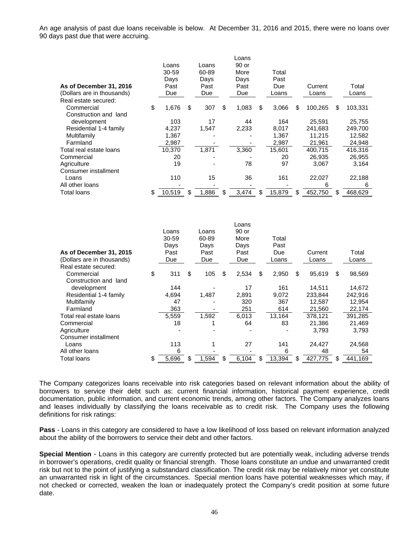An age analysis of past due loans receivable is below. At December 31, 2016 and 2015, there were no loans over 90 days past due that were accruing.

|                            |              |    |       |    | Loans |              |    |         |    |         |
|----------------------------|--------------|----|-------|----|-------|--------------|----|---------|----|---------|
|                            | Loans        |    | Loans |    | 90 or |              |    |         |    |         |
|                            | 30-59        |    | 60-89 |    | More  | Total        |    |         |    |         |
|                            | Days         |    | Days  |    | Days  | Past         |    |         |    |         |
| As of December 31, 2016    | Past         |    | Past  |    | Past  | Due          |    | Current |    | Total   |
| (Dollars are in thousands) | Due          |    | Due   |    | Due   | Loans        |    | Loans   |    | Loans   |
| Real estate secured:       |              |    |       |    |       |              |    |         |    |         |
| Commercial                 | \$<br>1,676  | \$ | 307   | \$ | 1,083 | \$<br>3,066  | \$ | 100,265 | \$ | 103,331 |
| Construction and land      |              |    |       |    |       |              |    |         |    |         |
| development                | 103          |    | 17    |    | 44    | 164          |    | 25,591  |    | 25,755  |
| Residential 1-4 family     | 4,237        |    | 1,547 |    | 2,233 | 8,017        |    | 241,683 |    | 249,700 |
| Multifamily                | 1,367        |    |       |    |       | 1,367        |    | 11,215  |    | 12,582  |
| Farmland                   | 2,987        |    |       |    |       | 2,987        |    | 21,961  |    | 24,948  |
| Total real estate loans    | 10,370       |    | 1,871 |    | 3,360 | 15,601       |    | 400,715 |    | 416,316 |
| Commercial                 | 20           |    |       |    |       | 20           |    | 26,935  |    | 26,955  |
| Agriculture                | 19           |    |       |    | 78    | 97           |    | 3,067   |    | 3,164   |
| Consumer installment       |              |    |       |    |       |              |    |         |    |         |
| Loans                      | 110          |    | 15    |    | 36    | 161          |    | 22,027  |    | 22,188  |
| All other loans            |              |    |       |    |       |              |    | 6       |    | 6       |
| Total loans                | \$<br>10,519 | S  | 1,886 | S  | 3,474 | \$<br>15,879 | S  | 452,750 | S  | 468,629 |

|                                                       | Loans<br>30-59<br>Days |    | Loans<br>60-89<br>Days |    | Loans<br>90 or<br>More<br>Days | Total<br>Past |     |                  |     |                |
|-------------------------------------------------------|------------------------|----|------------------------|----|--------------------------------|---------------|-----|------------------|-----|----------------|
| As of December 31, 2015<br>(Dollars are in thousands) | Past<br>Due            |    | Past<br>Due            |    | Past<br>Due                    | Due<br>Loans  |     | Current<br>Loans |     | Total<br>Loans |
| Real estate secured:                                  |                        |    |                        |    |                                |               |     |                  |     |                |
| Commercial                                            | \$<br>311              | \$ | 105                    | \$ | 2,534                          | \$<br>2,950   | \$. | 95,619           | \$  | 98,569         |
| Construction and land                                 |                        |    |                        |    |                                |               |     |                  |     |                |
| development                                           | 144                    |    |                        |    | 17                             | 161           |     | 14,511           |     | 14,672         |
| Residential 1-4 family                                | 4,694                  |    | 1,487                  |    | 2,891                          | 9,072         |     | 233,844          |     | 242,916        |
| Multifamily                                           | 47                     |    |                        |    | 320                            | 367           |     | 12,587           |     | 12,954         |
| Farmland                                              | 363                    |    |                        |    | 251                            | 614           |     | 21,560           |     | 22,174         |
| Total real estate loans                               | 5,559                  |    | 1,592                  |    | 6,013                          | 13.164        |     | 378,121          |     | 391,285        |
| Commercial                                            | 18                     |    |                        |    | 64                             | 83            |     | 21,386           |     | 21,469         |
| Agriculture                                           |                        |    |                        |    |                                |               |     | 3,793            |     | 3,793          |
| Consumer installment                                  |                        |    |                        |    |                                |               |     |                  |     |                |
| Loans                                                 | 113                    |    |                        |    | 27                             | 141           |     | 24.427           |     | 24,568         |
| All other loans                                       | 6                      |    |                        |    |                                | 6             |     | 48               |     | 54             |
| Total loans                                           | \$<br>5,696            | S. | 1,594                  | S. | 6,104                          | \$<br>13,394  |     | 427,775          | \$. | 441,169        |

The Company categorizes loans receivable into risk categories based on relevant information about the ability of borrowers to service their debt such as: current financial information, historical payment experience, credit documentation, public information, and current economic trends, among other factors. The Company analyzes loans and leases individually by classifying the loans receivable as to credit risk. The Company uses the following definitions for risk ratings:

**Pass** - Loans in this category are considered to have a low likelihood of loss based on relevant information analyzed about the ability of the borrowers to service their debt and other factors.

**Special Mention** - Loans in this category are currently protected but are potentially weak, including adverse trends in borrower's operations, credit quality or financial strength. Those loans constitute an undue and unwarranted credit risk but not to the point of justifying a substandard classification. The credit risk may be relatively minor yet constitute an unwarranted risk in light of the circumstances. Special mention loans have potential weaknesses which may, if not checked or corrected, weaken the loan or inadequately protect the Company's credit position at some future date.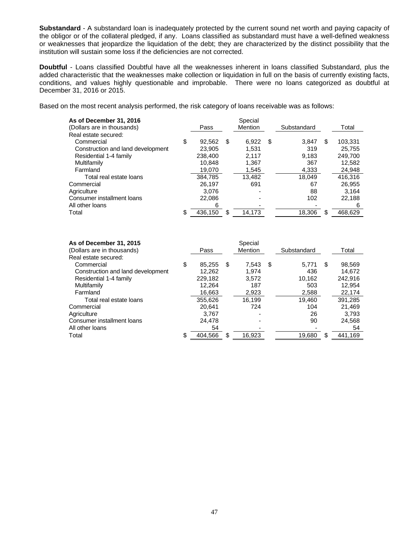**Substandard** - A substandard loan is inadequately protected by the current sound net worth and paying capacity of the obligor or of the collateral pledged, if any. Loans classified as substandard must have a well-defined weakness or weaknesses that jeopardize the liquidation of the debt; they are characterized by the distinct possibility that the institution will sustain some loss if the deficiencies are not corrected.

**Doubtful** - Loans classified Doubtful have all the weaknesses inherent in loans classified Substandard, plus the added characteristic that the weaknesses make collection or liquidation in full on the basis of currently existing facts, conditions, and values highly questionable and improbable. There were no loans categorized as doubtful at December 31, 2016 or 2015.

Based on the most recent analysis performed, the risk category of loans receivable was as follows:

| As of December 31, 2016           |    |         | Special        |             |     |         |
|-----------------------------------|----|---------|----------------|-------------|-----|---------|
| (Dollars are in thousands)        |    | Pass    | <b>Mention</b> | Substandard |     | Total   |
| Real estate secured:              |    |         |                |             |     |         |
| Commercial                        | \$ | 92.562  | \$<br>6,922    | \$<br>3,847 | \$. | 103,331 |
| Construction and land development |    | 23.905  | 1.531          | 319         |     | 25.755  |
| Residential 1-4 family            |    | 238,400 | 2.117          | 9.183       |     | 249.700 |
| Multifamily                       |    | 10,848  | 1.367          | 367         |     | 12,582  |
| Farmland                          |    | 19,070  | 1,545          | 4,333       |     | 24,948  |
| Total real estate loans           |    | 384,785 | 13,482         | 18,049      |     | 416,316 |
| Commercial                        |    | 26.197  | 691            | 67          |     | 26,955  |
| Agriculture                       |    | 3.076   |                | 88          |     | 3.164   |
| Consumer installment loans        |    | 22,086  |                | 102         |     | 22.188  |
| All other loans                   |    | 6       |                |             |     | 6       |
| Total                             | S  | 436.150 | \$<br>14,173   | 18,306      | S   | 468.629 |

| As of December 31, 2015           |    |         | Special      |             |   |         |
|-----------------------------------|----|---------|--------------|-------------|---|---------|
| (Dollars are in thousands)        |    | Pass    | Mention      | Substandard |   | Total   |
| Real estate secured:              |    |         |              |             |   |         |
| Commercial                        | \$ | 85.255  | \$<br>7.543  | \$<br>5.771 | S | 98,569  |
| Construction and land development |    | 12.262  | 1.974        | 436         |   | 14,672  |
| Residential 1-4 family            |    | 229.182 | 3.572        | 10.162      |   | 242.916 |
| Multifamily                       |    | 12.264  | 187          | 503         |   | 12.954  |
| Farmland                          |    | 16,663  | 2,923        | 2,588       |   | 22,174  |
| Total real estate loans           |    | 355.626 | 16.199       | 19.460      |   | 391.285 |
| Commercial                        |    | 20.641  | 724          | 104         |   | 21,469  |
| Agriculture                       |    | 3.767   |              | 26          |   | 3.793   |
| Consumer installment loans        |    | 24.478  |              | 90          |   | 24,568  |
| All other loans                   |    | 54      |              |             |   | 54      |
| Total                             | S  | 404,566 | \$<br>16,923 | 19,680      | S | 441,169 |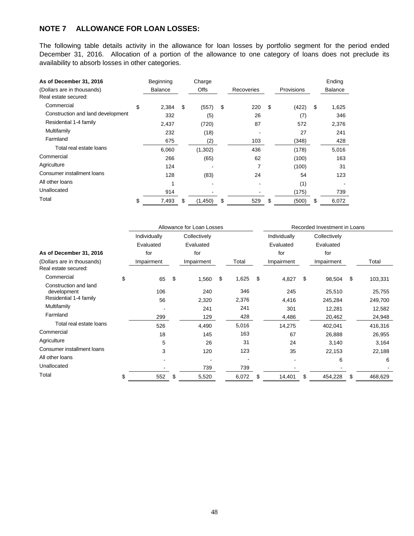# **NOTE 7 ALLOWANCE FOR LOAN LOSSES:**

The following table details activity in the allowance for loan losses by portfolio segment for the period ended December 31, 2016. Allocation of a portion of the allowance to one category of loans does not preclude its availability to absorb losses in other categories.

| As of December 31, 2016           | Beginning      |    | Charge   |            |             | Ending         |
|-----------------------------------|----------------|----|----------|------------|-------------|----------------|
| (Dollars are in thousands)        | <b>Balance</b> |    | Offs     | Recoveries | Provisions  | <b>Balance</b> |
| Real estate secured:              |                |    |          |            |             |                |
| Commercial                        | \$<br>2,384    | \$ | (557)    | \$<br>220  | \$<br>(422) | \$<br>1,625    |
| Construction and land development | 332            |    | (5)      | 26         | (7)         | 346            |
| Residential 1-4 family            | 2,437          |    | (720)    | 87         | 572         | 2,376          |
| Multifamily                       | 232            |    | (18)     |            | 27          | 241            |
| Farmland                          | 675            |    | (2)      | 103        | (348)       | 428            |
| Total real estate loans           | 6,060          |    | (1,302)  | 436        | (178)       | 5,016          |
| Commercial                        | 266            |    | (65)     | 62         | (100)       | 163            |
| Agriculture                       | 124            |    |          | 7          | (100)       | 31             |
| Consumer installment loans        | 128            |    | (83)     | 24         | 54          | 123            |
| All other loans                   |                |    |          |            | (1)         |                |
| Unallocated                       | 914            |    |          |            | (175)       | 739            |
| Total                             | \$<br>7,493    | S  | (1, 450) | \$<br>529  | \$<br>(500) | \$<br>6,072    |

|                                      | Recorded Investment in Loans<br>Allowance for Loan Losses |    |                          |    |       |    |              |               |               |
|--------------------------------------|-----------------------------------------------------------|----|--------------------------|----|-------|----|--------------|---------------|---------------|
|                                      | Individually                                              |    | Collectively             |    |       |    | Individually | Collectively  |               |
|                                      | Evaluated                                                 |    | Evaluated                |    |       |    | Evaluated    | Evaluated     |               |
| As of December 31, 2016              | for                                                       |    | for                      |    |       |    | for          | for           |               |
| (Dollars are in thousands)           | Impairment                                                |    | Impairment               |    | Total |    | Impairment   | Impairment    | Total         |
| Real estate secured:                 |                                                           |    |                          |    |       |    |              |               |               |
| Commercial                           | \$<br>65                                                  | \$ | 1,560                    | \$ | 1,625 | \$ | 4,827        | \$<br>98,504  | \$<br>103,331 |
| Construction and land<br>development | 106                                                       |    | 240                      |    | 346   |    | 245          | 25,510        | 25,755        |
| Residential 1-4 family               | 56                                                        |    | 2,320                    |    | 2,376 |    | 4,416        | 245,284       | 249,700       |
| Multifamily                          | ۰                                                         |    | 241                      |    | 241   |    | 301          | 12,281        | 12,582        |
| Farmland                             | 299                                                       |    | 129                      |    | 428   |    | 4,486        | 20,462        | 24,948        |
| Total real estate loans              | 526                                                       |    | 4,490                    |    | 5,016 |    | 14,275       | 402,041       | 416,316       |
| Commercial                           | 18                                                        |    | 145                      |    | 163   |    | 67           | 26,888        | 26,955        |
| Agriculture                          | 5                                                         |    | 26                       |    | 31    |    | 24           | 3,140         | 3,164         |
| Consumer installment loans           | 3                                                         |    | 120                      |    | 123   |    | 35           | 22,153        | 22,188        |
| All other loans                      | $\blacksquare$                                            |    | $\overline{\phantom{a}}$ |    |       |    |              | 6             | 6             |
| Unallocated                          |                                                           |    | 739                      |    | 739   |    |              |               |               |
| Total                                | \$<br>552                                                 | \$ | 5,520                    |    | 6,072 | \$ | 14,401       | \$<br>454,228 | \$<br>468,629 |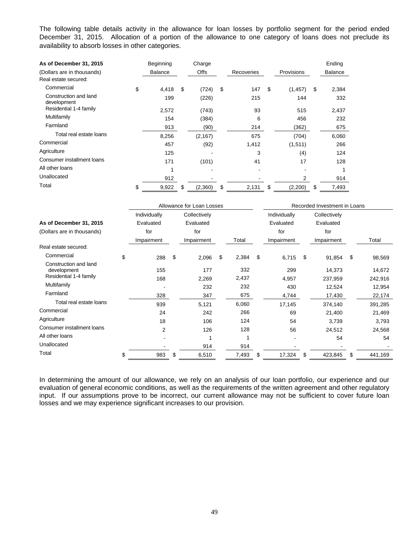The following table details activity in the allowance for loan losses by portfolio segment for the period ended December 31, 2015. Allocation of a portion of the allowance to one category of loans does not preclude its availability to absorb losses in other categories.

| As of December 31, 2015              | Beginning      |    | Charge      |             |                | Ending         |
|--------------------------------------|----------------|----|-------------|-------------|----------------|----------------|
| (Dollars are in thousands)           | <b>Balance</b> |    | <b>Offs</b> | Recoveries  | Provisions     | <b>Balance</b> |
| Real estate secured:                 |                |    |             |             |                |                |
| Commercial                           | \$<br>4,418    | \$ | (724)       | \$<br>147   | \$<br>(1, 457) | \$<br>2,384    |
| Construction and land<br>development | 199            |    | (226)       | 215         | 144            | 332            |
| Residential 1-4 family               | 2,572          |    | (743)       | 93          | 515            | 2,437          |
| Multifamily                          | 154            |    | (384)       | 6           | 456            | 232            |
| Farmland                             | 913            |    | (90)        | 214         | (362)          | 675            |
| Total real estate loans              | 8,256          |    | (2, 167)    | 675         | (704)          | 6,060          |
| Commercial                           | 457            |    | (92)        | 1,412       | (1,511)        | 266            |
| Agriculture                          | 125            |    |             | 3           | (4)            | 124            |
| Consumer installment loans           | 171            |    | (101)       | 41          | 17             | 128            |
| All other loans                      |                |    |             |             |                |                |
| Unallocated                          | 912            |    |             |             | 2              | 914            |
| Total                                | \$<br>9,922    | S  | (2,360)     | \$<br>2,131 | \$<br>(2,200)  | \$<br>7,493    |

|                                      | Allowance for Loan Losses |    |              |    |       |    | Recorded Investment in Loans |     |              |    |  |         |  |
|--------------------------------------|---------------------------|----|--------------|----|-------|----|------------------------------|-----|--------------|----|--|---------|--|
|                                      | Individually              |    | Collectively |    |       |    | Individually                 |     | Collectively |    |  |         |  |
| As of December 31, 2015              | Evaluated                 |    | Evaluated    |    |       |    | Evaluated                    |     | Evaluated    |    |  |         |  |
| (Dollars are in thousands)           | for                       |    | for          |    |       |    | for                          |     | for          |    |  |         |  |
|                                      | Impairment                |    | Impairment   |    | Total |    | Impairment                   |     | Impairment   |    |  | Total   |  |
| Real estate secured:                 |                           |    |              |    |       |    |                              |     |              |    |  |         |  |
| Commercial                           | \$<br>288                 | \$ | 2,096        | \$ | 2,384 | \$ | 6,715                        | -\$ | 91,854       | \$ |  | 98,569  |  |
| Construction and land<br>development | 155                       |    | 177          |    | 332   |    | 299                          |     | 14,373       |    |  | 14,672  |  |
| Residential 1-4 family               | 168                       |    | 2,269        |    | 2,437 |    | 4,957                        |     | 237,959      |    |  | 242,916 |  |
| Multifamily                          |                           |    | 232          |    | 232   |    | 430                          |     | 12,524       |    |  | 12,954  |  |
| Farmland                             | 328                       |    | 347          |    | 675   |    | 4,744                        |     | 17,430       |    |  | 22,174  |  |
| Total real estate loans              | 939                       |    | 5,121        |    | 6,060 |    | 17,145                       |     | 374,140      |    |  | 391,285 |  |
| Commercial                           | 24                        |    | 242          |    | 266   |    | 69                           |     | 21,400       |    |  | 21,469  |  |
| Agriculture                          | 18                        |    | 106          |    | 124   |    | 54                           |     | 3,739        |    |  | 3,793   |  |
| Consumer installment loans           | $\overline{2}$            |    | 126          |    | 128   |    | 56                           |     | 24,512       |    |  | 24,568  |  |
| All other loans                      |                           |    | 1            |    |       |    |                              |     | 54           |    |  | 54      |  |
| Unallocated                          |                           |    | 914          |    | 914   |    |                              |     |              |    |  |         |  |
| Total                                | \$<br>983                 | \$ | 6,510        |    | 7,493 | \$ | 17,324                       | \$  | 423,845      | \$ |  | 441,169 |  |

In determining the amount of our allowance, we rely on an analysis of our loan portfolio, our experience and our evaluation of general economic conditions, as well as the requirements of the written agreement and other regulatory input. If our assumptions prove to be incorrect, our current allowance may not be sufficient to cover future loan losses and we may experience significant increases to our provision.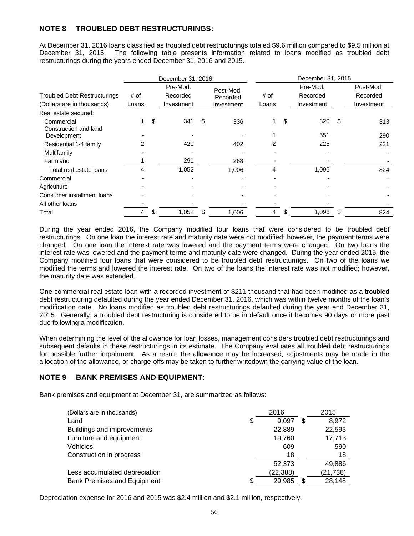# **NOTE 8 TROUBLED DEBT RESTRUCTURINGS:**

At December 31, 2016 loans classified as troubled debt restructurings totaled \$9.6 million compared to \$9.5 million at December 31, 2015. The following table presents information related to loans modified as troubled debt restructurings during the years ended December 31, 2016 and 2015.

|                                                                   | December 31, 2016 |    |                                    |      |                                     | December 31, 2015 |    |                                    |    |                                     |  |  |  |
|-------------------------------------------------------------------|-------------------|----|------------------------------------|------|-------------------------------------|-------------------|----|------------------------------------|----|-------------------------------------|--|--|--|
| <b>Troubled Debt Restructurings</b><br>(Dollars are in thousands) | # of<br>Loans     |    | Pre-Mod.<br>Recorded<br>Investment |      | Post-Mod.<br>Recorded<br>Investment | # of<br>Loans     |    | Pre-Mod.<br>Recorded<br>Investment |    | Post-Mod.<br>Recorded<br>Investment |  |  |  |
| Real estate secured:                                              |                   |    |                                    |      |                                     |                   |    |                                    |    |                                     |  |  |  |
| Commercial<br>Construction and land                               |                   | \$ | 341                                | \$   | 336                                 |                   | \$ | 320                                | S  | 313                                 |  |  |  |
| Development                                                       |                   |    |                                    |      |                                     |                   |    | 551                                |    | 290                                 |  |  |  |
| Residential 1-4 family                                            |                   |    | 420                                |      | 402                                 | 2                 |    | 225                                |    | 221                                 |  |  |  |
| Multifamily                                                       |                   |    |                                    |      |                                     |                   |    |                                    |    |                                     |  |  |  |
| Farmland                                                          |                   |    | 291                                |      | 268                                 |                   |    |                                    |    |                                     |  |  |  |
| Total real estate loans                                           | 4                 |    | 1,052                              |      | 1,006                               | 4                 |    | 1,096                              |    | 824                                 |  |  |  |
| Commercial                                                        |                   |    |                                    |      |                                     |                   |    |                                    |    |                                     |  |  |  |
| Agriculture                                                       |                   |    |                                    |      |                                     |                   |    |                                    |    |                                     |  |  |  |
| Consumer installment loans                                        |                   |    |                                    |      |                                     |                   |    |                                    |    |                                     |  |  |  |
| All other loans                                                   |                   |    |                                    |      |                                     |                   |    |                                    |    |                                     |  |  |  |
| Total                                                             | 4                 | S  | 1,052                              | - \$ | 1,006                               | 4                 | S  | 1,096                              | \$ | 824                                 |  |  |  |

During the year ended 2016, the Company modified four loans that were considered to be troubled debt restructurings. On one loan the interest rate and maturity date were not modified; however, the payment terms were changed. On one loan the interest rate was lowered and the payment terms were changed. On two loans the interest rate was lowered and the payment terms and maturity date were changed. During the year ended 2015, the Company modified four loans that were considered to be troubled debt restructurings. On two of the loans we modified the terms and lowered the interest rate. On two of the loans the interest rate was not modified; however, the maturity date was extended.

One commercial real estate loan with a recorded investment of \$211 thousand that had been modified as a troubled debt restructuring defaulted during the year ended December 31, 2016, which was within twelve months of the loan's modification date. No loans modified as troubled debt restructurings defaulted during the year end December 31, 2015. Generally, a troubled debt restructuring is considered to be in default once it becomes 90 days or more past due following a modification.

When determining the level of the allowance for loan losses, management considers troubled debt restructurings and subsequent defaults in these restructurings in its estimate. The Company evaluates all troubled debt restructurings for possible further impairment. As a result, the allowance may be increased, adjustments may be made in the allocation of the allowance, or charge-offs may be taken to further writedown the carrying value of the loan.

# **NOTE 9 BANK PREMISES AND EQUIPMENT:**

Bank premises and equipment at December 31, are summarized as follows:

| (Dollars are in thousands)         | 2016         |   | 2015      |
|------------------------------------|--------------|---|-----------|
| Land                               | \$<br>9.097  | S | 8,972     |
| Buildings and improvements         | 22,889       |   | 22,593    |
| Furniture and equipment            | 19,760       |   | 17,713    |
| Vehicles                           | 609          |   | 590       |
| Construction in progress           | 18           |   | 18        |
|                                    | 52.373       |   | 49,886    |
| Less accumulated depreciation      | (22, 388)    |   | (21, 738) |
| <b>Bank Premises and Equipment</b> | \$<br>29,985 | S | 28,148    |

Depreciation expense for 2016 and 2015 was \$2.4 million and \$2.1 million, respectively.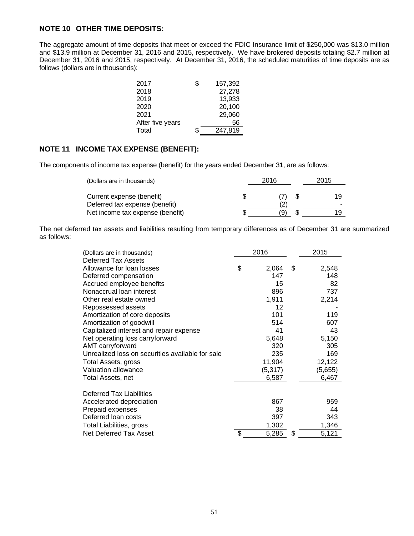### **NOTE 10 OTHER TIME DEPOSITS:**

The aggregate amount of time deposits that meet or exceed the FDIC Insurance limit of \$250,000 was \$13.0 million and \$13.9 million at December 31, 2016 and 2015, respectively. We have brokered deposits totaling \$2.7 million at December 31, 2016 and 2015, respectively. At December 31, 2016, the scheduled maturities of time deposits are as follows (dollars are in thousands):

| 2017             | \$<br>157,392 |
|------------------|---------------|
| 2018             | 27,278        |
| 2019             | 13,933        |
| 2020             | 20,100        |
| 2021             | 29,060        |
| After five years | 56            |
| Total            | \$<br>247,819 |

# **NOTE 11 INCOME TAX EXPENSE (BENEFIT):**

The components of income tax expense (benefit) for the years ended December 31, are as follows:

| (Dollars are in thousands)                                  | 2016 | 2015 |  |  |
|-------------------------------------------------------------|------|------|--|--|
| Current expense (benefit)<br>Deferred tax expense (benefit) |      |      |  |  |
| Net income tax expense (benefit)                            |      | '9'  |  |  |

The net deferred tax assets and liabilities resulting from temporary differences as of December 31 are summarized as follows:

| (Dollars are in thousands)                       | 2016 |          |    | 2015    |  |  |
|--------------------------------------------------|------|----------|----|---------|--|--|
| <b>Deferred Tax Assets</b>                       |      |          |    |         |  |  |
| Allowance for loan losses                        | \$   | 2,064    | \$ | 2,548   |  |  |
| Deferred compensation                            |      | 147      |    | 148     |  |  |
| Accrued employee benefits                        |      | 15       |    | 82      |  |  |
| Nonaccrual loan interest                         |      | 896      |    | 737     |  |  |
| Other real estate owned                          |      | 1,911    |    | 2,214   |  |  |
| Repossessed assets                               |      | 12       |    |         |  |  |
| Amortization of core deposits                    |      | 101      |    | 119     |  |  |
| Amortization of goodwill                         |      | 514      |    | 607     |  |  |
| Capitalized interest and repair expense          |      | 41       |    | 43      |  |  |
| Net operating loss carryforward                  |      | 5,648    |    | 5,150   |  |  |
| AMT carryforward                                 |      | 320      |    | 305     |  |  |
| Unrealized loss on securities available for sale |      | 235      |    | 169     |  |  |
| Total Assets, gross                              |      | 11,904   |    | 12,122  |  |  |
| Valuation allowance                              |      | (5, 317) |    | (5,655) |  |  |
| Total Assets, net                                |      | 6,587    |    | 6,467   |  |  |
| Deferred Tax Liabilities                         |      |          |    |         |  |  |
| Accelerated depreciation                         |      | 867      |    | 959     |  |  |
| Prepaid expenses                                 |      | 38       |    | 44      |  |  |
| Deferred loan costs                              |      | 397      |    | 343     |  |  |
| <b>Total Liabilities, gross</b>                  |      | 1,302    |    | 1,346   |  |  |
| Net Deferred Tax Asset                           | \$   | 5,285    | \$ | 5,121   |  |  |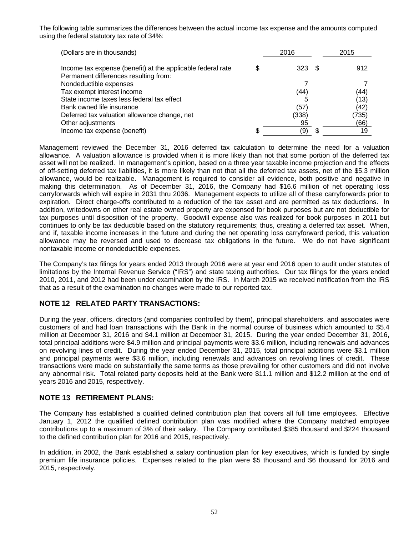The following table summarizes the differences between the actual income tax expense and the amounts computed using the federal statutory tax rate of 34%:

| (Dollars are in thousands)                                                                           | 2016  |      | 2015  |
|------------------------------------------------------------------------------------------------------|-------|------|-------|
| Income tax expense (benefit) at the applicable federal rate<br>Permanent differences resulting from: | 323   | - \$ | 912   |
| Nondeductible expenses                                                                               |       |      |       |
| Tax exempt interest income                                                                           | (44)  |      | (44)  |
| State income taxes less federal tax effect                                                           | 5     |      | (13)  |
| Bank owned life insurance                                                                            | (57)  |      | (42)  |
| Deferred tax valuation allowance change, net                                                         | (338) |      | (735) |
| Other adjustments                                                                                    | 95    |      | (66)  |
| Income tax expense (benefit)                                                                         | (9)   |      | 19    |

Management reviewed the December 31, 2016 deferred tax calculation to determine the need for a valuation allowance. A valuation allowance is provided when it is more likely than not that some portion of the deferred tax asset will not be realized. In management's opinion, based on a three year taxable income projection and the effects of off-setting deferred tax liabilities, it is more likely than not that all the deferred tax assets, net of the \$5.3 million allowance, would be realizable. Management is required to consider all evidence, both positive and negative in making this determination. As of December 31, 2016, the Company had \$16.6 million of net operating loss carryforwards which will expire in 2031 thru 2036. Management expects to utilize all of these carryforwards prior to expiration. Direct charge-offs contributed to a reduction of the tax asset and are permitted as tax deductions. In addition, writedowns on other real estate owned property are expensed for book purposes but are not deductible for tax purposes until disposition of the property. Goodwill expense also was realized for book purposes in 2011 but continues to only be tax deductible based on the statutory requirements; thus, creating a deferred tax asset. When, and if, taxable income increases in the future and during the net operating loss carryforward period, this valuation allowance may be reversed and used to decrease tax obligations in the future. We do not have significant nontaxable income or nondeductible expenses.

The Company's tax filings for years ended 2013 through 2016 were at year end 2016 open to audit under statutes of limitations by the Internal Revenue Service ("IRS") and state taxing authorities. Our tax filings for the years ended 2010, 2011, and 2012 had been under examination by the IRS. In March 2015 we received notification from the IRS that as a result of the examination no changes were made to our reported tax.

# **NOTE 12 RELATED PARTY TRANSACTIONS:**

During the year, officers, directors (and companies controlled by them), principal shareholders, and associates were customers of and had loan transactions with the Bank in the normal course of business which amounted to \$5.4 million at December 31, 2016 and \$4.1 million at December 31, 2015. During the year ended December 31, 2016, total principal additions were \$4.9 million and principal payments were \$3.6 million, including renewals and advances on revolving lines of credit. During the year ended December 31, 2015, total principal additions were \$3.1 million and principal payments were \$3.6 million, including renewals and advances on revolving lines of credit. These transactions were made on substantially the same terms as those prevailing for other customers and did not involve any abnormal risk. Total related party deposits held at the Bank were \$11.1 million and \$12.2 million at the end of years 2016 and 2015, respectively.

# **NOTE 13 RETIREMENT PLANS:**

The Company has established a qualified defined contribution plan that covers all full time employees. Effective January 1, 2012 the qualified defined contribution plan was modified where the Company matched employee contributions up to a maximum of 3% of their salary. The Company contributed \$385 thousand and \$224 thousand to the defined contribution plan for 2016 and 2015, respectively.

In addition, in 2002, the Bank established a salary continuation plan for key executives, which is funded by single premium life insurance policies. Expenses related to the plan were \$5 thousand and \$6 thousand for 2016 and 2015, respectively.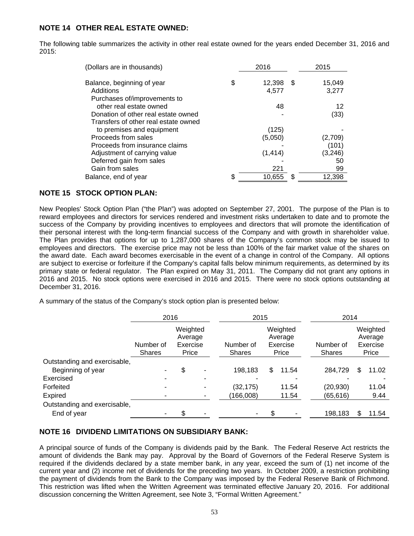# **NOTE 14 OTHER REAL ESTATE OWNED:**

The following table summarizes the activity in other real estate owned for the years ended December 31, 2016 and 2015:

| (Dollars are in thousands)                                                  | 2016                  |      | 2015            |
|-----------------------------------------------------------------------------|-----------------------|------|-----------------|
| Balance, beginning of year<br>Additions<br>Purchases of/improvements to     | \$<br>12,398<br>4,577 | - \$ | 15,049<br>3,277 |
| other real estate owned                                                     | 48                    |      | 12              |
| Donation of other real estate owned<br>Transfers of other real estate owned |                       |      | (33)            |
| to premises and equipment                                                   | (125)                 |      |                 |
| Proceeds from sales                                                         | (5,050)               |      | (2,709)         |
| Proceeds from insurance claims                                              |                       |      | (101)           |
| Adjustment of carrying value                                                | (1, 414)              |      | (3,246)         |
| Deferred gain from sales                                                    |                       |      | 50              |
| Gain from sales                                                             | 221                   |      | 99              |
| Balance, end of year                                                        | \$<br>10,655          |      | 12,398          |

### **NOTE 15 STOCK OPTION PLAN:**

New Peoples' Stock Option Plan ("the Plan") was adopted on September 27, 2001. The purpose of the Plan is to reward employees and directors for services rendered and investment risks undertaken to date and to promote the success of the Company by providing incentives to employees and directors that will promote the identification of their personal interest with the long-term financial success of the Company and with growth in shareholder value. The Plan provides that options for up to 1,287,000 shares of the Company's common stock may be issued to employees and directors. The exercise price may not be less than 100% of the fair market value of the shares on the award date. Each award becomes exercisable in the event of a change in control of the Company. All options are subject to exercise or forfeiture if the Company's capital falls below minimum requirements, as determined by its primary state or federal regulator. The Plan expired on May 31, 2011. The Company did not grant any options in 2016 and 2015. No stock options were exercised in 2016 and 2015. There were no stock options outstanding at December 31, 2016.

A summary of the status of the Company's stock option plan is presented below:

|                              | 2016                       |                                          |  | 2015                       |                                          |       | 2014                       |                                          |       |  |
|------------------------------|----------------------------|------------------------------------------|--|----------------------------|------------------------------------------|-------|----------------------------|------------------------------------------|-------|--|
|                              | Number of<br><b>Shares</b> | Weighted<br>Average<br>Exercise<br>Price |  | Number of<br><b>Shares</b> | Weighted<br>Average<br>Exercise<br>Price |       | Number of<br><b>Shares</b> | Weighted<br>Average<br>Exercise<br>Price |       |  |
| Outstanding and exercisable, |                            |                                          |  |                            |                                          |       |                            |                                          |       |  |
| Beginning of year            |                            | \$                                       |  | 198,183                    | \$                                       | 11.54 | 284,729                    | \$                                       | 11.02 |  |
| Exercised                    |                            |                                          |  |                            |                                          |       |                            |                                          |       |  |
| Forfeited                    |                            |                                          |  | (32, 175)                  |                                          | 11.54 | (20, 930)                  |                                          | 11.04 |  |
| Expired                      |                            |                                          |  | (166,008)                  |                                          | 11.54 | (65,616)                   |                                          | 9.44  |  |
| Outstanding and exercisable, |                            |                                          |  |                            |                                          |       |                            |                                          |       |  |
| End of year                  | ۰                          | \$                                       |  |                            |                                          |       | 198,183                    | S                                        | 11.54 |  |

# **NOTE 16 DIVIDEND LIMITATIONS ON SUBSIDIARY BANK:**

A principal source of funds of the Company is dividends paid by the Bank. The Federal Reserve Act restricts the amount of dividends the Bank may pay. Approval by the Board of Governors of the Federal Reserve System is required if the dividends declared by a state member bank, in any year, exceed the sum of (1) net income of the current year and (2) income net of dividends for the preceding two years. In October 2009, a restriction prohibiting the payment of dividends from the Bank to the Company was imposed by the Federal Reserve Bank of Richmond. This restriction was lifted when the Written Agreement was terminated effective January 20, 2016. For additional discussion concerning the Written Agreement, see Note 3, "Formal Written Agreement."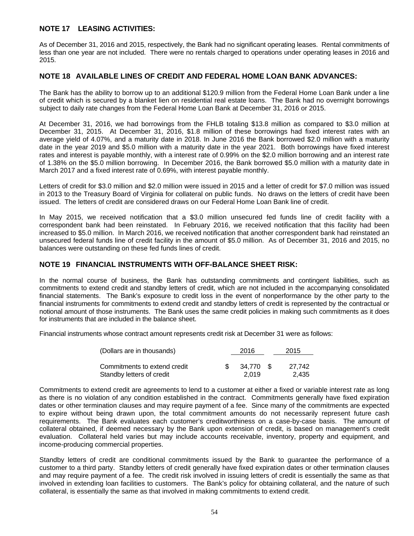# **NOTE 17 LEASING ACTIVITIES:**

As of December 31, 2016 and 2015, respectively, the Bank had no significant operating leases. Rental commitments of less than one year are not included. There were no rentals charged to operations under operating leases in 2016 and 2015.

# **NOTE 18 AVAILABLE LINES OF CREDIT AND FEDERAL HOME LOAN BANK ADVANCES:**

The Bank has the ability to borrow up to an additional \$120.9 million from the Federal Home Loan Bank under a line of credit which is secured by a blanket lien on residential real estate loans. The Bank had no overnight borrowings subject to daily rate changes from the Federal Home Loan Bank at December 31, 2016 or 2015.

At December 31, 2016, we had borrowings from the FHLB totaling \$13.8 million as compared to \$3.0 million at December 31, 2015. At December 31, 2016, \$1.8 million of these borrowings had fixed interest rates with an average yield of 4.07%, and a maturity date in 2018. In June 2016 the Bank borrowed \$2.0 million with a maturity date in the year 2019 and \$5.0 million with a maturity date in the year 2021. Both borrowings have fixed interest rates and interest is payable monthly, with a interest rate of 0.99% on the \$2.0 million borrowing and an interest rate of 1.38% on the \$5.0 million borrowing. In December 2016, the Bank borrowed \$5.0 million with a maturity date in March 2017 and a fixed interest rate of 0.69%, with interest payable monthly.

Letters of credit for \$3.0 million and \$2.0 million were issued in 2015 and a letter of credit for \$7.0 million was issued in 2013 to the Treasury Board of Virginia for collateral on public funds. No draws on the letters of credit have been issued. The letters of credit are considered draws on our Federal Home Loan Bank line of credit.

In May 2015, we received notification that a \$3.0 million unsecured fed funds line of credit facility with a correspondent bank had been reinstated. In February 2016, we received notification that this facility had been increased to \$5.0 million. In March 2016, we received notification that another correspondent bank had reinstated an unsecured federal funds line of credit facility in the amount of \$5.0 million. As of December 31, 2016 and 2015, no balances were outstanding on these fed funds lines of credit.

# **NOTE 19 FINANCIAL INSTRUMENTS WITH OFF-BALANCE SHEET RISK:**

In the normal course of business, the Bank has outstanding commitments and contingent liabilities, such as commitments to extend credit and standby letters of credit, which are not included in the accompanying consolidated financial statements. The Bank's exposure to credit loss in the event of nonperformance by the other party to the financial instruments for commitments to extend credit and standby letters of credit is represented by the contractual or notional amount of those instruments. The Bank uses the same credit policies in making such commitments as it does for instruments that are included in the balance sheet.

Financial instruments whose contract amount represents credit risk at December 31 were as follows:

| (Dollars are in thousands)   | 2016      | 2015   |
|------------------------------|-----------|--------|
| Commitments to extend credit | 34.770 \$ | 27.742 |
| Standby letters of credit    | 2.019     | 2.435  |

Commitments to extend credit are agreements to lend to a customer at either a fixed or variable interest rate as long as there is no violation of any condition established in the contract. Commitments generally have fixed expiration dates or other termination clauses and may require payment of a fee. Since many of the commitments are expected to expire without being drawn upon, the total commitment amounts do not necessarily represent future cash requirements. The Bank evaluates each customer's creditworthiness on a case-by-case basis. The amount of collateral obtained, if deemed necessary by the Bank upon extension of credit, is based on management's credit evaluation. Collateral held varies but may include accounts receivable, inventory, property and equipment, and income-producing commercial properties.

Standby letters of credit are conditional commitments issued by the Bank to guarantee the performance of a customer to a third party. Standby letters of credit generally have fixed expiration dates or other termination clauses and may require payment of a fee. The credit risk involved in issuing letters of credit is essentially the same as that involved in extending loan facilities to customers. The Bank's policy for obtaining collateral, and the nature of such collateral, is essentially the same as that involved in making commitments to extend credit.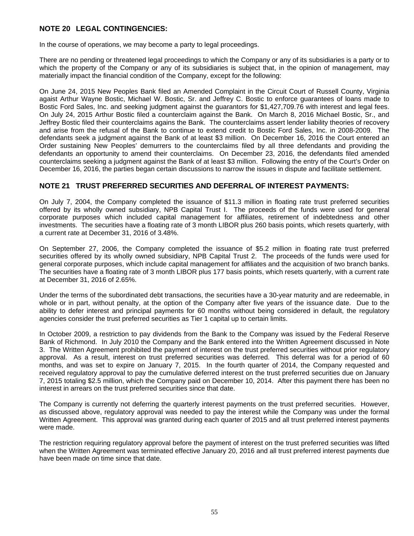# **NOTE 20 LEGAL CONTINGENCIES:**

In the course of operations, we may become a party to legal proceedings.

There are no pending or threatened legal proceedings to which the Company or any of its subsidiaries is a party or to which the property of the Company or any of its subsidiaries is subject that, in the opinion of management, may materially impact the financial condition of the Company, except for the following:

On June 24, 2015 New Peoples Bank filed an Amended Complaint in the Circuit Court of Russell County, Virginia agaist Arthur Wayne Bostic, Michael W. Bostic, Sr. and Jeffrey C. Bostic to enforce guarantees of loans made to Bostic Ford Sales, Inc. and seeking judgment against the guarantors for \$1,427,709.76 with interest and legal fees. On July 24, 2015 Arthur Bostic filed a counterclaim against the Bank. On March 8, 2016 Michael Bostic, Sr., and Jeffrey Bostic filed their counterclaims agains the Bank. The counterclaims assert lender liability theories of recovery and arise from the refusal of the Bank to continue to extend credit to Bostic Ford Sales, Inc. in 2008-2009. The defendants seek a judgment against the Bank of at least \$3 million. On December 16, 2016 the Court entered an Order sustaining New Peoples' demurrers to the counterclaims filed by all three defendants and providing the defendants an opportunity to amend their counterclaims. On December 23, 2016, the defendants filed amended counterclaims seeking a judgment against the Bank of at least \$3 million. Following the entry of the Court's Order on December 16, 2016, the parties began certain discussions to narrow the issues in dispute and facilitate settlement.

# **NOTE 21 TRUST PREFERRED SECURITIES AND DEFERRAL OF INTEREST PAYMENTS:**

On July 7, 2004, the Company completed the issuance of \$11.3 million in floating rate trust preferred securities offered by its wholly owned subsidiary, NPB Capital Trust I. The proceeds of the funds were used for general corporate purposes which included capital management for affiliates, retirement of indebtedness and other investments. The securities have a floating rate of 3 month LIBOR plus 260 basis points, which resets quarterly, with a current rate at December 31, 2016 of 3.48%.

On September 27, 2006, the Company completed the issuance of \$5.2 million in floating rate trust preferred securities offered by its wholly owned subsidiary, NPB Capital Trust 2. The proceeds of the funds were used for general corporate purposes, which include capital management for affiliates and the acquisition of two branch banks. The securities have a floating rate of 3 month LIBOR plus 177 basis points, which resets quarterly, with a current rate at December 31, 2016 of 2.65%.

Under the terms of the subordinated debt transactions, the securities have a 30-year maturity and are redeemable, in whole or in part, without penalty, at the option of the Company after five years of the issuance date. Due to the ability to defer interest and principal payments for 60 months without being considered in default, the regulatory agencies consider the trust preferred securities as Tier 1 capital up to certain limits.

In October 2009, a restriction to pay dividends from the Bank to the Company was issued by the Federal Reserve Bank of Richmond. In July 2010 the Company and the Bank entered into the Written Agreement discussed in Note 3. The Written Agreement prohibited the payment of interest on the trust preferred securities without prior regulatory approval. As a result, interest on trust preferred securities was deferred. This deferral was for a period of 60 months, and was set to expire on January 7, 2015. In the fourth quarter of 2014, the Company requested and received regulatory approval to pay the cumulative deferred interest on the trust preferred securities due on January 7, 2015 totaling \$2.5 million, which the Company paid on December 10, 2014. After this payment there has been no interest in arrears on the trust preferred securities since that date.

The Company is currently not deferring the quarterly interest payments on the trust preferred securities. However, as discussed above, regulatory approval was needed to pay the interest while the Company was under the formal Written Agreement. This approval was granted during each quarter of 2015 and all trust preferred interest payments were made.

The restriction requiring regulatory approval before the payment of interest on the trust preferred securities was lifted when the Written Agreement was terminated effective January 20, 2016 and all trust preferred interest payments due have been made on time since that date.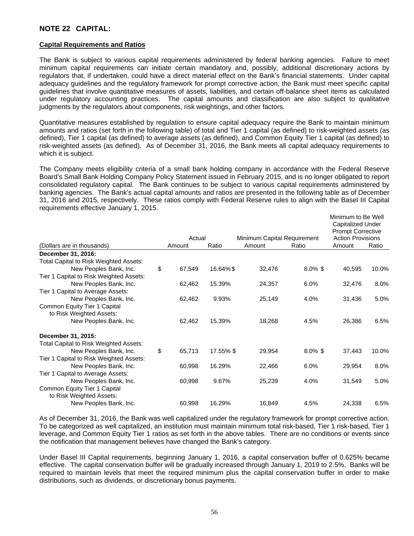# **NOTE 22 CAPITAL:**

#### **Capital Requirements and Ratios**

The Bank is subject to various capital requirements administered by federal banking agencies. Failure to meet minimum capital requirements can initiate certain mandatory and, possibly, additional discretionary actions by regulators that, if undertaken, could have a direct material effect on the Bank's financial statements. Under capital adequacy guidelines and the regulatory framework for prompt corrective action, the Bank must meet specific capital guidelines that involve quantitative measures of assets, liabilities, and certain off-balance sheet items as calculated under regulatory accounting practices. The capital amounts and classification are also subject to qualitative judgments by the regulators about components, risk weightings, and other factors.

Quantitative measures established by regulation to ensure capital adequacy require the Bank to maintain minimum amounts and ratios (set forth in the following table) of total and Tier 1 capital (as defined) to risk-weighted assets (as defined), Tier 1 capital (as defined) to average assets (as defined), and Common Equity Tier 1 capital (as defined) to risk-weighted assets (as defined). As of December 31, 2016, the Bank meets all capital adequacy requirements to which it is subject.

The Company meets eligibility criteria of a small bank holding company in accordance with the Federal Reserve Board's Small Bank Holding Company Policy Statement issued in February 2015, and is no longer obligated to report consolidated regulatory capital. The Bank continues to be subject to various capital requirements administered by banking agencies. The Bank's actual capital amounts and ratios are presented in the following table as of December 31, 2016 and 2015, respectively. These ratios comply with Federal Reserve rules to align with the Basel III Capital requirements effective January 1, 2015.

 $\sim$   $\sim$   $\sim$   $\sim$ 

|                                         | Actual       |           |                             | Minimum to Be Well<br><b>Capitalized Under</b><br><b>Prompt Corrective</b> |                          |       |  |
|-----------------------------------------|--------------|-----------|-----------------------------|----------------------------------------------------------------------------|--------------------------|-------|--|
|                                         |              |           | Minimum Capital Requirement |                                                                            | <b>Action Provisions</b> |       |  |
| (Dollars are in thousands)              | Amount       | Ratio     | Amount                      | Ratio                                                                      | Amount                   | Ratio |  |
| December 31, 2016:                      |              |           |                             |                                                                            |                          |       |  |
| Total Capital to Risk Weighted Assets:  |              |           |                             |                                                                            |                          |       |  |
| New Peoples Bank, Inc.                  | \$<br>67,549 | 16.64%\$  | 32,476                      | $8.0\%$ \$                                                                 | 40,595                   | 10.0% |  |
| Tier 1 Capital to Risk Weighted Assets: |              |           |                             |                                                                            |                          |       |  |
| New Peoples Bank, Inc.                  | 62,462       | 15.39%    | 24,357                      | 6.0%                                                                       | 32,476                   | 8.0%  |  |
| Tier 1 Capital to Average Assets:       |              |           |                             |                                                                            |                          |       |  |
| New Peoples Bank, Inc.                  | 62,462       | 9.93%     | 25,149                      | 4.0%                                                                       | 31,436                   | 5.0%  |  |
| Common Equity Tier 1 Capital            |              |           |                             |                                                                            |                          |       |  |
| to Risk Weighted Assets:                |              |           |                             |                                                                            |                          |       |  |
| New Peoples Bank, Inc.                  | 62,462       | 15.39%    | 18,268                      | 4.5%                                                                       | 26,386                   | 6.5%  |  |
| December 31, 2015:                      |              |           |                             |                                                                            |                          |       |  |
| Total Capital to Risk Weighted Assets:  |              |           |                             |                                                                            |                          |       |  |
| New Peoples Bank, Inc.                  | \$<br>65,713 | 17.55% \$ | 29,954                      | $8.0\%$ \$                                                                 | 37,443                   | 10.0% |  |
| Tier 1 Capital to Risk Weighted Assets: |              |           |                             |                                                                            |                          |       |  |
| New Peoples Bank, Inc.                  | 60,998       | 16.29%    | 22,466                      | 6.0%                                                                       | 29,954                   | 8.0%  |  |
| Tier 1 Capital to Average Assets:       |              |           |                             |                                                                            |                          |       |  |
| New Peoples Bank, Inc.                  | 60,998       | 9.67%     | 25,239                      | 4.0%                                                                       | 31,549                   | 5.0%  |  |
| Common Equity Tier 1 Capital            |              |           |                             |                                                                            |                          |       |  |
| to Risk Weighted Assets:                |              |           |                             |                                                                            |                          |       |  |
| New Peoples Bank, Inc.                  | 60,998       | 16.29%    | 16,849                      | 4.5%                                                                       | 24,338                   | 6.5%  |  |
|                                         |              |           |                             |                                                                            |                          |       |  |

As of December 31, 2016, the Bank was well capitalized under the regulatory framework for prompt corrective action. To be categorized as well capitalized, an institution must maintain minimum total risk-based, Tier 1 risk-based, Tier 1 leverage, and Common Equity Tier 1 ratios as set forth in the above tables. There are no conditions or events since the notification that management believes have changed the Bank's category.

Under Basel III Capital requirements, beginning January 1, 2016, a capital conservation buffer of 0.625% became effective. The capital conservation buffer will be gradually increased through January 1, 2019 to 2.5%. Banks will be required to maintain levels that meet the required minimum plus the capital conservation buffer in order to make distributions, such as dividends, or discretionary bonus payments.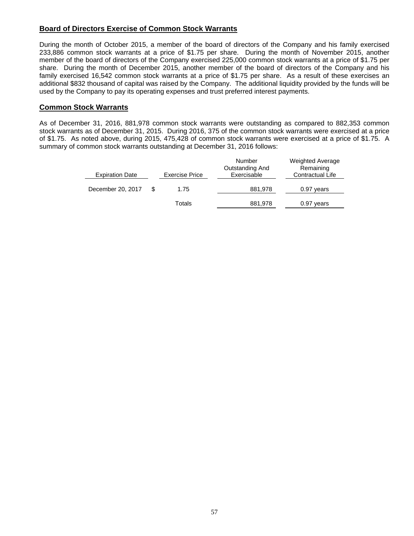# **Board of Directors Exercise of Common Stock Warrants**

During the month of October 2015, a member of the board of directors of the Company and his family exercised 233,886 common stock warrants at a price of \$1.75 per share. During the month of November 2015, another member of the board of directors of the Company exercised 225,000 common stock warrants at a price of \$1.75 per share. During the month of December 2015, another member of the board of directors of the Company and his family exercised 16,542 common stock warrants at a price of \$1.75 per share. As a result of these exercises an additional \$832 thousand of capital was raised by the Company. The additional liquidity provided by the funds will be used by the Company to pay its operating expenses and trust preferred interest payments.

### **Common Stock Warrants**

As of December 31, 2016, 881,978 common stock warrants were outstanding as compared to 882,353 common stock warrants as of December 31, 2015. During 2016, 375 of the common stock warrants were exercised at a price of \$1.75. As noted above, during 2015, 475,428 of common stock warrants were exercised at a price of \$1.75. A summary of common stock warrants outstanding at December 31, 2016 follows:

| <b>Expiration Date</b> | Exercise Price | Number<br>Outstanding And<br>Exercisable | <b>Weighted Average</b><br>Remaining<br>Contractual Life |
|------------------------|----------------|------------------------------------------|----------------------------------------------------------|
| December 20, 2017      | 1.75           | 881,978                                  | $0.97$ years                                             |
|                        | Totals         | 881,978                                  | $0.97$ years                                             |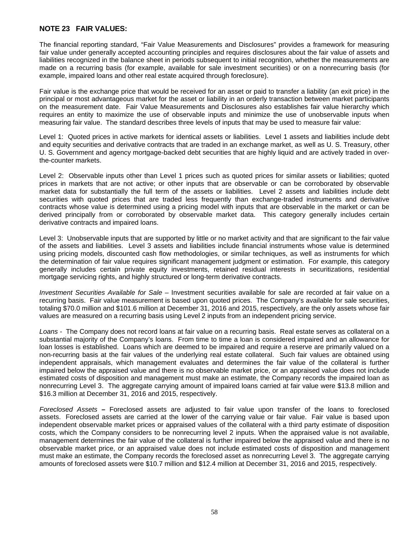### **NOTE 23 FAIR VALUES:**

The financial reporting standard, "Fair Value Measurements and Disclosures" provides a framework for measuring fair value under generally accepted accounting principles and requires disclosures about the fair value of assets and liabilities recognized in the balance sheet in periods subsequent to initial recognition, whether the measurements are made on a recurring basis (for example, available for sale investment securities) or on a nonrecurring basis (for example, impaired loans and other real estate acquired through foreclosure).

Fair value is the exchange price that would be received for an asset or paid to transfer a liability (an exit price) in the principal or most advantageous market for the asset or liability in an orderly transaction between market participants on the measurement date. Fair Value Measurements and Disclosures also establishes fair value hierarchy which requires an entity to maximize the use of observable inputs and minimize the use of unobservable inputs when measuring fair value. The standard describes three levels of inputs that may be used to measure fair value:

Level 1: Quoted prices in active markets for identical assets or liabilities. Level 1 assets and liabilities include debt and equity securities and derivative contracts that are traded in an exchange market, as well as U. S. Treasury, other U. S. Government and agency mortgage-backed debt securities that are highly liquid and are actively traded in overthe-counter markets.

Level 2: Observable inputs other than Level 1 prices such as quoted prices for similar assets or liabilities; quoted prices in markets that are not active; or other inputs that are observable or can be corroborated by observable market data for substantially the full term of the assets or liabilities. Level 2 assets and liabilities include debt securities with quoted prices that are traded less frequently than exchange-traded instruments and derivative contracts whose value is determined using a pricing model with inputs that are observable in the market or can be derived principally from or corroborated by observable market data. This category generally includes certain derivative contracts and impaired loans.

Level 3: Unobservable inputs that are supported by little or no market activity and that are significant to the fair value of the assets and liabilities. Level 3 assets and liabilities include financial instruments whose value is determined using pricing models, discounted cash flow methodologies, or similar techniques, as well as instruments for which the determination of fair value requires significant management judgment or estimation. For example, this category generally includes certain private equity investments, retained residual interests in securitizations, residential mortgage servicing rights, and highly structured or long-term derivative contracts.

*Investment Securities Available for Sale –* Investment securities available for sale are recorded at fair value on a recurring basis. Fair value measurement is based upon quoted prices. The Company's available for sale securities, totaling \$70.0 million and \$101.6 million at December 31, 2016 and 2015, respectively, are the only assets whose fair values are measured on a recurring basis using Level 2 inputs from an independent pricing service.

*Loans -* The Company does not record loans at fair value on a recurring basis. Real estate serves as collateral on a substantial majority of the Company's loans. From time to time a loan is considered impaired and an allowance for loan losses is established. Loans which are deemed to be impaired and require a reserve are primarily valued on a non-recurring basis at the fair values of the underlying real estate collateral. Such fair values are obtained using independent appraisals, which management evaluates and determines the fair value of the collateral is further impaired below the appraised value and there is no observable market price, or an appraised value does not include estimated costs of disposition and management must make an estimate, the Company records the impaired loan as nonrecurring Level 3. The aggregate carrying amount of impaired loans carried at fair value were \$13.8 million and \$16.3 million at December 31, 2016 and 2015, respectively.

*Foreclosed Assets –* Foreclosed assets are adjusted to fair value upon transfer of the loans to foreclosed assets. Foreclosed assets are carried at the lower of the carrying value or fair value. Fair value is based upon independent observable market prices or appraised values of the collateral with a third party estimate of disposition costs, which the Company considers to be nonrecurring level 2 inputs. When the appraised value is not available, management determines the fair value of the collateral is further impaired below the appraised value and there is no observable market price, or an appraised value does not include estimated costs of disposition and management must make an estimate, the Company records the foreclosed asset as nonrecurring Level 3. The aggregate carrying amounts of foreclosed assets were \$10.7 million and \$12.4 million at December 31, 2016 and 2015, respectively.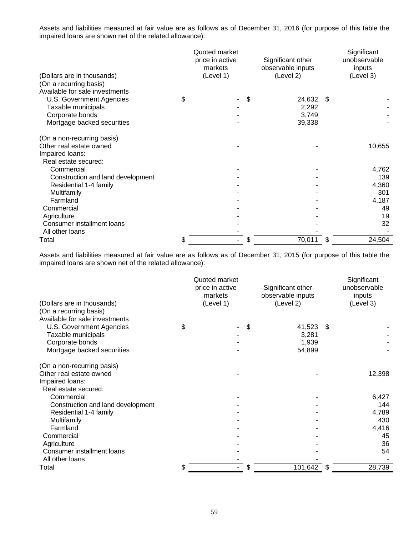Assets and liabilities measured at fair value are as follows as of December 31, 2016 (for purpose of this table the impaired loans are shown net of the related allowance):

|                                                          | Quoted market<br>price in active<br>markets |    | Significant other<br>observable inputs | Significant<br>unobservable<br>inputs |
|----------------------------------------------------------|---------------------------------------------|----|----------------------------------------|---------------------------------------|
| (Dollars are in thousands)                               | (Level 1)                                   |    | (Level 2)                              | (Level 3)                             |
| (On a recurring basis)<br>Available for sale investments |                                             |    |                                        |                                       |
| U.S. Government Agencies                                 | \$                                          | \$ | 24,632 \$                              |                                       |
| Taxable municipals                                       |                                             |    | 2,292                                  |                                       |
| Corporate bonds                                          |                                             |    | 3,749                                  |                                       |
| Mortgage backed securities                               |                                             |    | 39,338                                 |                                       |
| (On a non-recurring basis)                               |                                             |    |                                        |                                       |
| Other real estate owned                                  |                                             |    |                                        | 10,655                                |
| Impaired loans:                                          |                                             |    |                                        |                                       |
| Real estate secured:                                     |                                             |    |                                        |                                       |
| Commercial                                               |                                             |    |                                        | 4,762                                 |
| Construction and land development                        |                                             |    |                                        | 139                                   |
| Residential 1-4 family                                   |                                             |    |                                        | 4,360                                 |
| Multifamily                                              |                                             |    |                                        | 301                                   |
| Farmland                                                 |                                             |    |                                        | 4,187                                 |
| Commercial                                               |                                             |    |                                        | 49                                    |
| Agriculture                                              |                                             |    |                                        | 19                                    |
| Consumer installment loans                               |                                             |    |                                        | 32                                    |
| All other loans                                          |                                             |    |                                        |                                       |
| Total                                                    | \$                                          | S  | 70,011                                 | 24,504                                |

Assets and liabilities measured at fair value are as follows as of December 31, 2015 (for purpose of this table the impaired loans are shown net of the related allowance):

| (Dollars are in thousands)        | Quoted market<br>price in active<br>markets<br>(Level 1) | Significant other<br>observable inputs<br>(Level 2) |     | Significant<br>unobservable<br>inputs<br>(Level 3) |
|-----------------------------------|----------------------------------------------------------|-----------------------------------------------------|-----|----------------------------------------------------|
| (On a recurring basis)            |                                                          |                                                     |     |                                                    |
| Available for sale investments    |                                                          |                                                     |     |                                                    |
| U.S. Government Agencies          | \$                                                       | \$<br>41,523                                        | -\$ |                                                    |
| Taxable municipals                |                                                          | 3,281                                               |     |                                                    |
| Corporate bonds                   |                                                          | 1,939                                               |     |                                                    |
| Mortgage backed securities        |                                                          | 54,899                                              |     |                                                    |
| (On a non-recurring basis)        |                                                          |                                                     |     |                                                    |
| Other real estate owned           |                                                          |                                                     |     | 12,398                                             |
| Impaired loans:                   |                                                          |                                                     |     |                                                    |
| Real estate secured:              |                                                          |                                                     |     |                                                    |
| Commercial                        |                                                          |                                                     |     | 6,427                                              |
| Construction and land development |                                                          |                                                     |     | 144                                                |
| Residential 1-4 family            |                                                          |                                                     |     | 4,789                                              |
| Multifamily                       |                                                          |                                                     |     | 430                                                |
| Farmland                          |                                                          |                                                     |     | 4,416                                              |
| Commercial                        |                                                          |                                                     |     | 45                                                 |
| Agriculture                       |                                                          |                                                     |     | 36                                                 |
| <b>Consumer installment loans</b> |                                                          |                                                     |     | 54                                                 |
| All other loans                   |                                                          |                                                     |     |                                                    |
| Total                             | \$                                                       | \$<br>101,642                                       | S   | 28,739                                             |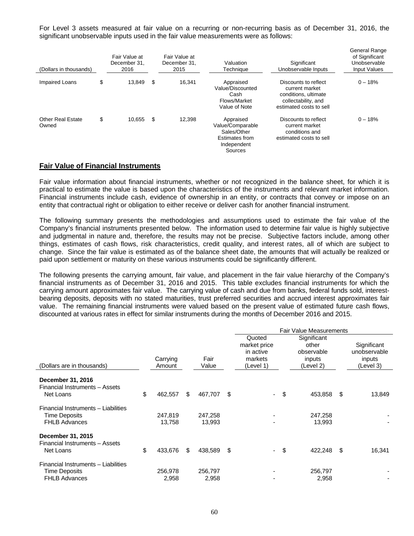For Level 3 assets measured at fair value on a recurring or non-recurring basis as of December 31, 2016, the significant unobservable inputs used in the fair value measurements were as follows:

| (Dollars in thousands)            |    | Fair Value at<br>December 31.<br>2016 | Fair Value at<br>December 31.<br>2015 | Valuation<br>Techniaue                                                                   | Significant<br>Unobservable Inputs                                                                               | General Range<br>of Significant<br>Unobservable<br>Input Values |
|-----------------------------------|----|---------------------------------------|---------------------------------------|------------------------------------------------------------------------------------------|------------------------------------------------------------------------------------------------------------------|-----------------------------------------------------------------|
| <b>Impaired Loans</b>             | \$ | 13,849                                | \$<br>16.341                          | Appraised<br>Value/Discounted<br>Cash<br>Flows/Market<br>Value of Note                   | Discounts to reflect<br>current market<br>conditions, ultimate<br>collectability, and<br>estimated costs to sell | $0 - 18%$                                                       |
| <b>Other Real Estate</b><br>Owned | \$ | 10,655                                | \$<br>12,398                          | Appraised<br>Value/Comparable<br>Sales/Other<br>Estimates from<br>Independent<br>Sources | Discounts to reflect<br>current market<br>conditions and<br>estimated costs to sell                              | $0 - 18%$                                                       |

# **Fair Value of Financial Instruments**

Fair value information about financial instruments, whether or not recognized in the balance sheet, for which it is practical to estimate the value is based upon the characteristics of the instruments and relevant market information. Financial instruments include cash, evidence of ownership in an entity, or contracts that convey or impose on an entity that contractual right or obligation to either receive or deliver cash for another financial instrument.

The following summary presents the methodologies and assumptions used to estimate the fair value of the Company's financial instruments presented below. The information used to determine fair value is highly subjective and judgmental in nature and, therefore, the results may not be precise. Subjective factors include, among other things, estimates of cash flows, risk characteristics, credit quality, and interest rates, all of which are subject to change. Since the fair value is estimated as of the balance sheet date, the amounts that will actually be realized or paid upon settlement or maturity on these various instruments could be significantly different.

The following presents the carrying amount, fair value, and placement in the fair value hierarchy of the Company's financial instruments as of December 31, 2016 and 2015. This table excludes financial instruments for which the carrying amount approximates fair value. The carrying value of cash and due from banks, federal funds sold, interestbearing deposits, deposits with no stated maturities, trust preferred securities and accrued interest approximates fair value. The remaining financial instruments were valued based on the present value of estimated future cash flows, discounted at various rates in effect for similar instruments during the months of December 2016 and 2015.

|                                                                                     |                    |                   |                                                             |      | <b>Fair Value Measurements</b>                            |     |                                                    |
|-------------------------------------------------------------------------------------|--------------------|-------------------|-------------------------------------------------------------|------|-----------------------------------------------------------|-----|----------------------------------------------------|
| (Dollars are in thousands)                                                          | Carrying<br>Amount | Fair<br>Value     | Quoted<br>market price<br>in active<br>markets<br>(Level 1) |      | Significant<br>other<br>observable<br>inputs<br>(Level 2) |     | Significant<br>unobservable<br>inputs<br>(Level 3) |
| December 31, 2016<br>Financial Instruments - Assets<br>Net Loans                    | \$<br>462,557      | \$<br>467,707     | \$<br>$\overline{\phantom{0}}$                              | \$   | 453,858                                                   | -\$ | 13,849                                             |
| Financial Instruments - Liabilities<br>Time Deposits<br><b>FHLB Advances</b>        | 247,819<br>13,758  | 247,258<br>13,993 |                                                             |      | 247,258<br>13,993                                         |     |                                                    |
| December 31, 2015<br>Financial Instruments - Assets<br>Net Loans                    | \$<br>433,676      | \$<br>438,589     | \$                                                          | - \$ | 422,248                                                   | -\$ | 16,341                                             |
| Financial Instruments - Liabilities<br><b>Time Deposits</b><br><b>FHLB Advances</b> | 256,978<br>2,958   | 256,797<br>2,958  |                                                             |      | 256,797<br>2,958                                          |     |                                                    |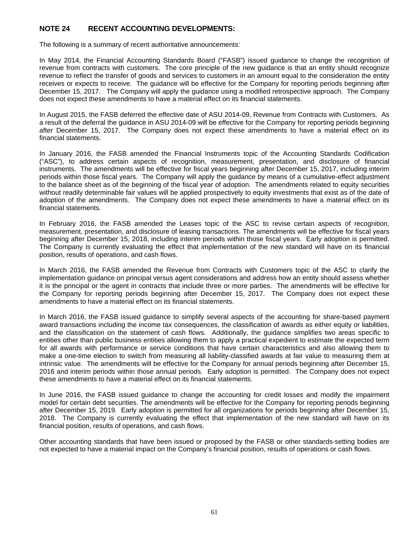# **NOTE 24 RECENT ACCOUNTING DEVELOPMENTS:**

The following is a summary of recent authoritative announcements:

In May 2014, the Financial Accounting Standards Board ("FASB") issued guidance to change the recognition of revenue from contracts with customers. The core principle of the new guidance is that an entity should recognize revenue to reflect the transfer of goods and services to customers in an amount equal to the consideration the entity receives or expects to receive. The guidance will be effective for the Company for reporting periods beginning after December 15, 2017. The Company will apply the guidance using a modified retrospective approach. The Company does not expect these amendments to have a material effect on its financial statements.

In August 2015, the FASB deferred the effective date of ASU 2014-09, Revenue from Contracts with Customers. As a result of the deferral the guidance in ASU 2014-09 will be effective for the Company for reporting periods beginning after December 15, 2017. The Company does not expect these amendments to have a material effect on its financial statements.

In January 2016, the FASB amended the Financial Instruments topic of the Accounting Standards Codification ("ASC"), to address certain aspects of recognition, measurement, presentation, and disclosure of financial instruments. The amendments will be effective for fiscal years beginning after December 15, 2017, including interim periods within those fiscal years. The Company will apply the guidance by means of a cumulative-effect adjustment to the balance sheet as of the beginning of the fiscal year of adoption. The amendments related to equity securities without readily determinable fair values will be applied prospectively to equity investments that exist as of the date of adoption of the amendments. The Company does not expect these amendments to have a material effect on its financial statements.

In February 2016, the FASB amended the Leases topic of the ASC to revise certain aspects of recognition, measurement, presentation, and disclosure of leasing transactions. The amendments will be effective for fiscal years beginning after December 15, 2018, including interim periods within those fiscal years. Early adoption is permitted. The Company is currently evaluating the effect that implementation of the new standard will have on its financial position, results of operations, and cash flows.

In March 2016, the FASB amended the Revenue from Contracts with Customers topic of the ASC to clarify the implementation guidance on principal versus agent considerations and address how an entity should assess whether it is the principal or the agent in contracts that include three or more parties. The amendments will be effective for the Company for reporting periods beginning after December 15, 2017. The Company does not expect these amendments to have a material effect on its financial statements.

In March 2016, the FASB issued guidance to simplify several aspects of the accounting for share-based payment award transactions including the income tax consequences, the classification of awards as either equity or liabilities, and the classification on the statement of cash flows. Additionally, the guidance simplifies two areas specific to entities other than public business entities allowing them to apply a practical expedient to estimate the expected term for all awards with performance or service conditions that have certain characteristics and also allowing them to make a one-time election to switch from measuring all liability-classified awards at fair value to measuring them at intrinsic value. The amendments will be effective for the Company for annual periods beginning after December 15, 2016 and interim periods within those annual periods. Early adoption is permitted. The Company does not expect these amendments to have a material effect on its financial statements.

In June 2016, the FASB issued guidance to change the accounting for credit losses and modify the impairment model for certain debt securities. The amendments will be effective for the Company for reporting periods beginning after December 15, 2019. Early adoption is permitted for all organizations for periods beginning after December 15, 2018. The Company is currently evaluating the effect that implementation of the new standard will have on its financial position, results of operations, and cash flows.

Other accounting standards that have been issued or proposed by the FASB or other standards-setting bodies are not expected to have a material impact on the Company's financial position, results of operations or cash flows.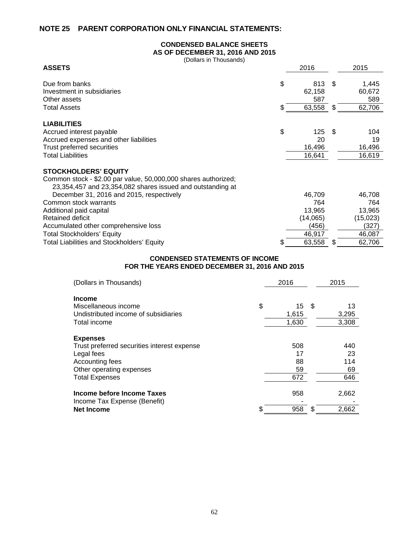# **NOTE 25 PARENT CORPORATION ONLY FINANCIAL STATEMENTS:**

# **CONDENSED BALANCE SHEETS**

**AS OF DECEMBER 31, 2016 AND 2015** 

(Dollars in Thousands)

| <b>ASSETS</b>                                                                                                                |    | 2016          |      | 2015            |
|------------------------------------------------------------------------------------------------------------------------------|----|---------------|------|-----------------|
| Due from banks<br>Investment in subsidiaries                                                                                 | \$ | 813<br>62,158 | - \$ | 1,445<br>60,672 |
| Other assets                                                                                                                 |    | 587           |      | 589             |
| <b>Total Assets</b>                                                                                                          | \$ | 63,558        | S.   | 62,706          |
| <b>LIABILITIES</b>                                                                                                           |    |               |      |                 |
| Accrued interest payable                                                                                                     | \$ | 125           | -S   | 104             |
| Accrued expenses and other liabilities                                                                                       |    | 20            |      | 19              |
| Trust preferred securities                                                                                                   |    | 16,496        |      | 16,496          |
| <b>Total Liabilities</b>                                                                                                     |    | 16,641        |      | 16,619          |
| <b>STOCKHOLDERS' EQUITY</b>                                                                                                  |    |               |      |                 |
| Common stock - \$2.00 par value, 50,000,000 shares authorized;<br>23,354,457 and 23,354,082 shares issued and outstanding at |    |               |      |                 |
| December 31, 2016 and 2015, respectively                                                                                     |    | 46,709        |      | 46,708          |
| Common stock warrants                                                                                                        |    | 764           |      | 764             |
| Additional paid capital                                                                                                      |    | 13,965        |      | 13,965          |
| <b>Retained deficit</b>                                                                                                      |    | (14,065)      |      | (15,023)        |
| Accumulated other comprehensive loss                                                                                         |    | (456)         |      | (327)           |
| <b>Total Stockholders' Equity</b>                                                                                            |    | 46,917        |      | 46,087          |
| Total Liabilities and Stockholders' Equity                                                                                   | S  | 63,558        | \$.  | 62,706          |

#### **CONDENSED STATEMENTS OF INCOME FOR THE YEARS ENDED DECEMBER 31, 2016 AND 2015**

| (Dollars in Thousands)                                                                                                                               | 2016                         |      | 2015                          |
|------------------------------------------------------------------------------------------------------------------------------------------------------|------------------------------|------|-------------------------------|
| <b>Income</b><br>Miscellaneous income<br>Undistributed income of subsidiaries<br>Total income                                                        | \$<br>15<br>1,615<br>1,630   | - \$ | 13<br>3,295<br>3,308          |
| <b>Expenses</b><br>Trust preferred securities interest expense<br>Legal fees<br>Accounting fees<br>Other operating expenses<br><b>Total Expenses</b> | 508<br>17<br>88<br>59<br>672 |      | 440<br>23<br>114<br>69<br>646 |
| Income before Income Taxes<br>Income Tax Expense (Benefit)<br><b>Net Income</b>                                                                      | 958<br>958                   | S    | 2,662<br>2,662                |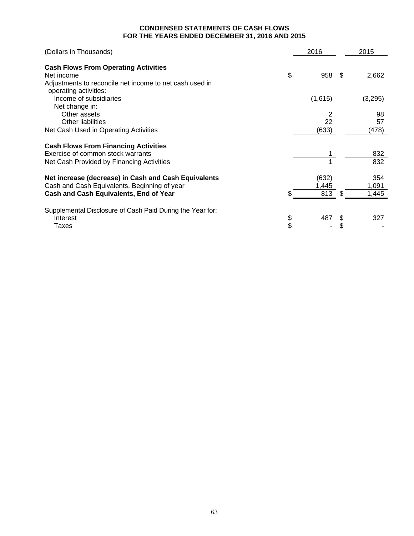# **CONDENSED STATEMENTS OF CASH FLOWS FOR THE YEARS ENDED DECEMBER 31, 2016 AND 2015**

| (Dollars in Thousands)                                                           | 2016      |     | 2015    |
|----------------------------------------------------------------------------------|-----------|-----|---------|
| <b>Cash Flows From Operating Activities</b>                                      |           |     |         |
| Net income                                                                       | \$<br>958 | \$. | 2,662   |
| Adjustments to reconcile net income to net cash used in<br>operating activities: |           |     |         |
| Income of subsidiaries                                                           | (1,615)   |     | (3,295) |
| Net change in:                                                                   |           |     |         |
| Other assets                                                                     | 2         |     | 98      |
| Other liabilities                                                                | 22        |     | 57      |
| Net Cash Used in Operating Activities                                            | (633)     |     | (478)   |
| <b>Cash Flows From Financing Activities</b>                                      |           |     |         |
| Exercise of common stock warrants                                                |           |     | 832     |
| Net Cash Provided by Financing Activities                                        |           |     | 832     |
|                                                                                  |           |     |         |
| Net increase (decrease) in Cash and Cash Equivalents                             | (632)     |     | 354     |
| Cash and Cash Equivalents, Beginning of year                                     | 1,445     |     | 1,091   |
| Cash and Cash Equivalents, End of Year                                           | 813       |     | 1,445   |
|                                                                                  |           |     |         |
| Supplemental Disclosure of Cash Paid During the Year for:                        |           |     |         |
| Interest                                                                         | \$<br>487 |     | 327     |
| Taxes                                                                            | \$        |     |         |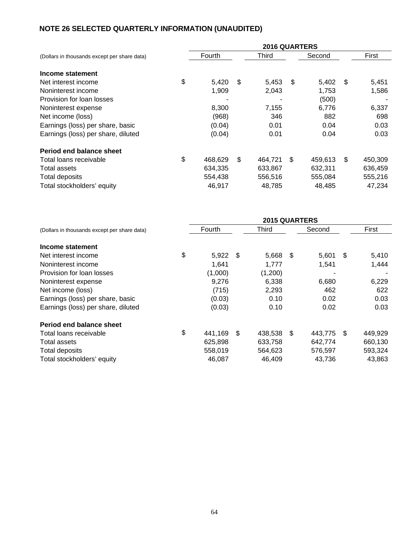# **NOTE 26 SELECTED QUARTERLY INFORMATION (UNAUDITED)**

|                                              |               | 2016 QUARTERS |               |               |
|----------------------------------------------|---------------|---------------|---------------|---------------|
| (Dollars in thousands except per share data) | Fourth        | <b>Third</b>  | Second        | First         |
| Income statement                             |               |               |               |               |
| Net interest income                          | \$<br>5,420   | \$<br>5,453   | \$<br>5,402   | \$<br>5,451   |
| Noninterest income                           | 1,909         | 2,043         | 1,753         | 1,586         |
| Provision for loan losses                    |               |               | (500)         |               |
| Noninterest expense                          | 8,300         | 7,155         | 6,776         | 6,337         |
| Net income (loss)                            | (968)         | 346           | 882           | 698           |
| Earnings (loss) per share, basic             | (0.04)        | 0.01          | 0.04          | 0.03          |
| Earnings (loss) per share, diluted           | (0.04)        | 0.01          | 0.04          | 0.03          |
| <b>Period end balance sheet</b>              |               |               |               |               |
| Total loans receivable                       | \$<br>468,629 | \$<br>464,721 | \$<br>459,613 | \$<br>450,309 |
| <b>Total assets</b>                          | 634,335       | 633,867       | 632,311       | 636,459       |
| <b>Total deposits</b>                        | 554,438       | 556,516       | 555,084       | 555,216       |
| Total stockholders' equity                   | 46,917        | 48,785        | 48,485        | 47,234        |
|                                              |               |               |               |               |
|                                              |               | 2015 QUARTERS |               |               |
| (Dollars in thousands except per share data) | Fourth        | <b>Third</b>  | Second        | First         |
| <b>Income statement</b>                      |               |               |               |               |
| Net interest income                          | \$<br>5,922   | \$<br>5,668   | \$<br>5,601   | \$<br>5,410   |
| Noninterest income                           | 1,641         | 1,777         | 1,541         | 1,444         |
| Provision for loan losses                    | (1,000)       | (1,200)       |               |               |
| Noninterest expense                          | 9,276         | 6,338         | 6,680         | 6,229         |
| Net income (loss)                            | (715)         | 2,293         | 462           | 622           |
| Earnings (loss) per share, basic             | (0.03)        | 0.10          | 0.02          | 0.03          |
| Earnings (loss) per share, diluted           | (0.03)        | 0.10          | 0.02          | 0.03          |
| Period end balance sheet                     |               |               |               |               |
| Total loans receivable                       | \$<br>441,169 | \$<br>438,538 | \$<br>443,775 | \$<br>449,929 |
| <b>Total assets</b>                          | 625,898       | 633,758       | 642,774       | 660,130       |
| <b>Total deposits</b>                        | 558,019       | 564,623       | 576,597       | 593,324       |

Total stockholders' equity 46,087 46,409 43,736 43,863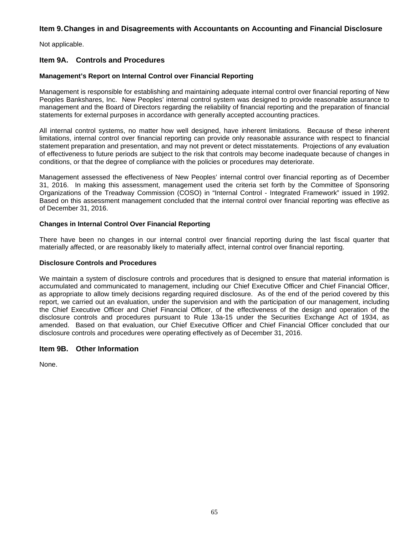# **Item 9. Changes in and Disagreements with Accountants on Accounting and Financial Disclosure**

Not applicable.

# **Item 9A. Controls and Procedures**

#### **Management's Report on Internal Control over Financial Reporting**

Management is responsible for establishing and maintaining adequate internal control over financial reporting of New Peoples Bankshares, Inc. New Peoples' internal control system was designed to provide reasonable assurance to management and the Board of Directors regarding the reliability of financial reporting and the preparation of financial statements for external purposes in accordance with generally accepted accounting practices.

All internal control systems, no matter how well designed, have inherent limitations. Because of these inherent limitations, internal control over financial reporting can provide only reasonable assurance with respect to financial statement preparation and presentation, and may not prevent or detect misstatements. Projections of any evaluation of effectiveness to future periods are subject to the risk that controls may become inadequate because of changes in conditions, or that the degree of compliance with the policies or procedures may deteriorate.

Management assessed the effectiveness of New Peoples' internal control over financial reporting as of December 31, 2016. In making this assessment, management used the criteria set forth by the Committee of Sponsoring Organizations of the Treadway Commission (COSO) in "Internal Control - Integrated Framework" issued in 1992. Based on this assessment management concluded that the internal control over financial reporting was effective as of December 31, 2016.

#### **Changes in Internal Control Over Financial Reporting**

There have been no changes in our internal control over financial reporting during the last fiscal quarter that materially affected, or are reasonably likely to materially affect, internal control over financial reporting.

#### **Disclosure Controls and Procedures**

We maintain a system of disclosure controls and procedures that is designed to ensure that material information is accumulated and communicated to management, including our Chief Executive Officer and Chief Financial Officer, as appropriate to allow timely decisions regarding required disclosure. As of the end of the period covered by this report, we carried out an evaluation, under the supervision and with the participation of our management, including the Chief Executive Officer and Chief Financial Officer, of the effectiveness of the design and operation of the disclosure controls and procedures pursuant to Rule 13a-15 under the Securities Exchange Act of 1934, as amended. Based on that evaluation, our Chief Executive Officer and Chief Financial Officer concluded that our disclosure controls and procedures were operating effectively as of December 31, 2016.

#### **Item 9B. Other Information**

None.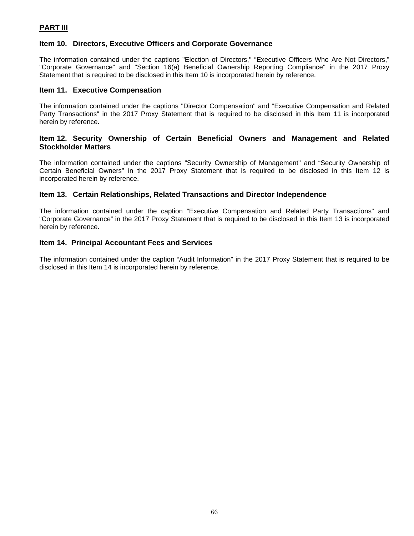# **Item 10. Directors, Executive Officers and Corporate Governance**

The information contained under the captions "Election of Directors," "Executive Officers Who Are Not Directors," "Corporate Governance" and "Section 16(a) Beneficial Ownership Reporting Compliance" in the 2017 Proxy Statement that is required to be disclosed in this Item 10 is incorporated herein by reference.

#### **Item 11. Executive Compensation**

The information contained under the captions "Director Compensation" and "Executive Compensation and Related Party Transactions" in the 2017 Proxy Statement that is required to be disclosed in this Item 11 is incorporated herein by reference.

### **Item 12. Security Ownership of Certain Beneficial Owners and Management and Related Stockholder Matters**

The information contained under the captions "Security Ownership of Management" and "Security Ownership of Certain Beneficial Owners" in the 2017 Proxy Statement that is required to be disclosed in this Item 12 is incorporated herein by reference.

### **Item 13. Certain Relationships, Related Transactions and Director Independence**

The information contained under the caption "Executive Compensation and Related Party Transactions" and "Corporate Governance" in the 2017 Proxy Statement that is required to be disclosed in this Item 13 is incorporated herein by reference.

### **Item 14. Principal Accountant Fees and Services**

The information contained under the caption "Audit Information" in the 2017 Proxy Statement that is required to be disclosed in this Item 14 is incorporated herein by reference.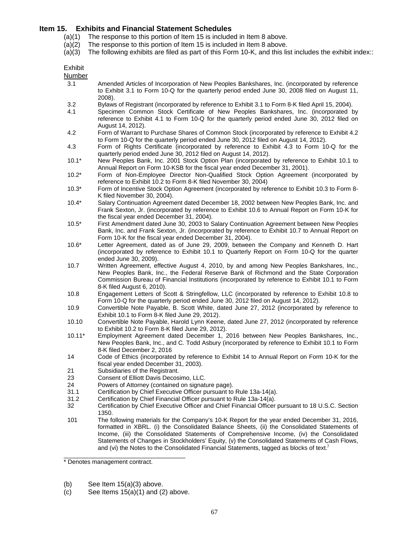# **Item 15. Exhibits and Financial Statement Schedules**

- (a)(1) The response to this portion of Item 15 is included in Item 8 above.
- (a)(2) The response to this portion of Item 15 is included in Item 8 above.
- (a)(3) The following exhibits are filed as part of this Form 10-K, and this list includes the exhibit index::

### Exhibit

| Number |  |
|--------|--|
|--------|--|

- 3.1 Amended Articles of Incorporation of New Peoples Bankshares, Inc. (incorporated by reference to Exhibit 3.1 to Form 10-Q for the quarterly period ended June 30, 2008 filed on August 11, 2008).
- 3.2 Bylaws of Registrant (incorporated by reference to Exhibit 3.1 to Form 8-K filed April 15, 2004).
- 4.1 Specimen Common Stock Certificate of New Peoples Bankshares, Inc. (incorporated by reference to Exhibit 4.1 to Form 10-Q for the quarterly period ended June 30, 2012 filed on August 14, 2012).
- 4.2 Form of Warrant to Purchase Shares of Common Stock (incorporated by reference to Exhibit 4.2 to Form 10-Q for the quarterly period ended June 30, 2012 filed on August 14, 2012).
- 4.3 Form of Rights Certificate (incorporated by reference to Exhibit 4.3 to Form 10-Q for the quarterly period ended June 30, 2012 filed on August 14, 2012).
- 10.1\* New Peoples Bank, Inc. 2001 Stock Option Plan (incorporated by reference to Exhibit 10.1 to Annual Report on Form 10-KSB for the fiscal year ended December 31, 2001).
- 10.2\* Form of Non-Employee Director Non-Qualified Stock Option Agreement (incorporated by reference to Exhibit 10.2 to Form 8-K filed November 30, 2004)
- 10.3\* Form of Incentive Stock Option Agreement (incorporated by reference to Exhibit 10.3 to Form 8- K filed November 30, 2004).
- 10.4\* Salary Continuation Agreement dated December 18, 2002 between New Peoples Bank, Inc. and Frank Sexton, Jr. (incorporated by reference to Exhibit 10.6 to Annual Report on Form 10-K for the fiscal year ended December 31, 2004).
- 10.5\* First Amendment dated June 30, 2003 to Salary Continuation Agreement between New Peoples Bank, Inc. and Frank Sexton, Jr. (incorporated by reference to Exhibit 10.7 to Annual Report on Form 10-K for the fiscal year ended December 31, 2004).
- 10.6\* Letter Agreement, dated as of June 29, 2009, between the Company and Kenneth D. Hart (incorporated by reference to Exhibit 10.1 to Quarterly Report on Form 10-Q for the quarter ended June 30, 2009).
- 10.7 Written Agreement, effective August 4, 2010, by and among New Peoples Bankshares, Inc., New Peoples Bank, Inc., the Federal Reserve Bank of Richmond and the State Corporation Commission Bureau of Financial Institutions (incorporated by reference to Exhibit 10.1 to Form 8-K filed August 6, 2010).
- 10.8 Engagement Letters of Scott & Stringfellow, LLC (incorporated by reference to Exhibit 10.8 to Form 10-Q for the quarterly period ended June 30, 2012 filed on August 14, 2012).
- 10.9 Convertible Note Payable, B. Scott White, dated June 27, 2012 (incorporated by reference to Exhibit 10.1 to Form 8-K filed June 29, 2012).
- 10.10 Convertible Note Payable, Harold Lynn Keene, dated June 27, 2012 (incorporated by reference to Exhibit 10.2 to Form 8-K filed June 29, 2012).
- 10.11\* Employment Agreement dated December 1, 2016 between New Peoples Bankshares, Inc., New Peoples Bank, Inc., and C. Todd Asbury (incorporated by reference to Exhibit 10.1 to Form 8-K filed December 2, 2016
- 14 Code of Ethics (incorporated by reference to Exhibit 14 to Annual Report on Form 10-K for the fiscal year ended December 31, 2003).
- 21 Subsidiaries of the Registrant.
- 23 Consent of Elliott Davis Decosimo, LLC.
- 24 Powers of Attorney (contained on signature page).
- 31.1 Certification by Chief Executive Officer pursuant to Rule 13a-14(a).
- 31.2 Certification by Chief Financial Officer pursuant to Rule 13a-14(a).
- 32 Certification by Chief Executive Officer and Chief Financial Officer pursuant to 18 U.S.C. Section 1350.
- 101 The following materials for the Company's 10-K Report for the year ended December 31, 2016, formatted in XBRL. (i) the Consolidated Balance Sheets, (ii) the Consolidated Statements of Income, (iii) the Consolidated Statements of Comprehensive Income, (iv) the Consolidated Statements of Changes in Stockholders' Equity, (v) the Consolidated Statements of Cash Flows, and (vi) the Notes to the Consolidated Financial Statements, tagged as blocks of text.<sup>)</sup>

- (b) See Item 15(a)(3) above.
- $(c)$  See Items  $15(a)(1)$  and  $(2)$  above.

\_\_\_\_\_\_\_\_\_\_\_\_\_\_\_\_\_\_\_\_\_\_\_\_\_\_\_\_\_\_\_\_\_\_\_\_

<sup>\*</sup> Denotes management contract.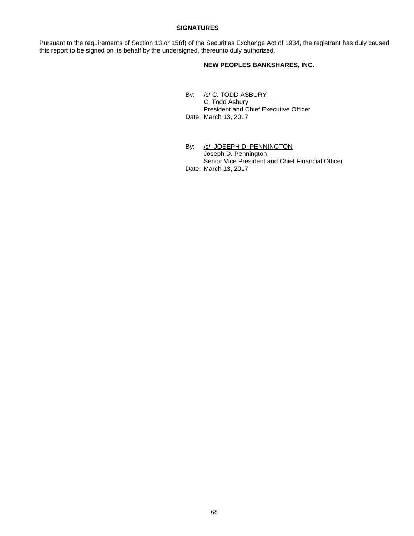#### **SIGNATURES**

Pursuant to the requirements of Section 13 or 15(d) of the Securities Exchange Act of 1934, the registrant has duly caused this report to be signed on its behalf by the undersigned, thereunto duly authorized.

#### **NEW PEOPLES BANKSHARES, INC.**

- By: /s/ C. TODD ASBURY C. Todd Asbury President and Chief Executive Officer Date: March 13, 2017
- By: /s/ JOSEPH D. PENNINGTON Joseph D. Pennington Senior Vice President and Chief Financial Officer Date: March 13, 2017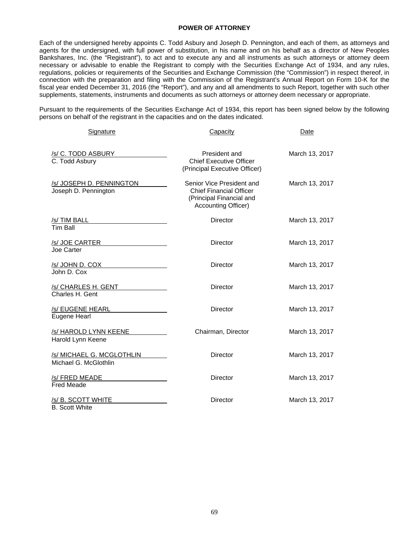#### **POWER OF ATTORNEY**

Each of the undersigned hereby appoints C. Todd Asbury and Joseph D. Pennington, and each of them, as attorneys and agents for the undersigned, with full power of substitution, in his name and on his behalf as a director of New Peoples Bankshares, Inc. (the "Registrant"), to act and to execute any and all instruments as such attorneys or attorney deem necessary or advisable to enable the Registrant to comply with the Securities Exchange Act of 1934, and any rules, regulations, policies or requirements of the Securities and Exchange Commission (the "Commission") in respect thereof, in connection with the preparation and filing with the Commission of the Registrant's Annual Report on Form 10-K for the fiscal year ended December 31, 2016 (the "Report"), and any and all amendments to such Report, together with such other supplements, statements, instruments and documents as such attorneys or attorney deem necessary or appropriate.

Pursuant to the requirements of the Securities Exchange Act of 1934, this report has been signed below by the following persons on behalf of the registrant in the capacities and on the dates indicated.

| Signature                                          | Capacity                                                                                                       | Date           |
|----------------------------------------------------|----------------------------------------------------------------------------------------------------------------|----------------|
| <b>/s/ C. TODD ASBURY</b><br>C. Todd Asbury        | President and<br><b>Chief Executive Officer</b><br>(Principal Executive Officer)                               | March 13, 2017 |
| /s/ JOSEPH D. PENNINGTON<br>Joseph D. Pennington   | Senior Vice President and<br><b>Chief Financial Officer</b><br>(Principal Financial and<br>Accounting Officer) | March 13, 2017 |
| /s/ TIM BALL<br><b>Tim Ball</b>                    | <b>Director</b>                                                                                                | March 13, 2017 |
| <b>/s/ JOE CARTER</b><br>Joe Carter                | <b>Director</b>                                                                                                | March 13, 2017 |
| /s/ JOHN D. COX<br>John D. Cox                     | <b>Director</b>                                                                                                | March 13, 2017 |
| <b>/s/ CHARLES H. GENT</b><br>Charles H. Gent      | <b>Director</b>                                                                                                | March 13, 2017 |
| /s/ EUGENE HEARL<br>Eugene Hearl                   | <b>Director</b>                                                                                                | March 13, 2017 |
| /s/ HAROLD LYNN KEENE<br>Harold Lynn Keene         | Chairman, Director                                                                                             | March 13, 2017 |
| /s/ MICHAEL G. MCGLOTHLIN<br>Michael G. McGlothlin | Director                                                                                                       | March 13, 2017 |
| /s/ FRED MEADE<br><b>Fred Meade</b>                | <b>Director</b>                                                                                                | March 13, 2017 |
| /s/ B. SCOTT WHITE<br><b>B</b> Scott White         | <b>Director</b>                                                                                                | March 13, 2017 |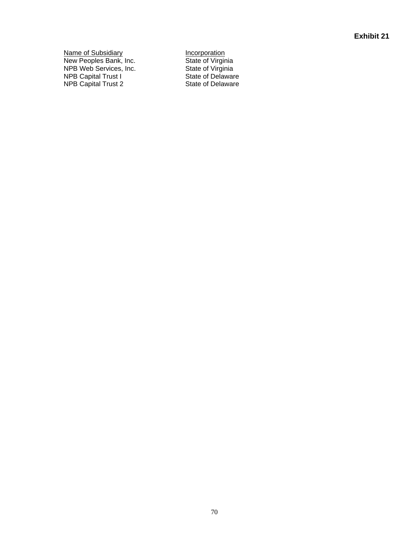**Name of Subsidiary Incorporation** New Peoples Bank, Inc. State of Virginia Name of Subsidiary Incorporation<br>
New Peoples Bank, Inc. State of Virginia<br>
NPB Web Services, Inc. State of Virginia<br>
NPB Capital Trust I State of Delaware NPB Capital Trust I State of Delaware NPB Capital Trust 2 State of Delaware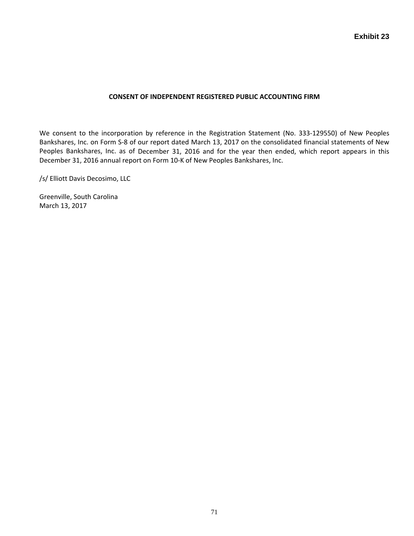### **CONSENT OF INDEPENDENT REGISTERED PUBLIC ACCOUNTING FIRM**

We consent to the incorporation by reference in the Registration Statement (No. 333‐129550) of New Peoples Bankshares, Inc. on Form S‐8 of our report dated March 13, 2017 on the consolidated financial statements of New Peoples Bankshares, Inc. as of December 31, 2016 and for the year then ended, which report appears in this December 31, 2016 annual report on Form 10‐K of New Peoples Bankshares, Inc.

/s/ Elliott Davis Decosimo, LLC

Greenville, South Carolina March 13, 2017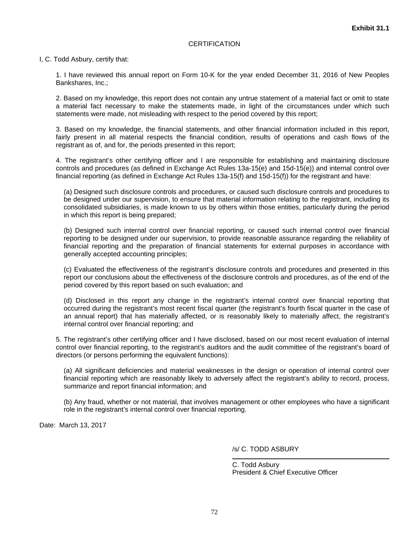#### **CERTIFICATION**

#### I, C. Todd Asbury, certify that:

1. I have reviewed this annual report on Form 10-K for the year ended December 31, 2016 of New Peoples Bankshares, Inc.;

2. Based on my knowledge, this report does not contain any untrue statement of a material fact or omit to state a material fact necessary to make the statements made, in light of the circumstances under which such statements were made, not misleading with respect to the period covered by this report;

3. Based on my knowledge, the financial statements, and other financial information included in this report, fairly present in all material respects the financial condition, results of operations and cash flows of the registrant as of, and for, the periods presented in this report;

4. The registrant's other certifying officer and I are responsible for establishing and maintaining disclosure controls and procedures (as defined in Exchange Act Rules 13a-15(e) and 15d-15(e)) and internal control over financial reporting (as defined in Exchange Act Rules 13a-15(f) and 15d-15(f)) for the registrant and have:

(a) Designed such disclosure controls and procedures, or caused such disclosure controls and procedures to be designed under our supervision, to ensure that material information relating to the registrant, including its consolidated subsidiaries, is made known to us by others within those entities, particularly during the period in which this report is being prepared;

(b) Designed such internal control over financial reporting, or caused such internal control over financial reporting to be designed under our supervision, to provide reasonable assurance regarding the reliability of financial reporting and the preparation of financial statements for external purposes in accordance with generally accepted accounting principles;

(c) Evaluated the effectiveness of the registrant's disclosure controls and procedures and presented in this report our conclusions about the effectiveness of the disclosure controls and procedures, as of the end of the period covered by this report based on such evaluation; and

(d) Disclosed in this report any change in the registrant's internal control over financial reporting that occurred during the registrant's most recent fiscal quarter (the registrant's fourth fiscal quarter in the case of an annual report) that has materially affected, or is reasonably likely to materially affect, the registrant's internal control over financial reporting; and

5. The registrant's other certifying officer and I have disclosed, based on our most recent evaluation of internal control over financial reporting, to the registrant's auditors and the audit committee of the registrant's board of directors (or persons performing the equivalent functions):

(a) All significant deficiencies and material weaknesses in the design or operation of internal control over financial reporting which are reasonably likely to adversely affect the registrant's ability to record, process, summarize and report financial information; and

(b) Any fraud, whether or not material, that involves management or other employees who have a significant role in the registrant's internal control over financial reporting.

Date: March 13, 2017

/s/ C. TODD ASBURY

C. Todd Asbury President & Chief Executive Officer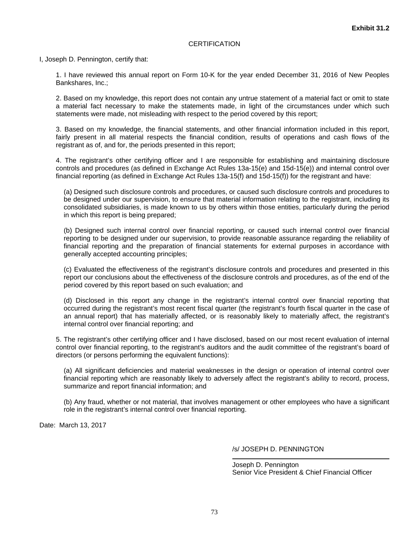## **CERTIFICATION**

I, Joseph D. Pennington, certify that:

1. I have reviewed this annual report on Form 10-K for the year ended December 31, 2016 of New Peoples Bankshares, Inc.;

2. Based on my knowledge, this report does not contain any untrue statement of a material fact or omit to state a material fact necessary to make the statements made, in light of the circumstances under which such statements were made, not misleading with respect to the period covered by this report;

3. Based on my knowledge, the financial statements, and other financial information included in this report, fairly present in all material respects the financial condition, results of operations and cash flows of the registrant as of, and for, the periods presented in this report;

4. The registrant's other certifying officer and I are responsible for establishing and maintaining disclosure controls and procedures (as defined in Exchange Act Rules 13a-15(e) and 15d-15(e)) and internal control over financial reporting (as defined in Exchange Act Rules 13a-15(f) and 15d-15(f)) for the registrant and have:

(a) Designed such disclosure controls and procedures, or caused such disclosure controls and procedures to be designed under our supervision, to ensure that material information relating to the registrant, including its consolidated subsidiaries, is made known to us by others within those entities, particularly during the period in which this report is being prepared;

(b) Designed such internal control over financial reporting, or caused such internal control over financial reporting to be designed under our supervision, to provide reasonable assurance regarding the reliability of financial reporting and the preparation of financial statements for external purposes in accordance with generally accepted accounting principles;

(c) Evaluated the effectiveness of the registrant's disclosure controls and procedures and presented in this report our conclusions about the effectiveness of the disclosure controls and procedures, as of the end of the period covered by this report based on such evaluation; and

(d) Disclosed in this report any change in the registrant's internal control over financial reporting that occurred during the registrant's most recent fiscal quarter (the registrant's fourth fiscal quarter in the case of an annual report) that has materially affected, or is reasonably likely to materially affect, the registrant's internal control over financial reporting; and

5. The registrant's other certifying officer and I have disclosed, based on our most recent evaluation of internal control over financial reporting, to the registrant's auditors and the audit committee of the registrant's board of directors (or persons performing the equivalent functions):

(a) All significant deficiencies and material weaknesses in the design or operation of internal control over financial reporting which are reasonably likely to adversely affect the registrant's ability to record, process, summarize and report financial information; and

(b) Any fraud, whether or not material, that involves management or other employees who have a significant role in the registrant's internal control over financial reporting.

Date: March 13, 2017

## /s/ JOSEPH D. PENNINGTON

Joseph D. Pennington Senior Vice President & Chief Financial Officer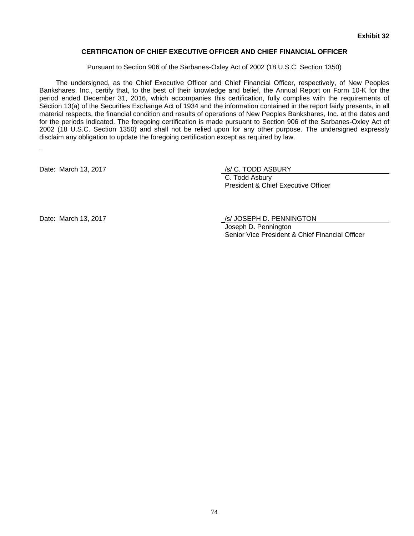## **CERTIFICATION OF CHIEF EXECUTIVE OFFICER AND CHIEF FINANCIAL OFFICER**

Pursuant to Section 906 of the Sarbanes-Oxley Act of 2002 (18 U.S.C. Section 1350)

The undersigned, as the Chief Executive Officer and Chief Financial Officer, respectively, of New Peoples Bankshares, Inc., certify that, to the best of their knowledge and belief, the Annual Report on Form 10-K for the period ended December 31, 2016, which accompanies this certification, fully complies with the requirements of Section 13(a) of the Securities Exchange Act of 1934 and the information contained in the report fairly presents, in all material respects, the financial condition and results of operations of New Peoples Bankshares, Inc. at the dates and for the periods indicated. The foregoing certification is made pursuant to Section 906 of the Sarbanes-Oxley Act of 2002 (18 U.S.C. Section 1350) and shall not be relied upon for any other purpose. The undersigned expressly disclaim any obligation to update the foregoing certification except as required by law.

Date: March 13, 2017 *Date: March 13, 2017 Islamic Company /s/ C. TODD ASBURY* 

 C. Todd Asbury President & Chief Executive Officer

Date: March 13, 2017 *Date: March 13, 2017 Is/ JOSEPH D. PENNINGTON*  Joseph D. Pennington Senior Vice President & Chief Financial Officer